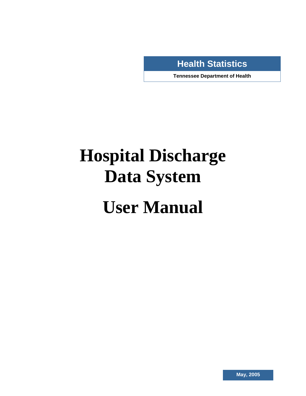**Health Statistics** 

**Tennessee Department of Health** 

# **Hospital Discharge Data System**

**.** 

## **User Manual**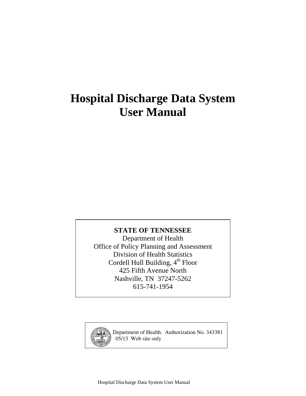## **Hospital Discharge Data System User Manual**

### **STATE OF TENNESSEE**

Department of Health Office of Policy Planning and Assessment Division of Health Statistics Cordell Hull Building, 4<sup>th</sup> Floor 425 Fifth Avenue North Nashville, TN 37247-5262 615-741-1954



Department of Health. Authorization No. 343381 05/13 Web site only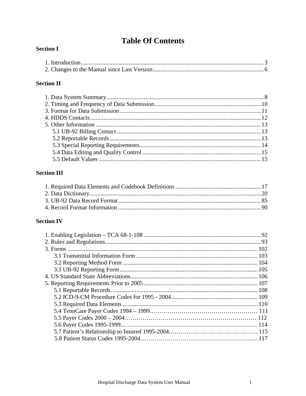## **Table Of Contents**

#### **Section I**

### **Section II**

#### **Section III**

### **Section IV**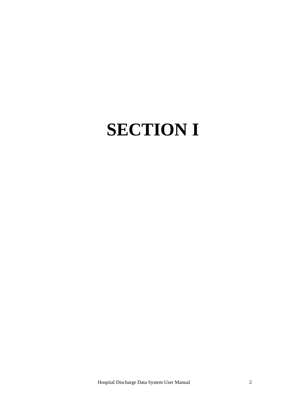## **SECTION I**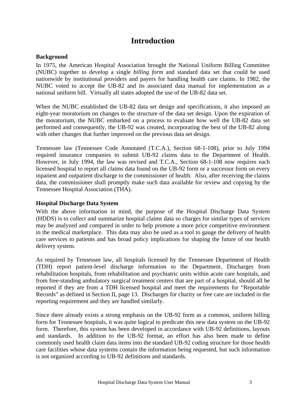### **Introduction**

#### **Background**

In 1975, the American Hospital Association brought the National Uniform Billing Committee (NUBC) together to develop a single *billing form* and standard data set that could be used nationwide by institutional providers and payers for handling health care claims. In 1982, the NUBC voted to accept the UB-82 and its associated data manual for implementation as a national uniform bill. Virtually all states adopted the use of the UB-82 data set.

When the NUBC established the UB-82 data set design and specifications, it also imposed an eight-year moratorium on changes to the structure of the data set design. Upon the expiration of the moratorium, the NUBC embarked on a process to evaluate how well the UB-82 data set performed and consequently, the UB-92 was created, incorporating the best of the UB-82 along with other changes that further improved on the previous data set design.

Tennessee law (Tennessee Code Annotated (T.C.A.), Section 68-1-108), prior to July 1994 required insurance companies to submit UB-92 claims data to the Department of Health. However, in July 1994, the law was revised and T.C.A., Section 68-1-108 now requires each licensed hospital to report all claims data found on the UB-92 form or a successor form on every inpatient and outpatient discharge to the commissioner of health. Also, after receiving the claims data, the commissioner shall promptly make such data available for review and copying by the Tennessee Hospital Association (THA).

#### **Hospital Discharge Data System**

With the above information in mind, the purpose of the Hospital Discharge Data System (HDDS) is to collect and summarize hospital claims data so charges for similar types of services may be analyzed and compared in order to help promote a more price competitive environment in the medical marketplace. This data may also be used as a tool to gauge the delivery of health care services to patients and has broad policy implications for shaping the future of our health delivery system.

As required by Tennessee law, all hospitals licensed by the Tennessee Department of Health (TDH) report patient-level discharge information to the Department. Discharges from rehabilitation hospitals, from rehabilitation and psychiatric units within acute care hospitals, and from free-standing ambulatory surgical treatment centers that are part of a hospital, should all be reported if they are from a TDH licensed hospital and meet the requirements for "Reportable Records" as defined in Section II, page 13. Discharges for charity or free care are included in the reporting requirement and they are handled similarly.

Since there already exists a strong emphasis on the UB-92 form as a common, uniform billing form for Tennessee hospitals, it was quite logical to predicate this new data system on the UB-92 form. Therefore, this system has been developed in accordance with UB-92 definitions, layouts and standards. In addition to the UB-92 format, an effort has also been made to define commonly used health claim data items into the standard UB-92 coding structure for those health care facilities whose data systems contain the information being requested, but such information is not organized according to UB-92 definitions and standards.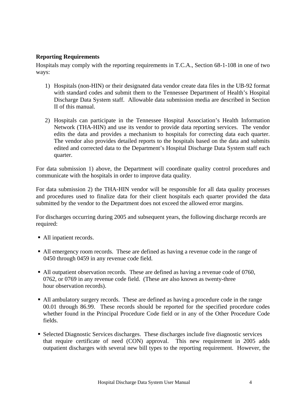#### **Reporting Requirements**

Hospitals may comply with the reporting requirements in T.C.A., Section 68-1-108 in one of two ways:

- 1) Hospitals (non-HIN) or their designated data vendor create data files in the UB-92 format with standard codes and submit them to the Tennessee Department of Health's Hospital Discharge Data System staff. Allowable data submission media are described in Section II of this manual.
- 2) Hospitals can participate in the Tennessee Hospital Association's Health Information Network (THA-HIN) and use its vendor to provide data reporting services. The vendor edits the data and provides a mechanism to hospitals for correcting data each quarter. The vendor also provides detailed reports to the hospitals based on the data and submits edited and corrected data to the Department's Hospital Discharge Data System staff each quarter.

For data submission 1) above, the Department will coordinate quality control procedures and communicate with the hospitals in order to improve data quality.

For data submission 2) the THA-HIN vendor will be responsible for all data quality processes and procedures used to finalize data for their client hospitals each quarter provided the data submitted by the vendor to the Department does not exceed the allowed error margins.

For discharges occurring during 2005 and subsequent years, the following discharge records are required:

- All inpatient records.
- All emergency room records. These are defined as having a revenue code in the range of 0450 through 0459 in any revenue code field.
- All outpatient observation records. These are defined as having a revenue code of 0760, 0762, or 0769 in any revenue code field. (These are also known as twenty-three hour observation records).
- All ambulatory surgery records. These are defined as having a procedure code in the range 00.01 through 86.99. These records should be reported for the specified procedure codes whether found in the Principal Procedure Code field or in any of the Other Procedure Code fields.
- Selected Diagnostic Services discharges. These discharges include five diagnostic services that require certificate of need (CON) approval. This new requirement in 2005 adds outpatient discharges with several new bill types to the reporting requirement. However, the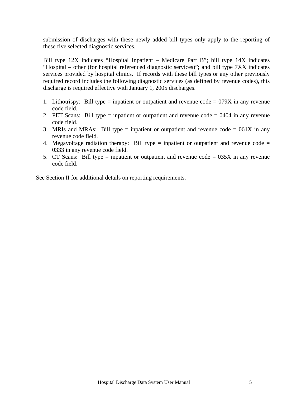submission of discharges with these newly added bill types only apply to the reporting of these five selected diagnostic services.

Bill type 12X indicates "Hospital Inpatient – Medicare Part B"; bill type 14X indicates "Hospital – other (for hospital referenced diagnostic services)"; and bill type 7XX indicates services provided by hospital clinics. If records with these bill types or any other previously required record includes the following diagnostic services (as defined by revenue codes), this discharge is required effective with January 1, 2005 discharges.

- 1. Lithotrispy: Bill type = inpatient or outpatient and revenue  $\text{code} = 079X$  in any revenue code field.
- 2. PET Scans: Bill type = inpatient or outpatient and revenue code = 0404 in any revenue code field.
- 3. MRIs and MRAs: Bill type = inpatient or outpatient and revenue code =  $061X$  in any revenue code field.
- 4. Megavoltage radiation therapy: Bill type  $=$  inpatient or outpatient and revenue code  $=$ 0333 in any revenue code field.
- 5. CT Scans: Bill type = inpatient or outpatient and revenue code =  $035X$  in any revenue code field.

See Section II for additional details on reporting requirements.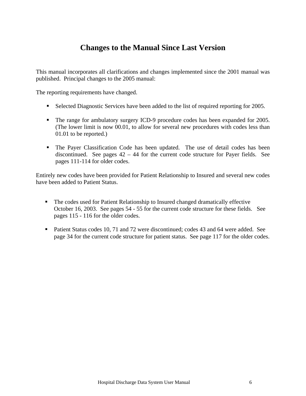## **Changes to the Manual Since Last Version**

This manual incorporates all clarifications and changes implemented since the 2001 manual was published. Principal changes to the 2005 manual:

The reporting requirements have changed.

- Selected Diagnostic Services have been added to the list of required reporting for 2005.
- The range for ambulatory surgery ICD-9 procedure codes has been expanded for 2005. (The lower limit is now 00.01, to allow for several new procedures with codes less than 01.01 to be reported.)
- The Payer Classification Code has been updated. The use of detail codes has been discontinued. See pages  $42 - 44$  for the current code structure for Payer fields. See pages 111-114 for older codes.

Entirely new codes have been provided for Patient Relationship to Insured and several new codes have been added to Patient Status.

- The codes used for Patient Relationship to Insured changed dramatically effective October 16, 2003. See pages 54 - 55 for the current code structure for these fields. See pages 115 - 116 for the older codes.
- Patient Status codes 10, 71 and 72 were discontinued; codes 43 and 64 were added. See page 34 for the current code structure for patient status. See page 117 for the older codes.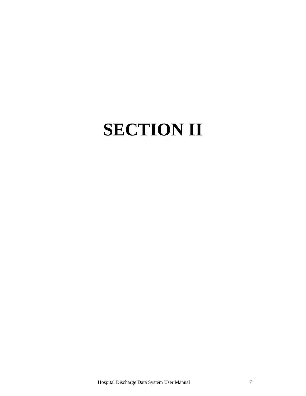## **SECTION II**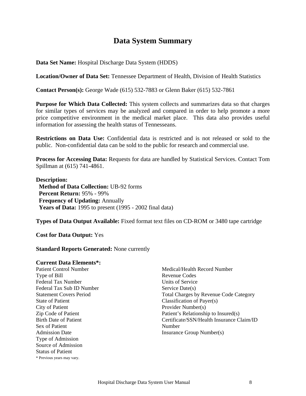## **Data System Summary**

**Data Set Name:** Hospital Discharge Data System (HDDS)

**Location/Owner of Data Set:** Tennessee Department of Health, Division of Health Statistics

**Contact Person(s):** George Wade (615) 532-7883 or Glenn Baker (615) 532-7861

**Purpose for Which Data Collected:** This system collects and summarizes data so that charges for similar types of services may be analyzed and compared in order to help promote a more price competitive environment in the medical market place. This data also provides useful information for assessing the health status of Tennesseans.

**Restrictions on Data Use:** Confidential data is restricted and is not released or sold to the public. Non-confidential data can be sold to the public for research and commercial use.

**Process for Accessing Data:** Requests for data are handled by Statistical Services. Contact Tom Spillman at (615) 741-4861.

#### **Description:**

**Method of Data Collection:** UB-92 forms  **Percent Return:** 95% - 99%  **Frequency of Updating:** Annually  **Years of Data:** 1995 to present (1995 - 2002 final data)

**Types of Data Output Available:** Fixed format text files on CD-ROM or 3480 tape cartridge

**Cost for Data Output:** Yes

#### **Standard Reports Generated:** None currently

#### **Current Data Elements\*:**

Patient Control Number Type of Bill Federal Tax Number Federal Tax Sub ID Number Statement Covers Period State of Patient City of Patient Zip Code of Patient Birth Date of Patient Sex of Patient Admission Date Type of Admission Source of Admission Status of Patient \* Previous years may vary.

Medical/Health Record Number Revenue Codes Units of Service Service Date(s) Total Charges by Revenue Code Category Classification of Payer(s) Provider Number(s) Patient's Relationship to Insured(s) Certificate/SSN/Health Insurance Claim/ID Number Insurance Group Number(s)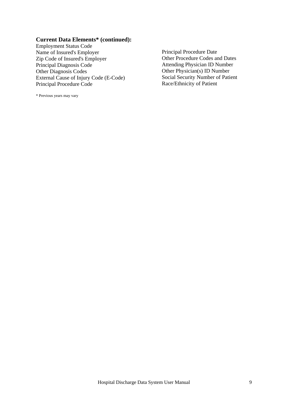#### **Current Data Elements\* (continued):**

Employment Status Code Name of Insured's Employer<br>
2ip Code of Insured's Employer<br>
2ip Code of Insured's Employer<br>
2ip Code of Insured's Employer<br>
2ip Code of Insured's Employer<br>
2ip Code of Insured's Employer<br>
2ip Code of Insured's Employer<br>
2i Zip Code of Insured's Employer<br>Principal Diagnosis Code Principal Diagnosis Code<br>
Other Physician ID Number<br>
Other Physician ID Number<br>
Other Physician ID Number<br>
Other Physician ID Number External Cause of Injury Code (E-Code) Social Security Number of Principal Procedure Code Race/Ethnicity of Patient Principal Procedure Code

\* Previous years may vary

Other Physician(s) ID Number<br>Social Security Number of Patient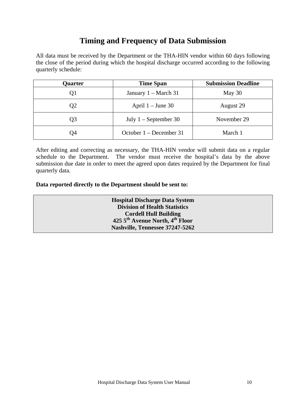## **Timing and Frequency of Data Submission**

All data must be received by the Department or the THA-HIN vendor within 60 days following the close of the period during which the hospital discharge occurred according to the following quarterly schedule:

| Quarter                      | <b>Time Span</b>          | <b>Submission Deadline</b> |  |
|------------------------------|---------------------------|----------------------------|--|
| January $1 - March 31$<br>Ql |                           | May 30                     |  |
| Q <sub>2</sub>               | April $1 -$ June 30       | August 29                  |  |
| Q3                           | July $1 -$ September 30   | November 29                |  |
| Q4                           | October $1 -$ December 31 | March 1                    |  |

After editing and correcting as necessary, the THA-HIN vendor will submit data on a regular schedule to the Department. The vendor must receive the hospital's data by the above submission due date in order to meet the agreed upon dates required by the Department for final quarterly data.

**Data reported directly to the Department should be sent to:** 

**Hospital Discharge Data System Division of Health Statistics Cordell Hull Building 425 5th Avenue North, 4th Floor Nashville, Tennessee 37247-5262**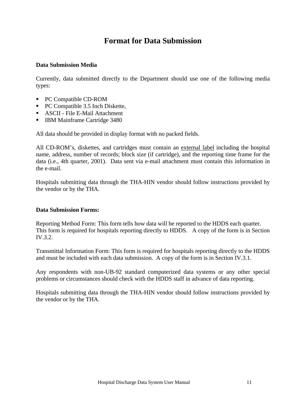## **Format for Data Submission**

#### **Data Submission Media**

Currently, data submitted directly to the Department should use one of the following media types:

- PC Compatible CD-ROM
- PC Compatible 3.5 Inch Diskette,
- ASCII File E-Mail Attachment
- **IBM Mainframe Cartridge 3480**

All data should be provided in display format with no packed fields.

All CD-ROM's, diskettes, and cartridges must contain an external label including the hospital name, address, number of records; block size (if cartridge), and the reporting time frame for the data (i.e., 4th quarter, 2001). Data sent via e-mail attachment must contain this information in the e-mail.

Hospitals submitting data through the THA-HIN vendor should follow instructions provided by the vendor or by the THA.

#### **Data Submission Forms:**

Reporting Method Form: This form tells how data will be reported to the HDDS each quarter. This form is required for hospitals reporting directly to HDDS. A copy of the form is in Section IV.3.2.

Transmittal Information Form: This form is required for hospitals reporting directly to the HDDS and must be included with each data submission. A copy of the form is in Section IV.3.1.

Any respondents with non-UB-92 standard computerized data systems or any other special problems or circumstances should check with the HDDS staff in advance of data reporting.

Hospitals submitting data through the THA-HIN vendor should follow instructions provided by the vendor or by the THA.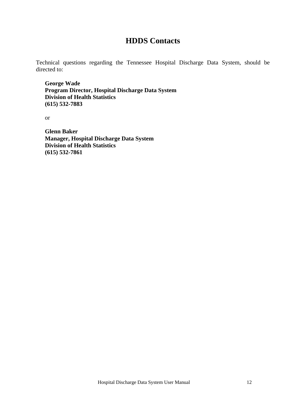### **HDDS Contacts**

Technical questions regarding the Tennessee Hospital Discharge Data System, should be directed to:

**George Wade Program Director, Hospital Discharge Data System Division of Health Statistics (615) 532-7883** 

or

**Glenn Baker Manager, Hospital Discharge Data System Division of Health Statistics (615) 532-7861**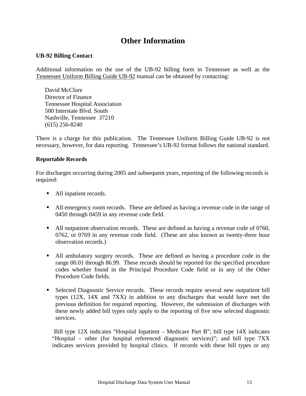## **Other Information**

#### **UB-92 Billing Contact**

Additional information on the use of the UB-92 billing form in Tennessee as well as the Tennessee Uniform Billing Guide UB-92 manual can be obtained by contacting:

David McClure Director of Finance Tennessee Hospital Association 500 Interstate Blvd. South Nashville, Tennessee 37210 (615) 256-8240

There is a charge for this publication. The Tennessee Uniform Billing Guide UB-92 is not necessary, however, for data reporting. Tennessee's UB-92 format follows the national standard.

#### **Reportable Records**

For discharges occurring during 2005 and subsequent years, reporting of the following records is required:

- All inpatient records.
- All emergency room records. These are defined as having a revenue code in the range of 0450 through 0459 in any revenue code field.
- All outpatient observation records. These are defined as having a revenue code of 0760, 0762, or 0769 in any revenue code field. (These are also known as twenty-three hour observation records.)
- All ambulatory surgery records. These are defined as having a procedure code in the range 00.01 through 86.99. These records should be reported for the specified procedure codes whether found in the Principal Procedure Code field or in any of the Other Procedure Code fields.
- Selected Diagnostic Service records. These records require several new outpatient bill types (12X, 14X and 7XX) in addition to any discharges that would have met the previous definition for required reporting. However, the submission of discharges with these newly added bill types only apply to the reporting of five new selected diagnostic services.

 Bill type 12X indicates "Hospital Inpatient – Medicare Part B"; bill type 14X indicates "Hospital – other (for hospital referenced diagnostic services)"; and bill type 7XX indicates services provided by hospital clinics. If records with these bill types or any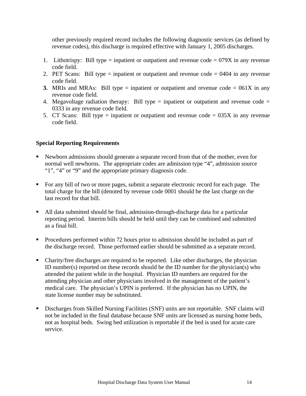other previously required record includes the following diagnostic services (as defined by revenue codes), this discharge is required effective with January 1, 2005 discharges.

- 1. Lithotrispy: Bill type = inpatient or outpatient and revenue code = 079X in any revenue code field.
- 2. PET Scans: Bill type = inpatient or outpatient and revenue code = 0404 in any revenue code field.
- **3.** MRIs and MRAs: Bill type = inpatient or outpatient and revenue code =  $061X$  in any revenue code field.
- 4. Megavoltage radiation therapy: Bill type  $=$  inpatient or outpatient and revenue code  $=$ 0333 in any revenue code field.
- 5. CT Scans: Bill type = inpatient or outpatient and revenue code =  $035X$  in any revenue code field.

#### **Special Reporting Requirements**

- Newborn admissions should generate a separate record from that of the mother, even for normal well newborns. The appropriate codes are admission type "4", admission source "1", "4" or "9" and the appropriate primary diagnosis code.
- For any bill of two or more pages, submit a separate electronic record for each page. The total charge for the bill (denoted by revenue code 0001 should be the last charge on the last record for that bill.
- All data submitted should be final, admission-through-discharge data for a particular reporting period. Interim bills should be held until they can be combined and submitted as a final bill.
- Procedures performed within 72 hours prior to admission should be included as part of the discharge record. Those performed earlier should be submitted as a separate record.
- Charity/free discharges are required to be reported. Like other discharges, the physician ID number(s) reported on these records should be the ID number for the physician(s) who attended the patient while in the hospital. Physician ID numbers are required for the attending physician and other physicians involved in the management of the patient's medical care. The physician's UPIN is preferred. If the physician has no UPIN, the state license number may be substituted.
- Discharges from Skilled Nursing Facilities (SNF) units are not reportable. SNF claims will not be included in the final database because SNF units are licensed as nursing home beds, not as hospital beds. Swing bed utilization is reportable if the bed is used for acute care service.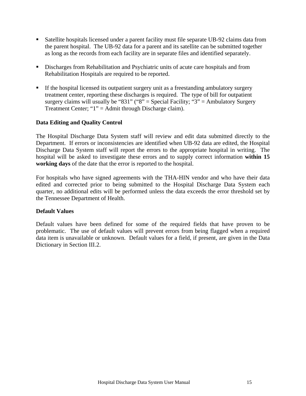- Satellite hospitals licensed under a parent facility must file separate UB-92 claims data from the parent hospital. The UB-92 data for a parent and its satellite can be submitted together as long as the records from each facility are in separate files and identified separately.
- Discharges from Rehabilitation and Psychiatric units of acute care hospitals and from Rehabilitation Hospitals are required to be reported.
- If the hospital licensed its outpatient surgery unit as a freestanding ambulatory surgery treatment center, reporting these discharges is required. The type of bill for outpatient surgery claims will usually be "831" ("8" = Special Facility; "3" = Ambulatory Surgery Treatment Center; "1" = Admit through Discharge claim).

#### **Data Editing and Quality Control**

The Hospital Discharge Data System staff will review and edit data submitted directly to the Department. If errors or inconsistencies are identified when UB-92 data are edited, the Hospital Discharge Data System staff will report the errors to the appropriate hospital in writing. The hospital will be asked to investigate these errors and to supply correct information **within 15 working days** of the date that the error is reported to the hospital.

For hospitals who have signed agreements with the THA-HIN vendor and who have their data edited and corrected prior to being submitted to the Hospital Discharge Data System each quarter, no additional edits will be performed unless the data exceeds the error threshold set by the Tennessee Department of Health.

#### **Default Values**

Default values have been defined for some of the required fields that have proven to be problematic. The use of default values will prevent errors from being flagged when a required data item is unavailable or unknown. Default values for a field, if present, are given in the Data Dictionary in Section III.2.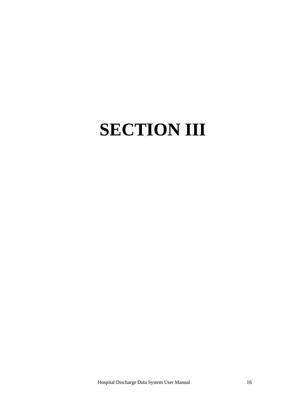## **SECTION III**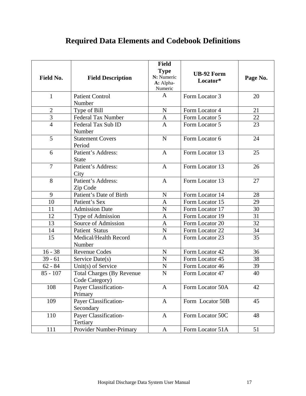## **Required Data Elements and Codebook Definitions**

| Field No.      | <b>Field Description</b>                           | <b>Field</b><br><b>Type</b><br>N: Numeric<br>A: Alpha-<br>Numeric | <b>UB-92 Form</b><br>Locator* | Page No. |
|----------------|----------------------------------------------------|-------------------------------------------------------------------|-------------------------------|----------|
| $\mathbf{1}$   | <b>Patient Control</b><br>Number                   | A                                                                 | Form Locator 3                | 20       |
| $\mathbf{2}$   | Type of Bill                                       | $\mathbf N$                                                       | Form Locator 4                | 21       |
| 3              | <b>Federal Tax Number</b>                          | A                                                                 | Form Locator 5                | 22       |
| $\overline{4}$ | Federal Tax Sub ID<br>Number                       | $\overline{A}$                                                    | Form Locator 5                | 23       |
| 5              | <b>Statement Covers</b><br>Period                  | N                                                                 | Form Locator 6                | 24       |
| 6              | Patient's Address:<br><b>State</b>                 | $\mathbf{A}$                                                      | Form Locator 13               | 25       |
| $\overline{7}$ | Patient's Address:<br>City                         | $\mathbf{A}$                                                      | Form Locator 13               |          |
| 8              | Patient's Address:<br>Zip Code                     | $\mathbf{A}$                                                      | Form Locator 13               | 27       |
| 9              | Patient's Date of Birth                            | Form Locator 14<br>$\mathbf N$                                    |                               | 28       |
| 10             | Patient's Sex                                      | $\mathbf{A}$                                                      | Form Locator 15               | 29       |
| 11             | <b>Admission Date</b>                              | N                                                                 | Form Locator 17               | 30       |
| 12             | Type of Admission                                  | $\mathbf{A}$                                                      | Form Locator 19               | 31       |
| 13             | Source of Admission                                | $\overline{A}$                                                    | Form Locator 20               | 32       |
| 14             | <b>Patient Status</b>                              | $\mathbf N$                                                       | Form Locator 22               | 34       |
| 15             | Medical/Health Record<br>Number                    | Form Locator 23<br>$\mathbf{A}$                                   |                               | 35       |
| $16 - 38$      | <b>Revenue Codes</b>                               | $\mathbf N$                                                       | Form Locator 42               | 36       |
| $39 - 61$      | Service Date(s)                                    | $\mathbf N$                                                       | Form Locator 45               | 38       |
| $62 - 84$      | Unit(s) of Service                                 | $\mathbf N$                                                       | Form Locator 46               | 39       |
| $85 - 107$     | <b>Total Charges (By Revenue</b><br>Code Category) | $\mathbf N$                                                       | Form Locator 47               | 40       |
| 108            | Payer Classification-<br>Primary                   | Form Locator 50A<br>A                                             |                               | 42       |
| 109            | Payer Classification-<br>Secondary                 | Form Locator 50B<br>$\mathbf{A}$                                  |                               | 45       |
| 110            | Payer Classification-<br>Tertiary                  | $\mathbf{A}$                                                      | Form Locator 50C              | 48       |
| 111            | Provider Number-Primary                            | $\mathbf{A}$                                                      | Form Locator 51A              | 51       |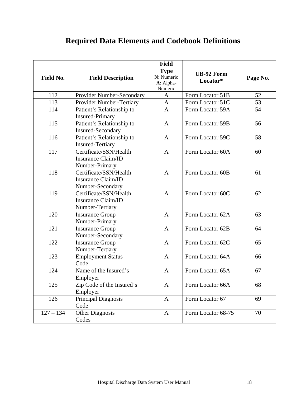## **Required Data Elements and Codebook Definitions**

| Field No.   | <b>Field Description</b>                                                | <b>Field</b><br><b>Type</b><br>N: Numeric<br>A: Alpha-<br>Numeric | <b>UB-92 Form</b><br>Locator* | Page No. |
|-------------|-------------------------------------------------------------------------|-------------------------------------------------------------------|-------------------------------|----------|
| 112         | Provider Number-Secondary                                               | $\mathbf{A}$                                                      | Form Locator 51B              | 52       |
| 113         | Provider Number-Tertiary                                                | $\mathbf{A}$                                                      | Form Locator 51C              | 53       |
| 114         | Patient's Relationship to<br><b>Insured-Primary</b>                     | $\overline{A}$                                                    | Form Locator 59A              | 54       |
| 115         | Patient's Relationship to<br><b>Insured-Secondary</b>                   | $\mathbf{A}$                                                      | Form Locator 59B              | 56       |
| 116         | Patient's Relationship to<br><b>Insured-Tertiary</b>                    | $\mathbf{A}$                                                      | Form Locator 59C              | 58       |
| 117         | Certificate/SSN/Health<br>Insurance Claim/ID<br>Number-Primary          | $\mathbf{A}$                                                      | Form Locator 60A              | 60       |
| 118         | Certificate/SSN/Health<br><b>Insurance Claim/ID</b><br>Number-Secondary | $\mathbf{A}$                                                      | Form Locator 60B              | 61       |
| 119         | Certificate/SSN/Health<br><b>Insurance Claim/ID</b><br>Number-Tertiary  | $\overline{A}$                                                    | Form Locator 60C              | 62       |
| 120         | <b>Insurance Group</b><br>Number-Primary                                | $\overline{A}$                                                    | Form Locator 62A              | 63       |
| 121         | <b>Insurance Group</b><br>Number-Secondary                              | $\mathbf{A}$                                                      | Form Locator 62B              | 64       |
| 122         | <b>Insurance Group</b><br>Number-Tertiary                               | $\mathbf{A}$                                                      | Form Locator 62C              | 65       |
| 123         | <b>Employment Status</b><br>Code                                        | $\mathbf{A}$                                                      | Form Locator 64A              | 66       |
| 124         | Name of the Insured's<br>Employer                                       | Form Locator 65A<br>$\mathbf{A}$                                  |                               | 67       |
| 125         | Zip Code of the Insured's<br>Employer                                   | A                                                                 | Form Locator 66A              | 68       |
| 126         | Principal Diagnosis<br>Code                                             | $\mathbf{A}$                                                      | Form Locator 67               | 69       |
| $127 - 134$ | <b>Other Diagnosis</b><br>Codes                                         | $\mathbf{A}$                                                      | Form Locator 68-75            | 70       |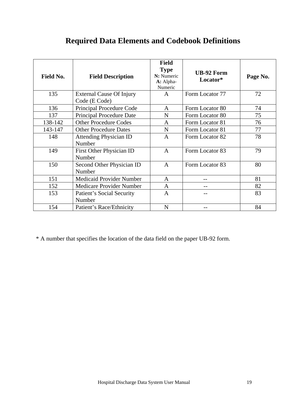## **Required Data Elements and Codebook Definitions**

| <b>Field No.</b> | <b>Field Description</b>                | <b>Field</b><br><b>Type</b><br>N: Numeric<br>A: Alpha-<br>Numeric | <b>UB-92 Form</b><br>Locator* | Page No. |
|------------------|-----------------------------------------|-------------------------------------------------------------------|-------------------------------|----------|
| 135              | <b>External Cause Of Injury</b>         | A                                                                 | Form Locator 77               | 72       |
|                  | Code (E Code)                           |                                                                   |                               |          |
| 136              | Principal Procedure Code                | A                                                                 | Form Locator 80               | 74       |
| 137              | <b>Principal Procedure Date</b>         | N                                                                 | Form Locator 80               | 75       |
| 138-142          | <b>Other Procedure Codes</b>            | A                                                                 | Form Locator 81               | 76       |
| 143-147          | <b>Other Procedure Dates</b>            | N                                                                 | Form Locator 81               | 77       |
| 148              | <b>Attending Physician ID</b><br>Number | $\mathsf{A}$                                                      | Form Locator 82               | 78       |
| 149              | First Other Physician ID<br>Number      | $\mathbf{A}$                                                      | Form Locator 83               | 79       |
| 150              | Second Other Physician ID<br>Number     | $\mathbf{A}$                                                      | Form Locator 83               | 80       |
| 151              | Medicaid Provider Number                | $\mathbf{A}$                                                      |                               | 81       |
| 152              | Medicare Provider Number                | A                                                                 |                               | 82       |
| 153              | Patient's Social Security<br>Number     | $\mathbf{A}$                                                      |                               | 83       |
| 154              | Patient's Race/Ethnicity                | N                                                                 |                               | 84       |

\* A number that specifies the location of the data field on the paper UB-92 form.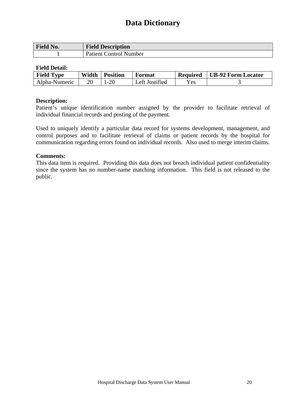| Field No. | <b>Field Description</b>      |
|-----------|-------------------------------|
|           | <b>Patient Control Number</b> |

#### **Field Detail:**

| <b>Field Type</b> | Width | <b>Position</b> | Format         | <b>Required</b> | UB-92 Form Locator |
|-------------------|-------|-----------------|----------------|-----------------|--------------------|
| Alpha-Numeric     |       | $-20$           | Left Justified | <b>Yes</b>      |                    |

#### **Description:**

Patient's unique identification number assigned by the provider to facilitate retrieval of individual financial records and posting of the payment.

Used to uniquely identify a particular data record for systems development, management, and control purposes and to facilitate retrieval of claims or patient records by the hospital for communication regarding errors found on individual records. Also used to merge interim claims.

#### **Comments:**

This data item is required. Providing this data does not breach individual patient confidentiality since the system has no number-name matching information. This field is not released to the public.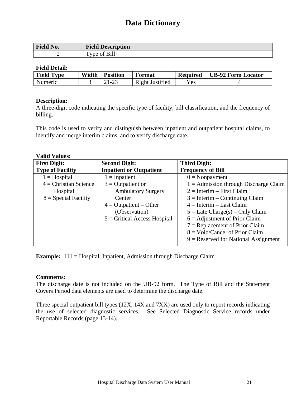| Field No. | <b>Field Description</b>                 |
|-----------|------------------------------------------|
|           | f Bill<br>$\mathbf{r}$<br>ОT<br>vne<br>- |

#### **Field Detail:**

| <b>Field Type</b> | Width | <b>Position</b>                 | Format          | <b>Required</b> | <b>UB-92 Form Locator</b> |
|-------------------|-------|---------------------------------|-----------------|-----------------|---------------------------|
| Numeric           |       | $\cdot$ $\cdot$ $\cdot$ $\cdot$ | Right Justified | $v_{es}$        |                           |

#### **Description:**

A three-digit code indicating the specific type of facility, bill classification, and the frequency of billing.

This code is used to verify and distinguish between inpatient and outpatient hospital claims, to identify and merge interim claims, and to verify discharge date.

#### **Valid Values:**

| <b>First Digit:</b>     | <b>Second Digit:</b>           | <b>Third Digit:</b>                     |
|-------------------------|--------------------------------|-----------------------------------------|
| <b>Type of Facility</b> | <b>Inpatient or Outpatient</b> | <b>Frequency of Bill</b>                |
| $1 = Hospital$          | $1 = Inpatient$                | $0 = \text{Nonpayment}$                 |
| $4$ = Christian Science | $3 =$ Outpatient or            | $1 =$ Admission through Discharge Claim |
| Hospital                | <b>Ambulatory Surgery</b>      | $2 =$ Interim – First Claim             |
| $8 =$ Special Facility  | Center                         | $3 =$ Interim – Continuing Claim        |
|                         | $4 =$ Outpatient – Other       | $4 =$ Interim – Last Claim              |
|                         | (Observation)                  | $5 =$ Late Charge(s) – Only Claim       |
|                         | $5 =$ Critical Access Hospital | $6 =$ Adjustment of Prior Claim         |
|                         |                                | $7 =$ Replacement of Prior Claim        |
|                         |                                | $8 = \text{void/Cancel}$ of Prior Claim |
|                         |                                | $9$ = Reserved for National Assignment  |

**Example:** 111 = Hospital, Inpatient, Admission through Discharge Claim

#### **Comments:**

The discharge date is not included on the UB-92 form. The Type of Bill and the Statement Covers Period data elements are used to determine the discharge date.

Three special outpatient bill types (12X, 14X and 7XX) are used only to report records indicating the use of selected diagnostic services. See Selected Diagnostic Service records under Reportable Records (page 13-14).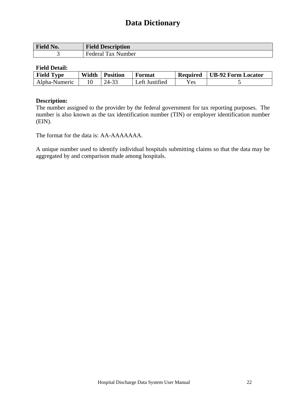| <b>Field No.</b> | <b>Field Description</b> |
|------------------|--------------------------|
|                  | Federal Tax Number       |

#### **Field Detail:**

| <b>Field Type</b> | Width | <b>Position</b> | Format         | <b>Required</b> | UB-92 Form Locator |
|-------------------|-------|-----------------|----------------|-----------------|--------------------|
| Alpha-Numeric     |       | 24-33           | Left Justified | $\rm Yes$       |                    |

#### **Description:**

The number assigned to the provider by the federal government for tax reporting purposes. The number is also known as the tax identification number (TIN) or employer identification number (EIN).

The format for the data is: AA-AAAAAAA.

A unique number used to identify individual hospitals submitting claims so that the data may be aggregated by and comparison made among hospitals.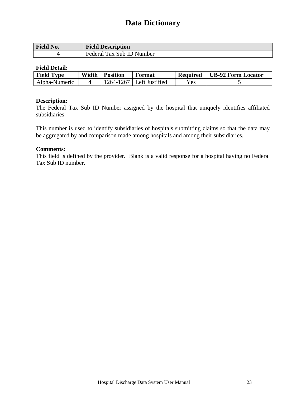| <b>Field No.</b> | <b>Field Description</b>  |
|------------------|---------------------------|
|                  | Federal Tax Sub ID Number |

#### **Field Detail:**

| <b>Field Type</b> | Width | <b>Position</b> | Format                     | <b>Required</b> | UB-92 Form Locator |
|-------------------|-------|-----------------|----------------------------|-----------------|--------------------|
| Alpha-Numeric     |       |                 | 1264-1267   Left Justified | Yes.            |                    |

#### **Description:**

The Federal Tax Sub ID Number assigned by the hospital that uniquely identifies affiliated subsidiaries.

This number is used to identify subsidiaries of hospitals submitting claims so that the data may be aggregated by and comparison made among hospitals and among their subsidiaries.

#### **Comments:**

This field is defined by the provider. Blank is a valid response for a hospital having no Federal Tax Sub ID number.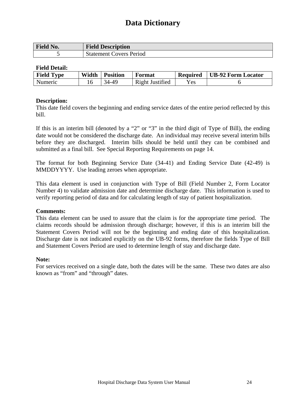| Field No. | <b>Field Description</b>       |
|-----------|--------------------------------|
|           | <b>Statement Covers Period</b> |

#### **Field Detail:**

| <b>Field Type</b> | Width | <b>Position</b> | Format          | <b>Required</b> | <b>UB-92 Form Locator</b> |
|-------------------|-------|-----------------|-----------------|-----------------|---------------------------|
| Numeric           |       | 34-40           | Right Justified | $v_{es}$        |                           |

#### **Description:**

This date field covers the beginning and ending service dates of the entire period reflected by this bill.

If this is an interim bill (denoted by a "2" or "3" in the third digit of Type of Bill), the ending date would not be considered the discharge date. An individual may receive several interim bills before they are discharged. Interim bills should be held until they can be combined and submitted as a final bill. See Special Reporting Requirements on page 14.

The format for both Beginning Service Date (34-41) and Ending Service Date (42-49) is MMDDYYYY. Use leading zeroes when appropriate.

This data element is used in conjunction with Type of Bill (Field Number 2, Form Locator Number 4) to validate admission date and determine discharge date. This information is used to verify reporting period of data and for calculating length of stay of patient hospitalization.

#### **Comments:**

This data element can be used to assure that the claim is for the appropriate time period. The claims records should be admission through discharge; however, if this is an interim bill the Statement Covers Period will not be the beginning and ending date of this hospitalization. Discharge date is not indicated explicitly on the UB-92 forms, therefore the fields Type of Bill and Statement Covers Period are used to determine length of stay and discharge date.

#### **Note:**

For services received on a single date, both the dates will be the same. These two dates are also known as "from" and "through" dates.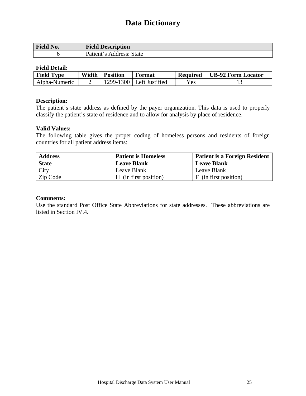| Field No. | <b>Field Description</b> |
|-----------|--------------------------|
|           | Patient's Address: State |

#### **Field Detail:**

| <b>Field Type</b> | Width | <b>Position</b> | Format                     | <b>Required</b> | <b>UB-92 Form Locator</b> |
|-------------------|-------|-----------------|----------------------------|-----------------|---------------------------|
| Alpha-Numeric     |       |                 | 1299-1300   Left Justified | Yes.            |                           |

#### **Description:**

The patient's state address as defined by the payer organization. This data is used to properly classify the patient's state of residence and to allow for analysis by place of residence.

#### **Valid Values:**

The following table gives the proper coding of homeless persons and residents of foreign countries for all patient address items:

| <b>Address</b> | <b>Patient is Homeless</b> | <b>Patient is a Foreign Resident</b> |
|----------------|----------------------------|--------------------------------------|
| <b>State</b>   | <b>Leave Blank</b>         | <b>Leave Blank</b>                   |
| <b>City</b>    | Leave Blank                | Leave Blank                          |
| Zip Code       | H (in first position)      | F (in first position)                |

#### **Comments:**

Use the standard Post Office State Abbreviations for state addresses. These abbreviations are listed in Section IV.4.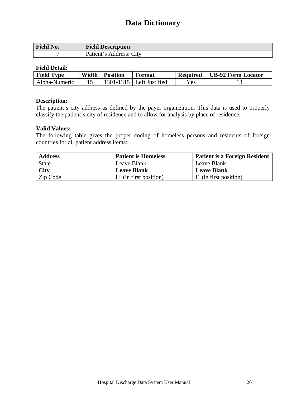| Field No. | <b>Field Description</b> |
|-----------|--------------------------|
|           | Patient's Address: City  |

#### **Field Detail:**

| <b>Field Type</b> | Width | <b>Position</b> | Format                     | <b>Required</b> | UB-92 Form Locator |
|-------------------|-------|-----------------|----------------------------|-----------------|--------------------|
| Alpha-Numeric     |       |                 | $1301-1315$ Left Justified | Yes.            |                    |

#### **Description:**

The patient's city address as defined by the payer organization. This data is used to properly classify the patient's city of residence and to allow for analysis by place of residence.

#### **Valid Values:**

The following table gives the proper coding of homeless persons and residents of foreign countries for all patient address items:

| <b>Address</b> | <b>Patient is Homeless</b> | <b>Patient is a Foreign Resident</b> |
|----------------|----------------------------|--------------------------------------|
| <b>State</b>   | Leave Blank                | Leave Blank                          |
| <b>City</b>    | <b>Leave Blank</b>         | <b>Leave Blank</b>                   |
| Zip Code       | H (in first position)      | F (in first position)                |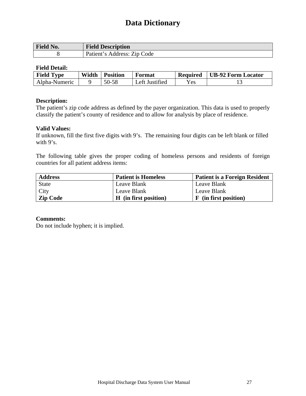| <b>Field No.</b> | <b>Field Description</b>    |
|------------------|-----------------------------|
|                  | Patient's Address: Zip Code |

#### **Field Detail:**

| <b>Field Type</b> | Width | <b>Position</b> | Format         | <b>Required</b> | UB-92 Form Locator |
|-------------------|-------|-----------------|----------------|-----------------|--------------------|
| Alpha-Numeric     |       | 50-58           | Left Justified | Yes.            |                    |

#### **Description:**

The patient's zip code address as defined by the payer organization. This data is used to properly classify the patient's county of residence and to allow for analysis by place of residence.

#### **Valid Values:**

If unknown, fill the first five digits with 9's. The remaining four digits can be left blank or filled with 9's.

The following table gives the proper coding of homeless persons and residents of foreign countries for all patient address items:

| <b>Address</b>  | <b>Patient is Homeless</b> | <b>Patient is a Foreign Resident</b> |
|-----------------|----------------------------|--------------------------------------|
| <b>State</b>    | Leave Blank                | Leave Blank                          |
| City            | Leave Blank                | Leave Blank                          |
| <b>Zip Code</b> | H (in first position)      | F (in first position)                |

#### **Comments:**

Do not include hyphen; it is implied.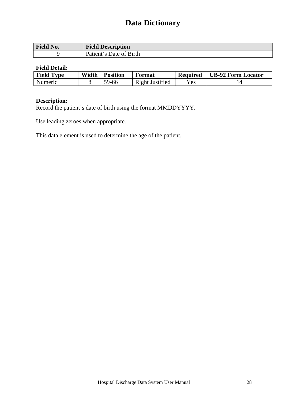| $\blacksquare$<br>$N_{0.}$<br><b>TIGIOT</b> | <b>Field Description</b>                                        |
|---------------------------------------------|-----------------------------------------------------------------|
|                                             | <b>Birth</b><br>Patient <sup>1</sup><br>Date of<br>$\mathbf{C}$ |

#### **Field Detail:**

| <b>Field Type</b> | Width | <b>Position</b> | Format                 | <b>Required</b> | <b>UB-92 Form Locator</b> |
|-------------------|-------|-----------------|------------------------|-----------------|---------------------------|
| Numeric           |       | 59-66           | <b>Right Justified</b> | Yes             |                           |

#### **Description:**

Record the patient's date of birth using the format MMDDYYYY.

Use leading zeroes when appropriate.

This data element is used to determine the age of the patient.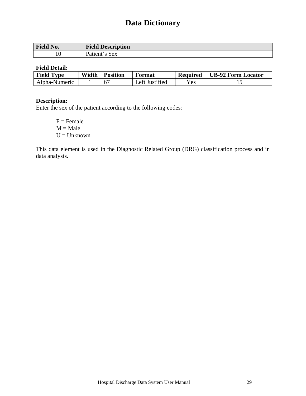| Field No. | <b>Field Description</b> |
|-----------|--------------------------|
| 10        | 's Sex<br>Patient'       |

#### **Field Detail:**

| <b>Field Type</b> | Width | <b>Position</b> | Format         | <b>Required</b> | <b>UB-92 Form Locator</b> |
|-------------------|-------|-----------------|----------------|-----------------|---------------------------|
| Alpha-Numeric     |       |                 | Left Justified | $v_{es}$        |                           |

#### **Description:**

Enter the sex of the patient according to the following codes:

 $F =$ Female  $M = Male$  $U =$ Unknown

This data element is used in the Diagnostic Related Group (DRG) classification process and in data analysis.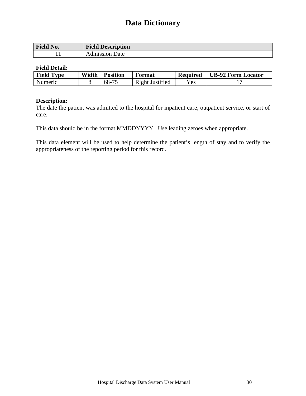| <b>Field No.</b> | <b>Field Description</b>   |
|------------------|----------------------------|
|                  | dmission<br>')ate<br>¬ เ . |

#### **Field Detail:**

| <b>Field Type</b> | Width | <b>Position</b> | Format          | <b>Required</b> | UB-92 Form Locator |
|-------------------|-------|-----------------|-----------------|-----------------|--------------------|
| Numeric           |       | 68-75           | Right Justified | Yes             |                    |

#### **Description:**

The date the patient was admitted to the hospital for inpatient care, outpatient service, or start of care.

This data should be in the format MMDDYYYY. Use leading zeroes when appropriate.

This data element will be used to help determine the patient's length of stay and to verify the appropriateness of the reporting period for this record.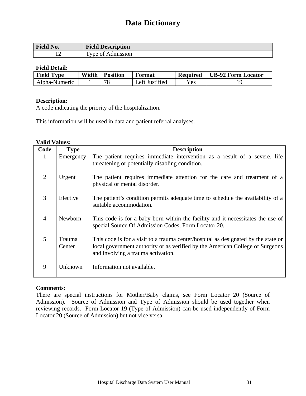| Field No.                                            | <b>Field Description</b>                          |
|------------------------------------------------------|---------------------------------------------------|
| $\overline{\phantom{a}}$<br>$\overline{\phantom{0}}$ | $\mathbf{r}$<br>Admıssıon<br>ി<br><b>vne</b><br>- |

#### **Field Detail:**

| <b>Field Type</b> | Width | <b>Position</b> | Format         | <b>Required</b> | <b>UB-92 Form Locator</b> |
|-------------------|-------|-----------------|----------------|-----------------|---------------------------|
| Alpha-Numeric     |       | 78              | Left Justified | Yes             |                           |

#### **Description:**

A code indicating the priority of the hospitalization.

This information will be used in data and patient referral analyses.

#### **Valid Values:**

| Code           | <b>Type</b>      | <b>Description</b>                                                                                                                                                                                        |
|----------------|------------------|-----------------------------------------------------------------------------------------------------------------------------------------------------------------------------------------------------------|
| 1              | Emergency        | The patient requires immediate intervention as a result of a severe, life<br>threatening or potentially disabling condition.                                                                              |
| $\overline{2}$ | Urgent           | The patient requires immediate attention for the care and treatment of a<br>physical or mental disorder.                                                                                                  |
| 3              | Elective         | The patient's condition permits adequate time to schedule the availability of a<br>suitable accommodation.                                                                                                |
| $\overline{4}$ | Newborn          | This code is for a baby born within the facility and it necessitates the use of<br>special Source Of Admission Codes, Form Locator 20.                                                                    |
| 5              | Trauma<br>Center | This code is for a visit to a trauma center/hospital as designated by the state or<br>local government authority or as verified by the American College of Surgeons<br>and involving a trauma activation. |
| 9              | Unknown          | Information not available.                                                                                                                                                                                |

#### **Comments:**

There are special instructions for Mother/Baby claims, see Form Locator 20 (Source of Admission). Source of Admission and Type of Admission should be used together when reviewing records. Form Locator 19 (Type of Admission) can be used independently of Form Locator 20 (Source of Admission) but not vice versa.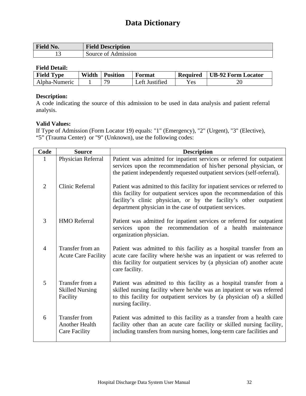| Field No. | <b>Field Description</b> |
|-----------|--------------------------|
|           | Source of Admission      |

#### **Field Detail:**

| <b>Field Type</b> | Width | <b>Position</b> | Format             | <b>Required</b>    | <b>UB-92 Form Locator</b> |
|-------------------|-------|-----------------|--------------------|--------------------|---------------------------|
| Alpha-Numeric     |       | 70              | Justified<br>_eft_ | ${\rm v}_{\rm es}$ | 20                        |

#### **Description:**

A code indicating the source of this admission to be used in data analysis and patient referral analysis.

#### **Valid Values:**

If Type of Admission (Form Locator 19) equals: "1" (Emergency), "2" (Urgent), "3" (Elective), "5" (Trauma Center) or "9" (Unknown), use the following codes:

| Code           | <b>Source</b>                                                  | <b>Description</b>                                                                                                                                                                                                                                                                     |
|----------------|----------------------------------------------------------------|----------------------------------------------------------------------------------------------------------------------------------------------------------------------------------------------------------------------------------------------------------------------------------------|
|                | Physician Referral                                             | Patient was admitted for inpatient services or referred for outpatient<br>services upon the recommendation of his/her personal physician, or<br>the patient independently requested outpatient services (self-referral).                                                               |
| $\overline{2}$ | <b>Clinic Referral</b>                                         | Patient was admitted to this facility for inpatient services or referred to<br>this facility for outpatient services upon the recommendation of this<br>facility's clinic physician, or by the facility's other outpatient<br>department physician in the case of outpatient services. |
| 3              | <b>HMO</b> Referral                                            | Patient was admitted for inpatient services or referred for outpatient<br>services upon the recommendation of a health maintenance<br>organization physician.                                                                                                                          |
| $\overline{4}$ | Transfer from an<br><b>Acute Care Facility</b>                 | Patient was admitted to this facility as a hospital transfer from an<br>acute care facility where he/she was an inpatient or was referred to<br>this facility for outpatient services by (a physician of) another acute<br>care facility.                                              |
| 5              | Transfer from a<br><b>Skilled Nursing</b><br>Facility          | Patient was admitted to this facility as a hospital transfer from a<br>skilled nursing facility where he/she was an inpatient or was referred<br>to this facility for outpatient services by (a physician of) a skilled<br>nursing facility.                                           |
| 6              | <b>Transfer from</b><br>Another Health<br><b>Care Facility</b> | Patient was admitted to this facility as a transfer from a health care<br>facility other than an acute care facility or skilled nursing facility,<br>including transfers from nursing homes, long-term care facilities and                                                             |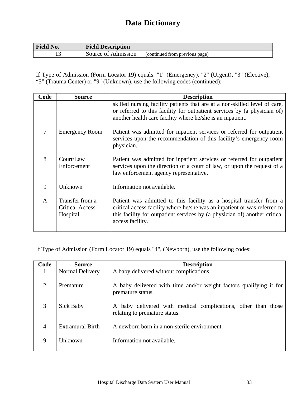| <b>Field No.</b> | <b>Field Description</b> |                                |
|------------------|--------------------------|--------------------------------|
|                  | Source of Admission      | (continued from previous page) |

If Type of Admission (Form Locator 19) equals: "1" (Emergency), "2" (Urgent), "3" (Elective), "5" (Trauma Center) or "9" (Unknown), use the following codes (continued):

| Code         | <b>Source</b>                                         | <b>Description</b>                                                                                                                                                                                                                                 |
|--------------|-------------------------------------------------------|----------------------------------------------------------------------------------------------------------------------------------------------------------------------------------------------------------------------------------------------------|
|              |                                                       | skilled nursing facility patients that are at a non-skilled level of care,<br>or referred to this facility for outpatient services by (a physician of)<br>another health care facility where he/she is an inpatient.                               |
| 7            | <b>Emergency Room</b>                                 | Patient was admitted for inpatient services or referred for outpatient<br>services upon the recommendation of this facility's emergency room<br>physician.                                                                                         |
| 8            | Court/Law<br>Enforcement                              | Patient was admitted for inpatient services or referred for outpatient<br>services upon the direction of a court of law, or upon the request of a<br>law enforcement agency representative.                                                        |
| 9            | Unknown                                               | Information not available.                                                                                                                                                                                                                         |
| $\mathbf{A}$ | Transfer from a<br><b>Critical Access</b><br>Hospital | Patient was admitted to this facility as a hospital transfer from a<br>critical access facility where he/she was an inpatient or was referred to<br>this facility for outpatient services by (a physician of) another critical<br>access facility. |

If Type of Admission (Form Locator 19) equals "4", (Newborn), use the following codes:

| Code           | <b>Source</b>    | <b>Description</b>                                                                             |
|----------------|------------------|------------------------------------------------------------------------------------------------|
| 1              | Normal Delivery  | A baby delivered without complications.                                                        |
| $\overline{2}$ | Premature        | A baby delivered with time and/or weight factors qualifying it for<br>premature status.        |
| 3              | <b>Sick Baby</b> | A baby delivered with medical complications, other than those<br>relating to premature status. |
| $\overline{4}$ | Extramural Birth | A newborn born in a non-sterile environment.                                                   |
| 9              | Unknown          | Information not available.                                                                     |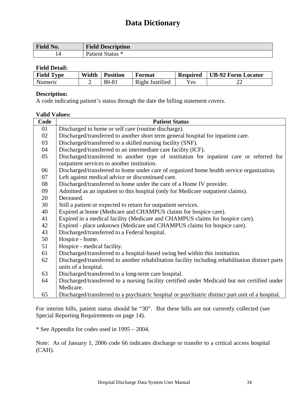| <b>Field No.</b> | <b>Field Description</b> |
|------------------|--------------------------|
| . 4              | Patient Status *         |

#### **Field Detail:**

| <b>Field Type</b> | Width | <b>Position</b> | Format          | <b>Required</b>    | <b>UB-92 Form Locator</b> |
|-------------------|-------|-----------------|-----------------|--------------------|---------------------------|
| Numeric           |       | $80 - 81$       | Right Justified | ${\rm v}_{\rm es}$ | ^^<br>∠∠                  |

#### **Description:**

A code indicating patient's status through the date the billing statement covers.

#### **Valid Values:**

| Code | <b>Patient Status</b>                                                                             |
|------|---------------------------------------------------------------------------------------------------|
| 01   | Discharged to home or self care (routine discharge).                                              |
| 02   | Discharged/transferred to another short term general hospital for inpatient care.                 |
| 03   | Discharged/transferred to a skilled nursing facility (SNF).                                       |
| 04   | Discharged/transferred to an intermediate care facility (ICF).                                    |
| 05   | Discharged/transferred to another type of institution for inpatient care or referred for          |
|      | outpatient services to another institution.                                                       |
| 06   | Discharged/transferred to home under care of organized home health service organization.          |
| 07   | Left against medical advice or discontinued care.                                                 |
| 08   | Discharged/transferred to home under the care of a Home IV provider.                              |
| 09   | Admitted as an inpatient to this hospital (only for Medicare outpatient claims).                  |
| 20   | Deceased.                                                                                         |
| 30   | Still a patient or expected to return for outpatient services.                                    |
| 40   | Expired at home (Medicare and CHAMPUS claims for hospice care).                                   |
| 41   | Expired in a medical facility (Medicare and CHAMPUS claims for hospice care).                     |
| 42   | Expired - place unknown (Medicare and CHAMPUS claims for hospice care).                           |
| 43   | Discharged/transferred to a Federal hospital.                                                     |
| 50   | Hospice - home.                                                                                   |
| 51   | Hospice - medical facility.                                                                       |
| 61   | Discharged/transferred to a hospital-based swing bed within this institution.                     |
| 62   | Discharged/transferred to another rehabilitation facility including rehabilitation distinct parts |
|      | units of a hospital.                                                                              |
| 63   | Discharged/transferred to a long-term care hospital.                                              |
| 64   | Discharged/transferred to a nursing facility certified under Medicaid but not certified under     |
|      | Medicare.                                                                                         |
| 65   | Discharged/transferred to a psychiatric hospital or psychiatric distinct part unit of a hospital. |

For interim bills, patient status should be "30". But these bills are not currently collected (see Special Reporting Requirements on page 14).

\* See Appendix for codes used in 1995 – 2004.

Note: As of January 1, 2006 code 66 indicates discharge or transfer to a critical access hospital (CAH).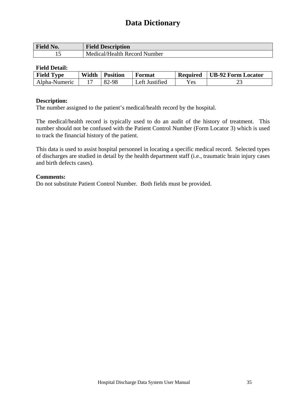| <b>Field No.</b> | <b>Field Description</b>     |
|------------------|------------------------------|
|                  | Medical/Health Record Number |

### **Field Detail:**

| <b>Field Type</b> | Width | <b>Position</b> | Format         | <b>Required</b> | UB-92 Form Locator |
|-------------------|-------|-----------------|----------------|-----------------|--------------------|
| Alpha-Numeric     |       | 82-98           | Left Justified | <b>Yes</b>      | <u>L.</u>          |

#### **Description:**

The number assigned to the patient's medical/health record by the hospital.

The medical/health record is typically used to do an audit of the history of treatment. This number should not be confused with the Patient Control Number (Form Locator 3) which is used to track the financial history of the patient.

This data is used to assist hospital personnel in locating a specific medical record. Selected types of discharges are studied in detail by the health department staff (i.e., traumatic brain injury cases and birth defects cases).

#### **Comments:**

Do not substitute Patient Control Number. Both fields must be provided.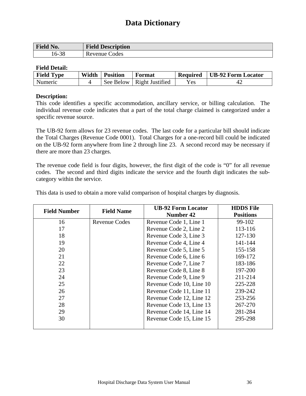| <b>Field No.</b> | <b>Field Description</b> |
|------------------|--------------------------|
| 16-38            | Revenue Codes            |

### **Field Detail:**

| <b>Field Type</b> | Width | <b>Position</b> | <b>Format</b>               | <b>Required</b> | UB-92 Form Locator |
|-------------------|-------|-----------------|-----------------------------|-----------------|--------------------|
| <b>Numeric</b>    |       |                 | See Below   Right Justified | Yes             |                    |

### **Description:**

This code identifies a specific accommodation, ancillary service, or billing calculation. The individual revenue code indicates that a part of the total charge claimed is categorized under a specific revenue source.

The UB-92 form allows for 23 revenue codes. The last code for a particular bill should indicate the Total Charges (Revenue Code 0001). Total Charges for a one-record bill could be indicated on the UB-92 form anywhere from line 2 through line 23. A second record may be necessary if there are more than 23 charges.

The revenue code field is four digits, however, the first digit of the code is "0" for all revenue codes. The second and third digits indicate the service and the fourth digit indicates the subcategory within the service.

| <b>Field Number</b> | <b>Field Name</b>    | <b>UB-92 Form Locator</b> | <b>HDDS</b> File |
|---------------------|----------------------|---------------------------|------------------|
|                     |                      | <b>Number 42</b>          | <b>Positions</b> |
| 16                  | <b>Revenue Codes</b> | Revenue Code 1, Line 1    | 99-102           |
| 17                  |                      | Revenue Code 2, Line 2    | 113-116          |
| 18                  |                      | Revenue Code 3, Line 3    | 127-130          |
| 19                  |                      | Revenue Code 4, Line 4    | 141-144          |
| 20                  |                      | Revenue Code 5, Line 5    | 155-158          |
| 21                  |                      | Revenue Code 6, Line 6    | 169-172          |
| 22                  |                      | Revenue Code 7, Line 7    | 183-186          |
| 23                  |                      | Revenue Code 8, Line 8    | 197-200          |
| 24                  |                      | Revenue Code 9, Line 9    | 211-214          |
| 25                  |                      | Revenue Code 10, Line 10  | 225-228          |
| 26                  |                      | Revenue Code 11, Line 11  | 239-242          |
| 27                  |                      | Revenue Code 12, Line 12  | 253-256          |
| 28                  |                      | Revenue Code 13, Line 13  | 267-270          |
| 29                  |                      | Revenue Code 14, Line 14  | 281-284          |
| 30                  |                      | Revenue Code 15, Line 15  | 295-298          |
|                     |                      |                           |                  |

This data is used to obtain a more valid comparison of hospital charges by diagnosis.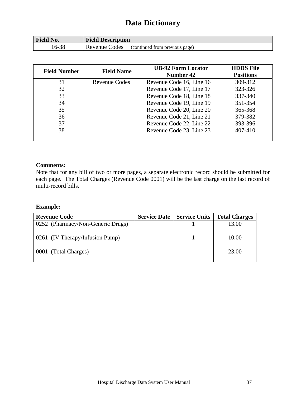| <b>Field No.</b> | <b>Field Description</b>      |                                |
|------------------|-------------------------------|--------------------------------|
| 38<br>-01        | Codes<br>Revenue <sup>t</sup> | (continued from previous page) |

| <b>Field Number</b> | <b>Field Name</b>    | <b>UB-92 Form Locator</b><br>Number 42 | <b>HDDS</b> File<br><b>Positions</b> |
|---------------------|----------------------|----------------------------------------|--------------------------------------|
| 31                  | <b>Revenue Codes</b> | Revenue Code 16, Line 16               | 309-312                              |
| 32                  |                      | Revenue Code 17, Line 17               | 323-326                              |
| 33                  |                      | Revenue Code 18, Line 18               | 337-340                              |
| 34                  |                      | Revenue Code 19, Line 19               | 351-354                              |
| 35                  |                      | Revenue Code 20, Line 20               | 365-368                              |
| 36                  |                      | Revenue Code 21, Line 21               | 379-382                              |
| 37                  |                      | Revenue Code 22, Line 22               | 393-396                              |
| 38                  |                      | Revenue Code 23, Line 23               | 407-410                              |
|                     |                      |                                        |                                      |

#### **Comments:**

Note that for any bill of two or more pages, a separate electronic record should be submitted for each page. The Total Charges (Revenue Code 0001) will be the last charge on the last record of multi-record bills.

### **Example:**

| <b>Revenue Code</b>               | <b>Service Date   Service Units  </b> | <b>Total Charges</b> |
|-----------------------------------|---------------------------------------|----------------------|
| 0252 (Pharmacy/Non-Generic Drugs) |                                       | 13.00                |
| 0261 (IV Therapy/Infusion Pump)   |                                       | 10.00                |
| 0001 (Total Charges)              |                                       | 23.00                |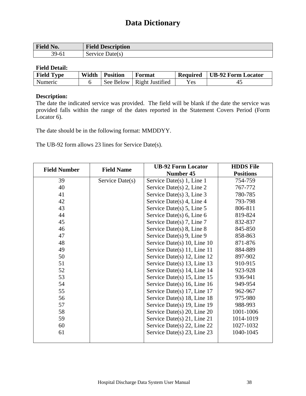| Field No. | <b>Field Description</b> |
|-----------|--------------------------|
| 39-61     | Service Date(s)          |

### **Field Detail:**

| <b>Field Type</b> | Width | <b>Position</b> | Format          | <b>Required</b> | <b>UB-92 Form Locator</b> |
|-------------------|-------|-----------------|-----------------|-----------------|---------------------------|
| Numeric           |       | See Below       | Right Justified | Yes             | 4.                        |

### **Description:**

The date the indicated service was provided. The field will be blank if the date the service was provided falls within the range of the dates reported in the Statement Covers Period (Form Locator 6).

The date should be in the following format: MMDDYY.

The UB-92 form allows 23 lines for Service Date(s).

| <b>Field Number</b> | <b>Field Name</b> | <b>UB-92 Form Locator</b>        | <b>HDDS</b> File |
|---------------------|-------------------|----------------------------------|------------------|
|                     |                   | Number 45                        | <b>Positions</b> |
| 39                  | Service Date(s)   | Service Date(s) 1, Line 1        | 754-759          |
| 40                  |                   | Service Date(s) $2$ , Line $2$   | 767-772          |
| 41                  |                   | Service Date(s) $3$ , Line $3$   | 780-785          |
| 42                  |                   | Service Date(s) 4, Line 4        | 793-798          |
| 43                  |                   | Service Date(s) $5$ , Line $5$   | 806-811          |
| 44                  |                   | Service Date(s) $6$ , Line $6$   | 819-824          |
| 45                  |                   | Service Date(s) $7$ , Line $7$   | 832-837          |
| 46                  |                   | Service Date(s) $8$ , Line $8$   | 845-850          |
| 47                  |                   | Service Date(s) 9, Line 9        | 858-863          |
| 48                  |                   | Service Date(s) $10$ , Line $10$ | 871-876          |
| 49                  |                   | Service Date(s) 11, Line 11      | 884-889          |
| 50                  |                   | Service Date(s) $12$ , Line $12$ | 897-902          |
| 51                  |                   | Service Date(s) 13, Line 13      | 910-915          |
| 52                  |                   | Service Date(s) $14$ , Line $14$ | 923-928          |
| 53                  |                   | Service Date(s) $15$ , Line $15$ | 936-941          |
| 54                  |                   | Service Date(s) 16, Line $16$    | 949-954          |
| 55                  |                   | Service Date(s) $17$ , Line $17$ | 962-967          |
| 56                  |                   | Service Date(s) 18, Line 18      | 975-980          |
| 57                  |                   | Service Date(s) $19$ , Line $19$ | 988-993          |
| 58                  |                   | Service Date(s) 20, Line 20      | 1001-1006        |
| 59                  |                   | Service Date(s) 21, Line 21      | 1014-1019        |
| 60                  |                   | Service Date(s) 22, Line 22      | 1027-1032        |
| 61                  |                   | Service Date(s) 23, Line 23      | 1040-1045        |
|                     |                   |                                  |                  |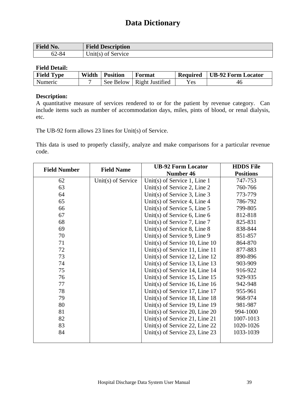| <b>Field No.</b> | <b>Field Description</b> |
|------------------|--------------------------|
| 62-84            | $Unit(s)$ of Service     |

### **Field Detail:**

| <b>Field Type</b> | Width | <b>Position</b> | Format                      | <b>Required</b> | UB-92 Form Locator |
|-------------------|-------|-----------------|-----------------------------|-----------------|--------------------|
| <b>Numeric</b>    |       |                 | See Below   Right Justified | Yes             | 46                 |

### **Description:**

A quantitative measure of services rendered to or for the patient by revenue category. Can include items such as number of accommodation days, miles, pints of blood, or renal dialysis, etc.

The UB-92 form allows 23 lines for Unit(s) of Service.

This data is used to properly classify, analyze and make comparisons for a particular revenue code.

| <b>Field Number</b> | <b>Field Name</b>  | <b>UB-92 Form Locator</b>        | <b>HDDS</b> File |
|---------------------|--------------------|----------------------------------|------------------|
|                     |                    | Number 46                        | <b>Positions</b> |
| 62                  | Unit(s) of Service | Unit(s) of Service 1, Line 1     | 747-753          |
| 63                  |                    | Unit(s) of Service 2, Line 2     | 760-766          |
| 64                  |                    | Unit(s) of Service 3, Line $3$   | 773-779          |
| 65                  |                    | Unit(s) of Service 4, Line 4     | 786-792          |
| 66                  |                    | Unit(s) of Service 5, Line $5$   | 799-805          |
| 67                  |                    | Unit(s) of Service 6, Line $6$   | 812-818          |
| 68                  |                    | Unit(s) of Service 7, Line 7     | 825-831          |
| 69                  |                    | Unit(s) of Service 8, Line 8     | 838-844          |
| 70                  |                    | Unit(s) of Service 9, Line 9     | 851-857          |
| 71                  |                    | Unit(s) of Service 10, Line $10$ | 864-870          |
| 72                  |                    | Unit(s) of Service 11, Line 11   | 877-883          |
| 73                  |                    | Unit(s) of Service 12, Line $12$ | 890-896          |
| 74                  |                    | Unit(s) of Service 13, Line $13$ | 903-909          |
| 75                  |                    | Unit(s) of Service 14, Line $14$ | 916-922          |
| 76                  |                    | Unit(s) of Service 15, Line $15$ | 929-935          |
| 77                  |                    | Unit(s) of Service 16, Line $16$ | 942-948          |
| 78                  |                    | Unit(s) of Service 17, Line $17$ | 955-961          |
| 79                  |                    | Unit(s) of Service 18, Line $18$ | 968-974          |
| 80                  |                    | Unit(s) of Service 19, Line 19   | 981-987          |
| 81                  |                    | Unit(s) of Service 20, Line $20$ | 994-1000         |
| 82                  |                    | Unit(s) of Service 21, Line 21   | 1007-1013        |
| 83                  |                    | Unit(s) of Service 22, Line $22$ | 1020-1026        |
| 84                  |                    | Unit(s) of Service 23, Line 23   | 1033-1039        |
|                     |                    |                                  |                  |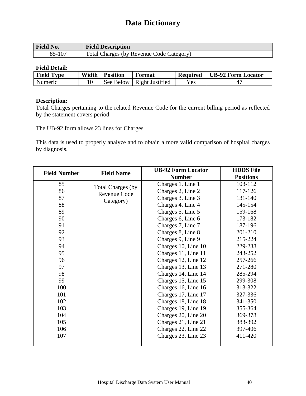| <b>Field No.</b> | <b>Field Description</b>                 |
|------------------|------------------------------------------|
| 85-107           | Total Charges (by Revenue Code Category) |

### **Field Detail:**

| <b>Field Type</b> | Width | <b>Position</b> | Format          | <b>Required</b> | <b>UB-92 Form Locator</b> |
|-------------------|-------|-----------------|-----------------|-----------------|---------------------------|
| <b>Numeric</b>    |       | See Below       | Right Justified | Yes             |                           |

### **Description:**

Total Charges pertaining to the related Revenue Code for the current billing period as reflected by the statement covers period.

The UB-92 form allows 23 lines for Charges.

This data is used to properly analyze and to obtain a more valid comparison of hospital charges by diagnosis.

| <b>Field Number</b> | <b>Field Name</b> | <b>UB-92 Form Locator</b> | <b>HDDS</b> File |
|---------------------|-------------------|---------------------------|------------------|
|                     |                   | <b>Number</b>             | <b>Positions</b> |
| 85                  | Total Charges (by | Charges 1, Line 1         | 103-112          |
| 86                  | Revenue Code      | Charges 2, Line 2         | 117-126          |
| 87                  | Category)         | Charges 3, Line 3         | 131-140          |
| 88                  |                   | Charges 4, Line 4         | 145-154          |
| 89                  |                   | Charges 5, Line 5         | 159-168          |
| 90                  |                   | Charges 6, Line 6         | 173-182          |
| 91                  |                   | Charges 7, Line 7         | 187-196          |
| 92                  |                   | Charges 8, Line 8         | 201-210          |
| 93                  |                   | Charges 9, Line 9         | 215-224          |
| 94                  |                   | Charges 10, Line 10       | 229-238          |
| 95                  |                   | Charges 11, Line 11       | 243-252          |
| 96                  |                   | Charges 12, Line 12       | 257-266          |
| 97                  |                   | Charges 13, Line 13       | 271-280          |
| 98                  |                   | Charges 14, Line 14       | 285-294          |
| 99                  |                   | Charges 15, Line 15       | 299-308          |
| 100                 |                   | Charges 16, Line 16       | 313-322          |
| 101                 |                   | Charges 17, Line 17       | 327-336          |
| 102                 |                   | Charges 18, Line 18       | 341-350          |
| 103                 |                   | Charges 19, Line 19       | 355-364          |
| 104                 |                   | Charges 20, Line 20       | 369-378          |
| 105                 |                   | Charges 21, Line 21       | 383-392          |
| 106                 |                   | Charges 22, Line 22       | 397-406          |
| 107                 |                   | Charges 23, Line 23       | 411-420          |
|                     |                   |                           |                  |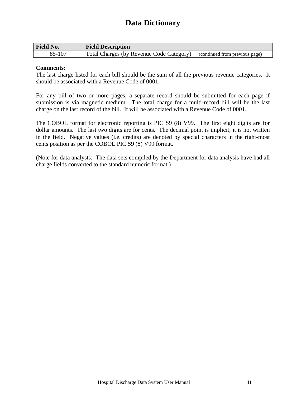| <b>Field No.</b> | <b>Field Description</b>                 |                                |
|------------------|------------------------------------------|--------------------------------|
| 85-107           | Total Charges (by Revenue Code Category) | (continued from previous page) |

### **Comments:**

The last charge listed for each bill should be the sum of all the previous revenue categories. It should be associated with a Revenue Code of 0001.

For any bill of two or more pages, a separate record should be submitted for each page if submission is via magnetic medium. The total charge for a multi-record bill will be the last charge on the last record of the bill. It will be associated with a Revenue Code of 0001.

The COBOL format for electronic reporting is PIC S9 (8) V99. The first eight digits are for dollar amounts. The last two digits are for cents. The decimal point is implicit; it is not written in the field. Negative values (i.e. credits) are denoted by special characters in the right-most cents position as per the COBOL PIC S9 (8) V99 format.

(Note for data analysts: The data sets compiled by the Department for data analysis have had all charge fields converted to the standard numeric format.)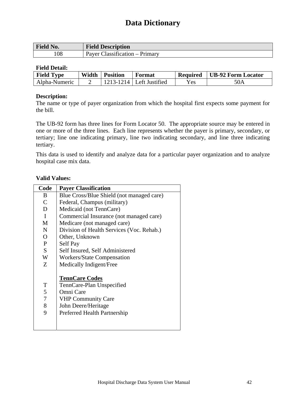| <b>Field No.</b> | <b>Field Description</b>          |
|------------------|-----------------------------------|
| 108              | Classification – Primary<br>Payer |

### **Field Detail:**

| <b>Field Type</b> | Width | <b>Position</b> | Format                      | <b>Required</b> | <b>UB-92 Form Locator</b> |
|-------------------|-------|-----------------|-----------------------------|-----------------|---------------------------|
| Alpha-Numeric     |       |                 | $213 - 1214$ Left Justified | Yes.            | 50A                       |

### **Description:**

The name or type of payer organization from which the hospital first expects some payment for the bill.

The UB-92 form has three lines for Form Locator 50. The appropriate source may be entered in one or more of the three lines. Each line represents whether the payer is primary, secondary, or tertiary; line one indicating primary, line two indicating secondary, and line three indicating tertiary.

This data is used to identify and analyze data for a particular payer organization and to analyze hospital case mix data.

### **Valid Values:**

| Code             | <b>Payer Classification</b>               |
|------------------|-------------------------------------------|
| B.               | Blue Cross/Blue Shield (not managed care) |
| $\mathcal{C}$    | Federal, Champus (military)               |
| D                | Medicaid (not TennCare)                   |
| $\mathbf{I}$     | Commercial Insurance (not managed care)   |
| M                | Medicare (not managed care)               |
| N                | Division of Health Services (Voc. Rehab.) |
| $\Omega$         | Other, Unknown                            |
| P                | Self Pay                                  |
| S                | Self Insured, Self Administered           |
| W                | <b>Workers/State Compensation</b>         |
| Z                | Medically Indigent/Free                   |
|                  | <b>TennCare Codes</b>                     |
| T                | TennCare-Plan Unspecified                 |
| 5                | Omni Care                                 |
| $\boldsymbol{7}$ | <b>VHP Community Care</b>                 |
| 8                | John Deere/Heritage                       |
| 9                | Preferred Health Partnership              |
|                  |                                           |
|                  |                                           |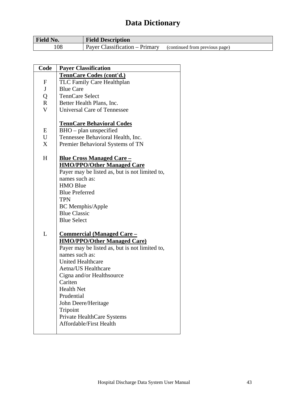| <b>Field No.</b> | <b>Field Description</b>       |                                |
|------------------|--------------------------------|--------------------------------|
| 108              | Payer Classification – Primary | (continued from previous page) |

| Code             | <b>Payer Classification</b>                    |
|------------------|------------------------------------------------|
|                  | <b>TennCare Codes (cont'd.)</b>                |
| $\boldsymbol{F}$ | <b>TLC Family Care Healthplan</b>              |
| J                | <b>Blue Care</b>                               |
| Q                | <b>TennCare Select</b>                         |
| $\mathbf R$      | Better Health Plans, Inc.                      |
| $\mathbf{V}$     | <b>Universal Care of Tennessee</b>             |
|                  |                                                |
|                  | <b>TennCare Behavioral Codes</b>               |
| E                | $BHO$ – plan unspecified                       |
| U                | Tennessee Behavioral Health, Inc.              |
| X                | Premier Behavioral Systems of TN               |
|                  |                                                |
| H                | <u><b>Blue Cross Managed Care –</b></u>        |
|                  | <b>HMO/PPO/Other Managed Care</b>              |
|                  | Payer may be listed as, but is not limited to, |
|                  | names such as:                                 |
|                  | <b>HMO Blue</b>                                |
|                  | <b>Blue Preferred</b>                          |
|                  | <b>TPN</b>                                     |
|                  | <b>BC</b> Memphis/Apple                        |
|                  | <b>Blue Classic</b>                            |
|                  | <b>Blue Select</b>                             |
|                  |                                                |
| L                | <u><b>Commercial (Managed Care –</b></u>       |
|                  | <b>HMO/PPO/Other Managed Care)</b>             |
|                  | Payer may be listed as, but is not limited to, |
|                  | names such as:                                 |
|                  | <b>United Healthcare</b>                       |
|                  | Aetna/US Healthcare                            |
|                  | Cigna and/or Healthsource                      |
|                  | Cariten                                        |
|                  | <b>Health Net</b>                              |
|                  | Prudential                                     |
|                  | John Deere/Heritage                            |
|                  | Tripoint                                       |
|                  | Private HealthCare Systems                     |
|                  | <b>Affordable/First Health</b>                 |
|                  |                                                |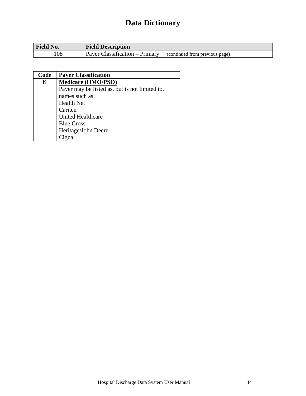| <b>Field</b><br>'No. | <b>Field Description</b>         |                                |
|----------------------|----------------------------------|--------------------------------|
| .08                  | lassification – Primary<br>Paver | (continued from previous page) |

| Code    | <b>Payer Classification</b>                    |
|---------|------------------------------------------------|
| $\bf K$ | <b>Medicare (HMO/PSO)</b>                      |
|         | Payer may be listed as, but is not limited to, |
|         | names such as:                                 |
|         | <b>Health Net</b>                              |
|         | Cariten                                        |
|         | <b>United Healthcare</b>                       |
|         | <b>Blue Cross</b>                              |
|         | Heritage/John Deere                            |
|         |                                                |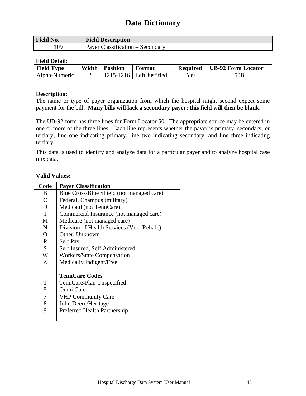| <b>Field No.</b> | <b>Field Description</b>                           |
|------------------|----------------------------------------------------|
| 109              | $Classification - Secondary$<br>Paver <sup>t</sup> |

#### **Field Detail:**

| <b>Field Type</b> | Width | <b>Position</b> | Format                       | <b>Required</b> | <b>UB-92 Form Locator</b> |
|-------------------|-------|-----------------|------------------------------|-----------------|---------------------------|
| Alpha-Numeric     |       |                 | $1215 - 1216$ Left Justified | Yes             | 50B                       |

### **Description:**

The name or type of payer organization from which the hospital might second expect some payment for the bill. **Many bills will lack a secondary payer; this field will then be blank.** 

The UB-92 form has three lines for Form Locator 50. The appropriate source may be entered in one or more of the three lines. Each line represents whether the payer is primary, secondary, or tertiary; line one indicating primary, line two indicating secondary, and line three indicating tertiary.

This data is used to identify and analyze data for a particular payer and to analyze hospital case mix data.

### **Valid Values:**

| Code             | <b>Payer Classification</b>                                     |
|------------------|-----------------------------------------------------------------|
| B                | Blue Cross/Blue Shield (not managed care)                       |
| $\mathcal{C}$    | Federal, Champus (military)                                     |
| D                | Medicaid (not TennCare)                                         |
| $\mathbf{I}$     | Commercial Insurance (not managed care)                         |
| M                | Medicare (not managed care)                                     |
| $\mathbf N$      | Division of Health Services (Voc. Rehab.)                       |
| $\mathbf{O}$     | Other, Unknown                                                  |
| P                | Self Pay                                                        |
| S                | Self Insured, Self Administered                                 |
| W                | <b>Workers/State Compensation</b>                               |
| Z                | Medically Indigent/Free                                         |
| T<br>5           | <b>TennCare Codes</b><br>TennCare-Plan Unspecified<br>Omni Care |
| $\boldsymbol{7}$ | <b>VHP Community Care</b>                                       |
| 8                | John Deere/Heritage                                             |
| 9                | Preferred Health Partnership                                    |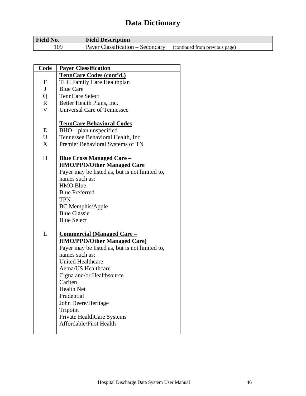| <b>Field No.</b> | <b>Field Description</b>                                              |  |
|------------------|-----------------------------------------------------------------------|--|
| 109              | $\mu$ Payer Classification – Secondary (continued from previous page) |  |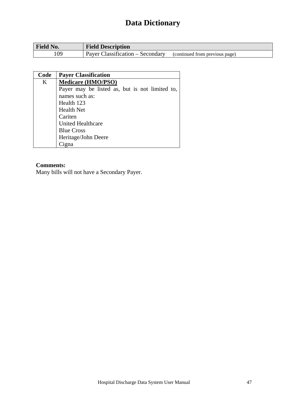| <b>Field No.</b> | <b>Field Description</b>                                           |
|------------------|--------------------------------------------------------------------|
| 109              | Payer Classification – Secondary<br>(continued from previous page) |

| Code | <b>Payer Classification</b>                    |
|------|------------------------------------------------|
| K    | <b>Medicare (HMO/PSO)</b>                      |
|      | Payer may be listed as, but is not limited to, |
|      | names such as:                                 |
|      | Health 123                                     |
|      | <b>Health Net</b>                              |
|      | Cariten                                        |
|      | <b>United Healthcare</b>                       |
|      | <b>Blue Cross</b>                              |
|      | Heritage/John Deere                            |
|      |                                                |

### **Comments:**

Many bills will not have a Secondary Payer.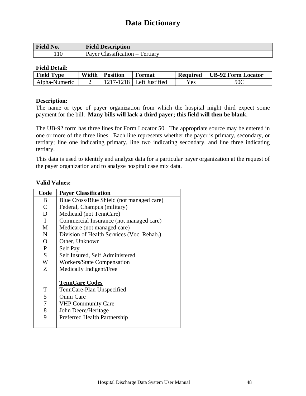| <b>Field No.</b> | <b>Field Description</b>                |
|------------------|-----------------------------------------|
| 110              | $Classification -$<br>Tertiary<br>Paver |

### **Field Detail:**

| <b>Field Type</b> | Width | <b>Position</b> | Format                       | <b>Required</b> | UB-92 Form Locator |
|-------------------|-------|-----------------|------------------------------|-----------------|--------------------|
| Alpha-Numeric     |       |                 | $1217 - 1218$ Left Justified | Yes             | 50C                |

### **Description:**

The name or type of payer organization from which the hospital might third expect some payment for the bill. **Many bills will lack a third payer; this field will then be blank.** 

The UB-92 form has three lines for Form Locator 50. The appropriate source may be entered in one or more of the three lines. Each line represents whether the payer is primary, secondary, or tertiary; line one indicating primary, line two indicating secondary, and line three indicating tertiary.

This data is used to identify and analyze data for a particular payer organization at the request of the payer organization and to analyze hospital case mix data.

#### **Valid Values:**

| Code                               | <b>Payer Classification</b>                                                                                                                         |
|------------------------------------|-----------------------------------------------------------------------------------------------------------------------------------------------------|
| B                                  | Blue Cross/Blue Shield (not managed care)                                                                                                           |
| $\mathcal{C}$                      | Federal, Champus (military)                                                                                                                         |
| D                                  | Medicaid (not TennCare)                                                                                                                             |
| $\mathbf I$                        | Commercial Insurance (not managed care)                                                                                                             |
| M                                  | Medicare (not managed care)                                                                                                                         |
| $\mathbf N$                        | Division of Health Services (Voc. Rehab.)                                                                                                           |
| $\mathbf{O}$                       | Other, Unknown                                                                                                                                      |
| P                                  | Self Pay                                                                                                                                            |
| <sub>S</sub>                       | Self Insured, Self Administered                                                                                                                     |
| W                                  | <b>Workers/State Compensation</b>                                                                                                                   |
| Z                                  | Medically Indigent/Free                                                                                                                             |
| T<br>5<br>$\overline{7}$<br>8<br>9 | <b>TennCare Codes</b><br>TennCare-Plan Unspecified<br>Omni Care<br><b>VHP Community Care</b><br>John Deere/Heritage<br>Preferred Health Partnership |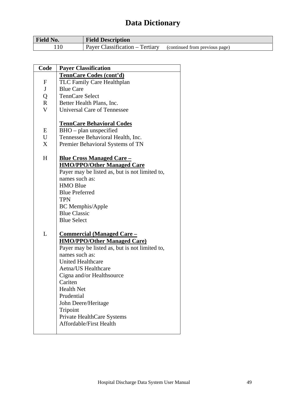| <b>Field No.</b> | <b>Field Description</b>        |                                  |
|------------------|---------------------------------|----------------------------------|
| 10               | Payer Classification – Tertiary | / (continued from previous page) |

| Code         | <b>Payer Classification</b>                                      |
|--------------|------------------------------------------------------------------|
|              | <b>TennCare Codes (cont'd)</b>                                   |
| $\mathbf{F}$ | TLC Family Care Healthplan                                       |
| J            | <b>Blue Care</b>                                                 |
| Q            | <b>TennCare Select</b>                                           |
| $\mathbf R$  | Better Health Plans, Inc.                                        |
| $\mathbf{V}$ | <b>Universal Care of Tennessee</b>                               |
|              | <b>TennCare Behavioral Codes</b>                                 |
| E            | $BHO$ – plan unspecified                                         |
| U            | Tennessee Behavioral Health, Inc.                                |
| X            | Premier Behavioral Systems of TN                                 |
|              |                                                                  |
| H            | <u><b>Blue Cross Managed Care –</b></u>                          |
|              | <b>HMO/PPO/Other Managed Care</b>                                |
|              | Payer may be listed as, but is not limited to,                   |
|              | names such as:                                                   |
|              | <b>HMO Blue</b>                                                  |
|              | <b>Blue Preferred</b>                                            |
|              | <b>TPN</b>                                                       |
|              | <b>BC</b> Memphis/Apple                                          |
|              | <b>Blue Classic</b>                                              |
|              | <b>Blue Select</b>                                               |
| L            |                                                                  |
|              | <u><b>Commercial (Managed Care –</b></u>                         |
|              | <b>HMO/PPO/Other Managed Care)</b>                               |
|              | Payer may be listed as, but is not limited to,<br>names such as: |
|              | <b>United Healthcare</b>                                         |
|              | Aetna/US Healthcare                                              |
|              |                                                                  |
|              | Cigna and/or Healthsource<br>Cariten                             |
|              | <b>Health Net</b>                                                |
|              | Prudential                                                       |
|              |                                                                  |
|              | John Deere/Heritage                                              |
|              | Tripoint                                                         |
|              | Private HealthCare Systems<br>Affordable/First Health            |
|              |                                                                  |
|              |                                                                  |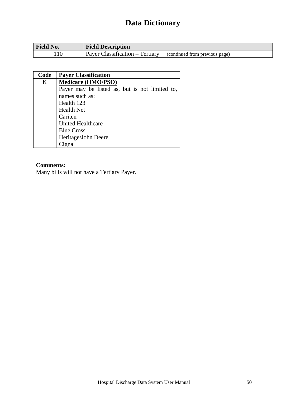| <b>Field No.</b> | <b>Field Description</b>        |                                |
|------------------|---------------------------------|--------------------------------|
|                  | Payer Classification – Tertiary | (continued from previous page) |

| Code | <b>Payer Classification</b>                    |
|------|------------------------------------------------|
| K    | <b>Medicare (HMO/PSO)</b>                      |
|      | Payer may be listed as, but is not limited to, |
|      | names such as:                                 |
|      | Health 123                                     |
|      | <b>Health Net</b>                              |
|      | Cariten                                        |
|      | <b>United Healthcare</b>                       |
|      | <b>Blue Cross</b>                              |
|      | Heritage/John Deere                            |
|      |                                                |

## **Comments:**

Many bills will not have a Tertiary Payer.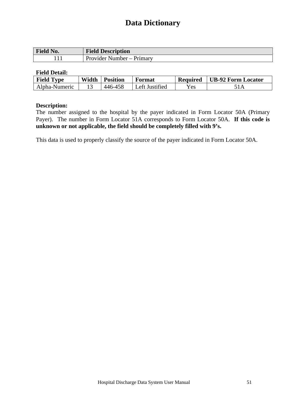| Field No. | <b>Field Description</b>       |
|-----------|--------------------------------|
|           | Number – Primary<br>Provider i |

#### **Field Detail:**

| <b>Field Type</b> | Width | <b>Position</b> | Format         | <b>Required</b> | <b>UB-92 Form Locator</b> |
|-------------------|-------|-----------------|----------------|-----------------|---------------------------|
| Alpha-Numeric     |       | 446-458         | Left Justified | <b>Yes</b>      |                           |

#### **Description:**

The number assigned to the hospital by the payer indicated in Form Locator 50A (Primary Payer). The number in Form Locator 51A corresponds to Form Locator 50A. **If this code is unknown or not applicable, the field should be completely filled with 9's.** 

This data is used to properly classify the source of the payer indicated in Form Locator 50A.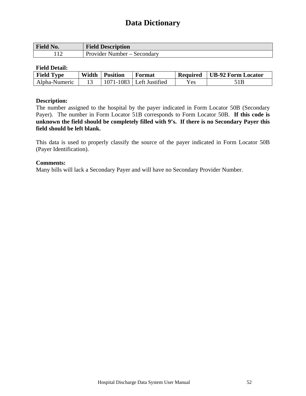| <b>Field No.</b>           | <b>Field Description</b>              |
|----------------------------|---------------------------------------|
| $\sim$<br>$\cdot$ 1 $\sim$ | Provider<br>Secondary<br>' Number – I |

#### **Field Detail:**

| <b>Field Type</b> | Width | <b>Position</b> | Format                       | <b>Required</b> | UB-92 Form Locator |
|-------------------|-------|-----------------|------------------------------|-----------------|--------------------|
| Alpha-Numeric     |       |                 | $1071 - 1083$ Left Justified | Yes             |                    |

#### **Description:**

The number assigned to the hospital by the payer indicated in Form Locator 50B (Secondary Payer). The number in Form Locator 51B corresponds to Form Locator 50B. **If this code is unknown the field should be completely filled with 9's. If there is no Secondary Payer this field should be left blank.** 

This data is used to properly classify the source of the payer indicated in Form Locator 50B (Payer Identification).

#### **Comments:**

Many bills will lack a Secondary Payer and will have no Secondary Provider Number.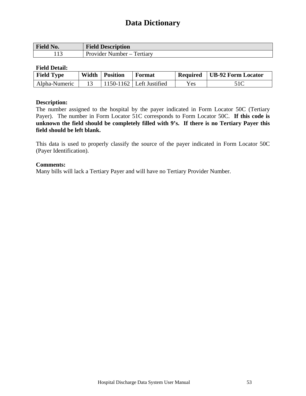| <b>Tield No.</b> | $\mathbf{m}$ .<br><b>Field Description</b> |
|------------------|--------------------------------------------|
| $\sim$<br>1 I J  | rertiary<br>- Provider<br>Number           |

### **Field Detail:**

| <b>Field Type</b> | Width | Position | Format                     | Required | UB-92 Form Locator |
|-------------------|-------|----------|----------------------------|----------|--------------------|
| Alpha-Numeric     |       |          | $1150-1162$ Left Justified | Yes.     |                    |

### **Description:**

The number assigned to the hospital by the payer indicated in Form Locator 50C (Tertiary Payer). The number in Form Locator 51C corresponds to Form Locator 50C. **If this code is unknown the field should be completely filled with 9's. If there is no Tertiary Payer this field should be left blank.** 

This data is used to properly classify the source of the payer indicated in Form Locator 50C (Payer Identification).

### **Comments:**

Many bills will lack a Tertiary Payer and will have no Tertiary Provider Number.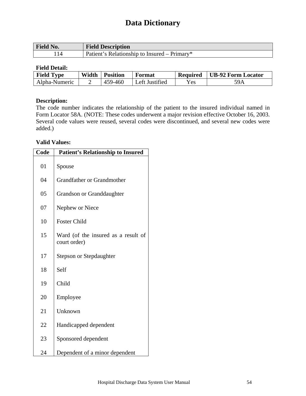| <b>Field No.</b> | <b>Field Description</b>                     |
|------------------|----------------------------------------------|
|                  | Patient's Relationship to Insured – Primary* |

### **Field Detail:**

| <b>Field Type</b> | Width | <b>Position</b> | Format         | <b>Required</b>   | <b>UB-92 Form Locator</b> |
|-------------------|-------|-----------------|----------------|-------------------|---------------------------|
| Alpha-Numeric     |       | 459-460         | Left Justified | $\mathbf{v_{es}}$ | 59A                       |

### **Description:**

The code number indicates the relationship of the patient to the insured individual named in Form Locator 58A. (NOTE: These codes underwent a major revision effective October 16, 2003. Several code values were reused, several codes were discontinued, and several new codes were added.)

### **Valid Values:**

| Code | <b>Patient's Relationship to Insured</b>            |
|------|-----------------------------------------------------|
| 01   | Spouse                                              |
| 04   | <b>Grandfather or Grandmother</b>                   |
| 05   | Grandson or Granddaughter                           |
| 07   | Nephew or Niece                                     |
| 10   | <b>Foster Child</b>                                 |
| 15   | Ward (of the insured as a result of<br>court order) |
| 17   | Stepson or Stepdaughter                             |
| 18   | Self                                                |
| 19   | Child                                               |
| 20   | Employee                                            |
| 21   | Unknown                                             |
| 22   | Handicapped dependent                               |
| 23   | Sponsored dependent                                 |
| 24   | Dependent of a minor dependent                      |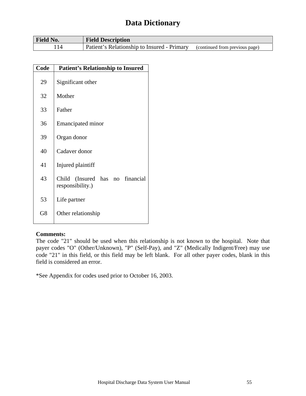| <b>Field No.</b> | <b>Field Description</b>                    |                                  |
|------------------|---------------------------------------------|----------------------------------|
|                  | Patient's Relationship to Insured - Primary | , (continued from previous page) |

| Code | <b>Patient's Relationship to Insured</b>               |
|------|--------------------------------------------------------|
| 29   | Significant other                                      |
| 32   | Mother                                                 |
| 33   | Father                                                 |
| 36   | <b>Emancipated minor</b>                               |
| 39   | Organ donor                                            |
| 40   | Cadaver donor                                          |
| 41   | Injured plaintiff                                      |
| 43   | Child (Insured has<br>no financial<br>responsibility.) |
| 53   | Life partner                                           |
| G8   | Other relationship                                     |

### **Comments:**

The code "21" should be used when this relationship is not known to the hospital. Note that payer codes "O" (Other/Unknown), "P" (Self-Pay), and "Z" (Medically Indigent/Free) may use code "21" in this field, or this field may be left blank. For all other payer codes, blank in this field is considered an error.

\*See Appendix for codes used prior to October 16, 2003.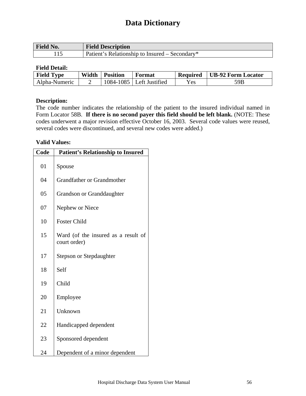| <b>Field No.</b> | <b>Field Description</b>                       |
|------------------|------------------------------------------------|
|                  | Patient's Relationship to Insured – Secondary* |

### **Field Detail:**

| <b>Field Type</b> | Width | <b>Position</b> | Format         | <b>Required</b> | <b>UB-92 Form Locator</b> |
|-------------------|-------|-----------------|----------------|-----------------|---------------------------|
| Alpha-Numeric     |       | $1084 - 1085$   | Left Justified | Yes             | 59B                       |

### **Description:**

The code number indicates the relationship of the patient to the insured individual named in Form Locator 58B. **If there is no second payer this field should be left blank.** (NOTE: These codes underwent a major revision effective October 16, 2003. Several code values were reused, several codes were discontinued, and several new codes were added.)

### **Valid Values:**

| Code | <b>Patient's Relationship to Insured</b>            |
|------|-----------------------------------------------------|
| 01   | Spouse                                              |
| 04   | <b>Grandfather or Grandmother</b>                   |
| 05   | Grandson or Granddaughter                           |
| 07   | Nephew or Niece                                     |
| 10   | <b>Foster Child</b>                                 |
| 15   | Ward (of the insured as a result of<br>court order) |
| 17   | <b>Stepson or Stepdaughter</b>                      |
| 18   | Self                                                |
| 19   | Child                                               |
| 20   | Employee                                            |
| 21   | Unknown                                             |
| 22   | Handicapped dependent                               |
| 23   | Sponsored dependent                                 |
| 24   | Dependent of a minor dependent                      |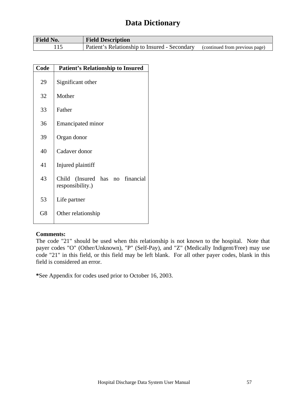| <b>Field No.</b> | <b>Field Description</b>                                                     |  |
|------------------|------------------------------------------------------------------------------|--|
|                  | Patient's Relationship to Insured - Secondary (continued from previous page) |  |

| Code | <b>Patient's Relationship to Insured</b>               |
|------|--------------------------------------------------------|
| 29   | Significant other                                      |
| 32   | Mother                                                 |
| 33   | Father                                                 |
| 36   | <b>Emancipated minor</b>                               |
| 39   | Organ donor                                            |
| 40   | Cadaver donor                                          |
| 41   | Injured plaintiff                                      |
| 43   | no financial<br>Child (Insured has<br>responsibility.) |
| 53   | Life partner                                           |
| G8   | Other relationship                                     |

### **Comments:**

The code "21" should be used when this relationship is not known to the hospital. Note that payer codes "O" (Other/Unknown), "P" (Self-Pay), and "Z" (Medically Indigent/Free) may use code "21" in this field, or this field may be left blank. For all other payer codes, blank in this field is considered an error.

**\***See Appendix for codes used prior to October 16, 2003.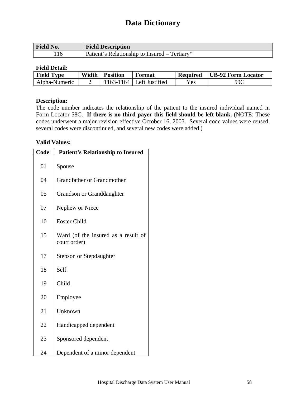| <b>Field No.</b> | <b>Field Description</b>                      |
|------------------|-----------------------------------------------|
| . 16             | Patient's Relationship to Insured – Tertiary* |

### **Field Detail:**

| <b>Field Type</b> | Width | <b>Position</b> | Format         | <b>Required</b> | <b>UB-92 Form Locator</b> |
|-------------------|-------|-----------------|----------------|-----------------|---------------------------|
| Alpha-Numeric     |       | 163-1<br>64     | Left Justified | Yes             | 59C                       |

### **Description:**

The code number indicates the relationship of the patient to the insured individual named in Form Locator 58C. **If there is no third payer this field should be left blank.** (NOTE: These codes underwent a major revision effective October 16, 2003. Several code values were reused, several codes were discontinued, and several new codes were added.)

### **Valid Values:**

| Code | <b>Patient's Relationship to Insured</b>            |
|------|-----------------------------------------------------|
| 01   | Spouse                                              |
| 04   | <b>Grandfather or Grandmother</b>                   |
| 05   | Grandson or Granddaughter                           |
| 07   | Nephew or Niece                                     |
| 10   | <b>Foster Child</b>                                 |
| 15   | Ward (of the insured as a result of<br>court order) |
| 17   | Stepson or Stepdaughter                             |
| 18   | Self                                                |
| 19   | Child                                               |
| 20   | Employee                                            |
| 21   | Unknown                                             |
| 22   | Handicapped dependent                               |
| 23   | Sponsored dependent                                 |
| 24   | Dependent of a minor dependent                      |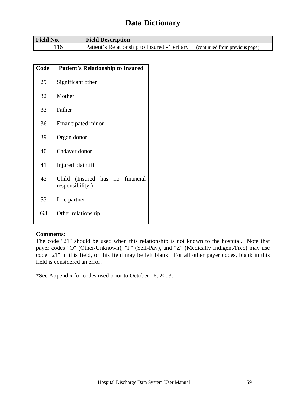| <b>Field No.</b> | <b>Field Description</b>                     |                                |
|------------------|----------------------------------------------|--------------------------------|
|                  | Patient's Relationship to Insured - Tertiary | (continued from previous page) |

| Code | <b>Patient's Relationship to Insured</b>               |
|------|--------------------------------------------------------|
| 29   | Significant other                                      |
| 32   | Mother                                                 |
| 33   | Father                                                 |
| 36   | <b>Emancipated minor</b>                               |
| 39   | Organ donor                                            |
| 40   | Cadaver donor                                          |
| 41   | Injured plaintiff                                      |
| 43   | Child (Insured has<br>no financial<br>responsibility.) |
| 53   | Life partner                                           |
| G8   | Other relationship                                     |

### **Comments:**

The code "21" should be used when this relationship is not known to the hospital. Note that payer codes "O" (Other/Unknown), "P" (Self-Pay), and "Z" (Medically Indigent/Free) may use code "21" in this field, or this field may be left blank. For all other payer codes, blank in this field is considered an error.

\*See Appendix for codes used prior to October 16, 2003.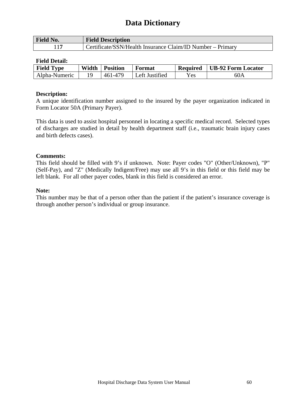| <b>Field No.</b> | <b>Field Description</b>                                   |
|------------------|------------------------------------------------------------|
|                  | Certificate/SSN/Health Insurance Claim/ID Number – Primary |

#### **Field Detail:**

| <b>Field Type</b> | Width | <b>Position</b>    | Format         | <b>Required</b> | <b>UB-92 Form Locator</b> |
|-------------------|-------|--------------------|----------------|-----------------|---------------------------|
| Alpha-Numeric     |       | . 470<br>$-46^{1}$ | Left Justified | Yes             | 60A                       |

#### **Description:**

A unique identification number assigned to the insured by the payer organization indicated in Form Locator 50A (Primary Payer).

This data is used to assist hospital personnel in locating a specific medical record. Selected types of discharges are studied in detail by health department staff (i.e., traumatic brain injury cases and birth defects cases).

### **Comments:**

This field should be filled with 9's if unknown. Note: Payer codes "O" (Other/Unknown), "P" (Self-Pay), and "Z" (Medically Indigent/Free) may use all 9's in this field or this field may be left blank. For all other payer codes, blank in this field is considered an error.

#### **Note:**

This number may be that of a person other than the patient if the patient's insurance coverage is through another person's individual or group insurance.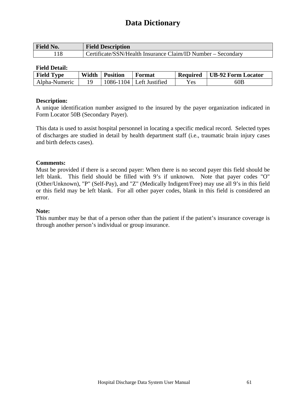| <b>Field No.</b> | <b>Field Description</b>                                     |
|------------------|--------------------------------------------------------------|
|                  | Certificate/SSN/Health Insurance Claim/ID Number – Secondary |

### **Field Detail:**

| <b>Field Type</b> | Width | <b>Position</b> | Format                     | <b>Required</b> | <b>UB-92 Form Locator</b> |
|-------------------|-------|-----------------|----------------------------|-----------------|---------------------------|
| Alpha-Numeric     |       |                 | $1086-1104$ Left Justified | Yes             | 60B                       |

#### **Description:**

A unique identification number assigned to the insured by the payer organization indicated in Form Locator 50B (Secondary Payer).

This data is used to assist hospital personnel in locating a specific medical record. Selected types of discharges are studied in detail by health department staff (i.e., traumatic brain injury cases and birth defects cases).

### **Comments:**

Must be provided if there is a second payer: When there is no second payer this field should be left blank. This field should be filled with 9's if unknown. Note that payer codes "O" (Other/Unknown), "P" (Self-Pay), and "Z" (Medically Indigent/Free) may use all 9's in this field or this field may be left blank. For all other payer codes, blank in this field is considered an error.

#### **Note:**

This number may be that of a person other than the patient if the patient's insurance coverage is through another person's individual or group insurance.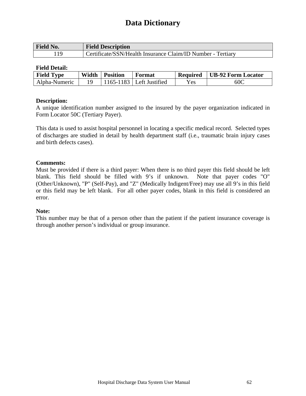| <b>Field No.</b> | <b>Field Description</b>                                    |
|------------------|-------------------------------------------------------------|
|                  | Certificate/SSN/Health Insurance Claim/ID Number - Tertiary |

### **Field Detail:**

| <b>Field Type</b> | Width | <b>Position</b> | Format                     | <b>Required</b> | UB-92 Form Locator |
|-------------------|-------|-----------------|----------------------------|-----------------|--------------------|
| Alpha-Numeric     |       |                 | 1165-1183   Left Justified | Yes             | 60C                |

#### **Description:**

A unique identification number assigned to the insured by the payer organization indicated in Form Locator 50C (Tertiary Payer).

This data is used to assist hospital personnel in locating a specific medical record. Selected types of discharges are studied in detail by health department staff (i.e., traumatic brain injury cases and birth defects cases).

### **Comments:**

Must be provided if there is a third payer: When there is no third payer this field should be left blank. This field should be filled with 9's if unknown. Note that payer codes "O" (Other/Unknown), "P" (Self-Pay), and "Z" (Medically Indigent/Free) may use all 9's in this field or this field may be left blank. For all other payer codes, blank in this field is considered an error.

#### **Note:**

This number may be that of a person other than the patient if the patient insurance coverage is through another person's individual or group insurance.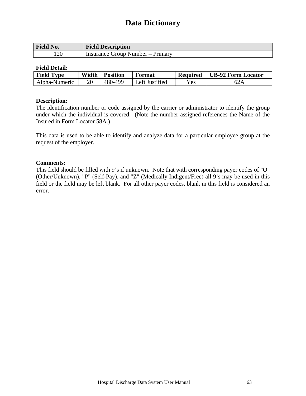| <b>Field No.</b> | <b>Field Description</b>         |
|------------------|----------------------------------|
| 120              | Insurance Group Number – Primary |

### **Field Detail:**

| <b>Field Type</b> | Width | <b>Position</b> | Format                      | <b>Required</b> | <b>UB-92 Form Locator</b> |
|-------------------|-------|-----------------|-----------------------------|-----------------|---------------------------|
| Alpha-Numeric     | 20    | 480-499         | <sup>1</sup> Left Justified | Yes             |                           |

### **Description:**

The identification number or code assigned by the carrier or administrator to identify the group under which the individual is covered. (Note the number assigned references the Name of the Insured in Form Locator 58A.)

This data is used to be able to identify and analyze data for a particular employee group at the request of the employer.

#### **Comments:**

This field should be filled with 9's if unknown. Note that with corresponding payer codes of "O" (Other/Unknown), "P" (Self-Pay), and "Z" (Medically Indigent/Free) all 9's may be used in this field or the field may be left blank. For all other payer codes, blank in this field is considered an error.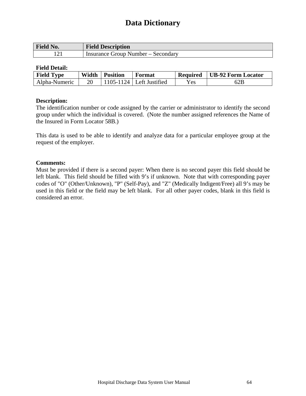| <b>Field No.</b> | <b>Field Description</b>           |
|------------------|------------------------------------|
|                  | Insurance Group Number – Secondary |

### **Field Detail:**

| <b>Field Type</b> | Width | <b>Position</b> | Format                     | <b>Required</b> | UB-92 Form Locator |
|-------------------|-------|-----------------|----------------------------|-----------------|--------------------|
| Alpha-Numeric     | 20    |                 | $1105-1124$ Left Justified | Yes.            | 62B                |

### **Description:**

The identification number or code assigned by the carrier or administrator to identify the second group under which the individual is covered. (Note the number assigned references the Name of the Insured in Form Locator 58B.)

This data is used to be able to identify and analyze data for a particular employee group at the request of the employer.

#### **Comments:**

Must be provided if there is a second payer: When there is no second payer this field should be left blank. This field should be filled with 9's if unknown. Note that with corresponding payer codes of "O" (Other/Unknown), "P" (Self-Pay), and "Z" (Medically Indigent/Free) all 9's may be used in this field or the field may be left blank. For all other payer codes, blank in this field is considered an error.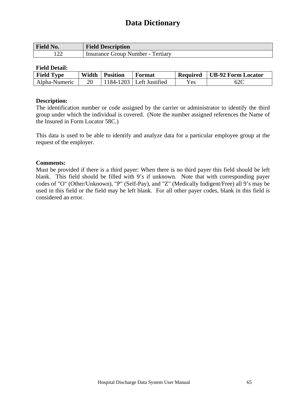| <b>Field No.</b>     | <b>Field Description</b>          |
|----------------------|-----------------------------------|
| $\sqrt{2}$<br>ے کہ ا | Insurance Group Number - Tertiary |

### **Field Detail:**

| <b>Field Type</b> | Width | <b>Position</b> | Format                    | <b>Required</b> | UB-92 Form Locator |
|-------------------|-------|-----------------|---------------------------|-----------------|--------------------|
| Alpha-Numeric     | 20    |                 | $184-1203$ Left Justified | Yes             | 62C                |

#### **Description:**

The identification number or code assigned by the carrier or administrator to identify the third group under which the individual is covered. (Note the number assigned references the Name of the Insured in Form Locator 58C.)

This data is used to be able to identify and analyze data for a particular employee group at the request of the employer.

#### **Comments:**

Must be provided if there is a third payer: When there is no third payer this field should be left blank. This field should be filled with 9's if unknown. Note that with corresponding payer codes of "O" (Other/Unknown), "P" (Self-Pay), and "Z" (Medically Indigent/Free) all 9's may be used in this field or the field may be left blank. For all other payer codes, blank in this field is considered an error.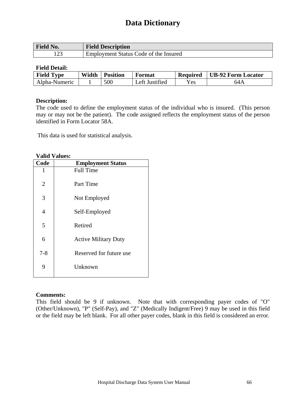| <b>Field No.</b> | <b>Field Description</b>              |
|------------------|---------------------------------------|
| 1 ລາ<br>123      | Employment Status Code of the Insured |

#### **Field Detail:**

| <b>Field Type</b> | Width | <b>Position</b> | Format             | <b>Required</b>    | <b>UB-92 Form Locator</b> |
|-------------------|-------|-----------------|--------------------|--------------------|---------------------------|
| Alpha-Numeric     |       | 500             | Justified<br>_ett_ | ${\rm v}_{\rm es}$ | 64A                       |

#### **Description:**

The code used to define the employment status of the individual who is insured. (This person may or may not be the patient). The code assigned reflects the employment status of the person identified in Form Locator 58A.

This data is used for statistical analysis.

#### **Valid Values:**

| Code    | <b>Employment Status</b>    |
|---------|-----------------------------|
| 1       | <b>Full Time</b>            |
| 2       | Part Time                   |
| 3       | Not Employed                |
| 4       | Self-Employed               |
| 5       | Retired                     |
| 6       | <b>Active Military Duty</b> |
| $7 - 8$ | Reserved for future use     |
| 9       | Unknown                     |
|         |                             |

### **Comments:**

This field should be 9 if unknown. Note that with corresponding payer codes of "O" (Other/Unknown), "P" (Self-Pay), and "Z" (Medically Indigent/Free) 9 may be used in this field or the field may be left blank. For all other payer codes, blank in this field is considered an error.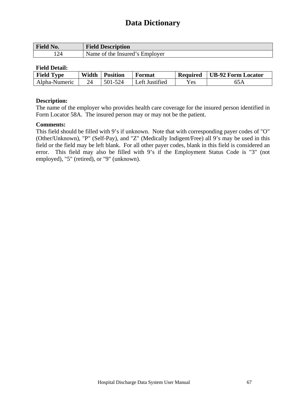| <b>Field No.</b> | <b>Field Description</b>       |
|------------------|--------------------------------|
| 124              | Name of the Insured's Employer |

### **Field Detail:**

| <b>Field Type</b> | Width | <b>Position</b> | Format         | <b>Required</b> | <b>UB-92 Form Locator</b> |
|-------------------|-------|-----------------|----------------|-----------------|---------------------------|
| Alpha-Numeric     |       | 501-524         | Left Justified | Yes             |                           |

#### **Description:**

The name of the employer who provides health care coverage for the insured person identified in Form Locator 58A. The insured person may or may not be the patient.

### **Comments:**

This field should be filled with 9's if unknown. Note that with corresponding payer codes of "O" (Other/Unknown), "P" (Self-Pay), and "Z" (Medically Indigent/Free) all 9's may be used in this field or the field may be left blank. For all other payer codes, blank in this field is considered an error. This field may also be filled with 9's if the Employment Status Code is "3" (not employed), "5" (retired), or "9" (unknown).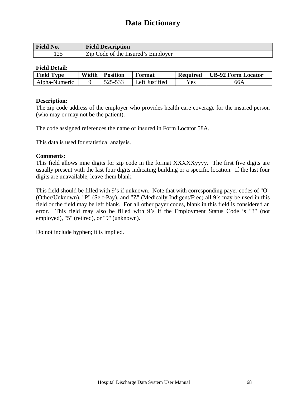| <b>Field No.</b>  | <b>Field Description</b>           |
|-------------------|------------------------------------|
| $1 \cap F$<br>⊥∠J | Zip Code of the Insured's Employer |

### **Field Detail:**

| <b>Field Type</b> | Width | <b>Position</b> | Format         | <b>Required</b> | <b>UB-92 Form Locator</b> |
|-------------------|-------|-----------------|----------------|-----------------|---------------------------|
| Alpha-Numeric     |       | 525-533         | Left Justified | Yes             | 66A                       |

### **Description:**

The zip code address of the employer who provides health care coverage for the insured person (who may or may not be the patient).

The code assigned references the name of insured in Form Locator 58A.

This data is used for statistical analysis.

### **Comments:**

This field allows nine digits for zip code in the format XXXXXyyyy. The first five digits are usually present with the last four digits indicating building or a specific location. If the last four digits are unavailable, leave them blank.

This field should be filled with 9's if unknown. Note that with corresponding payer codes of "O" (Other/Unknown), "P" (Self-Pay), and "Z" (Medically Indigent/Free) all 9's may be used in this field or the field may be left blank. For all other payer codes, blank in this field is considered an error. This field may also be filled with 9's if the Employment Status Code is "3" (not employed), "5" (retired), or "9" (unknown).

Do not include hyphen; it is implied.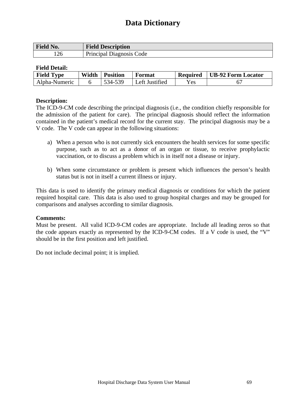| <b>Field No.</b> | <b>Field Description</b> |
|------------------|--------------------------|
| 126              | Principal Diagnosis Code |

### **Field Detail:**

| <b>Field Type</b> | Width | <b>Position</b> | Format         | <b>Required</b> | <b>UB-92 Form Locator</b> |
|-------------------|-------|-----------------|----------------|-----------------|---------------------------|
| Alpha-Numeric     |       | 534-539         | Left Justified | $v_{es}$        |                           |

### **Description:**

The ICD-9-CM code describing the principal diagnosis (i.e., the condition chiefly responsible for the admission of the patient for care). The principal diagnosis should reflect the information contained in the patient's medical record for the current stay. The principal diagnosis may be a V code. The V code can appear in the following situations:

- a) When a person who is not currently sick encounters the health services for some specific purpose, such as to act as a donor of an organ or tissue, to receive prophylactic vaccination, or to discuss a problem which is in itself not a disease or injury.
- b) When some circumstance or problem is present which influences the person's health status but is not in itself a current illness or injury.

This data is used to identify the primary medical diagnosis or conditions for which the patient required hospital care. This data is also used to group hospital charges and may be grouped for comparisons and analyses according to similar diagnosis.

### **Comments:**

Must be present. All valid ICD-9-CM codes are appropriate. Include all leading zeros so that the code appears exactly as represented by the ICD-9-CM codes. If a V code is used, the "V" should be in the first position and left justified.

Do not include decimal point; it is implied.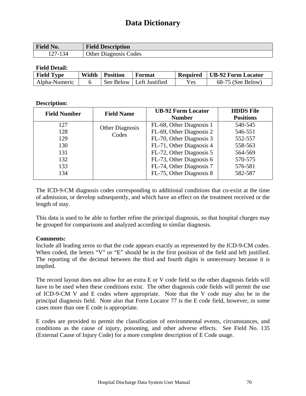| <b>Field No.</b>                             | <b>Field Description</b> |
|----------------------------------------------|--------------------------|
| 27                                           | Codes                    |
| 134                                          | <b>Other</b>             |
| $\ldots$ $\mathbf{I}$ $\mathbf{=}\mathbf{I}$ | Diagonosis               |

### **Field Detail:**

| <b>Field Type</b> | Width | <b>Position</b> | Format                     | <b>Required</b> | <b>UB-92 Form Locator</b> |
|-------------------|-------|-----------------|----------------------------|-----------------|---------------------------|
| Alpha-Numeric     |       |                 | See Below   Left Justified | Yes             | $68-75$ (See Below)       |

### **Description:**

| <b>Field Number</b> | <b>Field Name</b>      | <b>UB-92 Form Locator</b> | <b>HDDS</b> File |
|---------------------|------------------------|---------------------------|------------------|
|                     |                        | <b>Number</b>             | <b>Positions</b> |
| 127                 | <b>Other Diagnosis</b> | FL-68, Other Diagnosis 1  | 540-545          |
| 128                 | Codes                  | FL-69, Other Diagnosis 2  | 546-551          |
| 129                 |                        | FL-70, Other Diagnosis 3  | 552-557          |
| 130                 |                        | FL-71, Other Diagnosis 4  | 558-563          |
| 131                 |                        | FL-72, Other Diagnosis 5  | 564-569          |
| 132                 |                        | FL-73, Other Diagnosis 6  | 570-575          |
| 133                 |                        | FL-74, Other Diagnosis 7  | 576-581          |
| 134                 |                        | FL-75, Other Diagnosis 8  | 582-587          |

The ICD-9-CM diagnosis codes corresponding to additional conditions that co-exist at the time of admission, or develop subsequently, and which have an effect on the treatment received or the length of stay.

This data is used to be able to further refine the principal diagnosis, so that hospital charges may be grouped for comparisons and analyzed according to similar diagnosis.

### **Comments:**

Include all leading zeros so that the code appears exactly as represented by the ICD-9-CM codes. When coded, the letters "V" or "E" should be in the first position of the field and left justified. The reporting of the decimal between the third and fourth digits is unnecessary because it is implied.

The record layout does not allow for an extra E or V code field so the other diagnosis fields will have to be used when these conditions exist. The other diagnosis code fields will permit the use of ICD-9-CM V and E codes where appropriate. Note that the V code may also be in the principal diagnosis field. Note also that Form Locator 77 is the E code field, however, in some cases more than one E code is appropriate.

E codes are provided to permit the classification of environmental events, circumstances, and conditions as the cause of injury, poisoning, and other adverse effects. See Field No. 135 (External Cause of Injury Code) for a more complete description of E Code usage.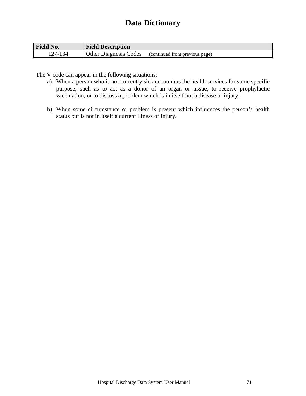| <b>Field No.</b> | <b>Field Description</b>     |                                |
|------------------|------------------------------|--------------------------------|
| 127-134          | <b>Other Diagnosis Codes</b> | (continued from previous page) |

The V code can appear in the following situations:

- a) When a person who is not currently sick encounters the health services for some specific purpose, such as to act as a donor of an organ or tissue, to receive prophylactic vaccination, or to discuss a problem which is in itself not a disease or injury.
- b) When some circumstance or problem is present which influences the person's health status but is not in itself a current illness or injury.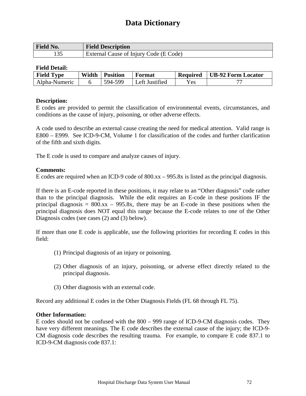| <b>Field No.</b> | <b>Field Description</b>               |
|------------------|----------------------------------------|
|                  | External Cause of Injury Code (E Code) |

## **Field Detail:**

| <b>Field Type</b> | Width | <b>Position</b> | Format         | <b>Required</b> | UB-92 Form Locator |
|-------------------|-------|-----------------|----------------|-----------------|--------------------|
| Alpha-Numeric     |       | 594-599         | Left Justified | <b>Yes</b>      |                    |

#### **Description:**

E codes are provided to permit the classification of environmental events, circumstances, and conditions as the cause of injury, poisoning, or other adverse effects.

A code used to describe an external cause creating the need for medical attention. Valid range is E800 – E999. See ICD-9-CM, Volume 1 for classification of the codes and further clarification of the fifth and sixth digits.

The E code is used to compare and analyze causes of injury.

## **Comments:**

E codes are required when an ICD-9 code of 800.xx – 995.8x is listed as the principal diagnosis.

If there is an E-code reported in these positions, it may relate to an "Other diagnosis" code rather than to the principal diagnosis. While the edit requires an E-code in these positions IF the principal diagnosis =  $800.xx - 995.8x$ , there may be an E-code in these positions when the principal diagnosis does NOT equal this range because the E-code relates to one of the Other Diagnosis codes (see cases (2) and (3) below).

If more than one E code is applicable, use the following priorities for recording E codes in this field:

- (1) Principal diagnosis of an injury or poisoning.
- (2) Other diagnosis of an injury, poisoning, or adverse effect directly related to the principal diagnosis.
- (3) Other diagnosis with an external code.

Record any additional E codes in the Other Diagnosis Fields (FL 68 through FL 75).

#### **Other Information:**

E codes should not be confused with the 800 – 999 range of ICD-9-CM diagnosis codes. They have very different meanings. The E code describes the external cause of the injury; the ICD-9- CM diagnosis code describes the resulting trauma. For example, to compare E code 837.1 to ICD-9-CM diagnosis code 837.1: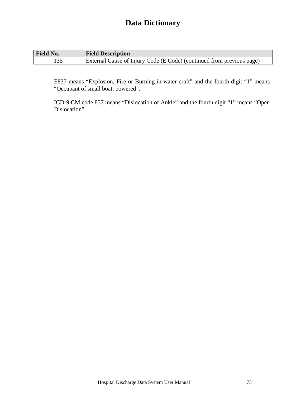| Field No. | <b>Field Description</b>                                              |
|-----------|-----------------------------------------------------------------------|
|           | External Cause of Injury Code (E Code) (continued from previous page) |

E837 means "Explosion, Fire or Burning in water craft" and the fourth digit "1" means "Occupant of small boat, powered".

ICD-9 CM code 837 means "Dislocation of Ankle" and the fourth digit "1" means "Open Dislocation".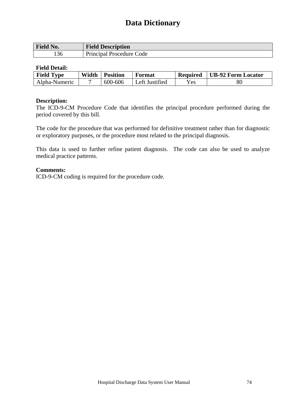| <b>Field No.</b> | <b>Field Description</b> |
|------------------|--------------------------|
| $\sim$<br>136    | Principal Procedure Code |

## **Field Detail:**

| <b>Field Type</b> | Width | <b>Position</b> | Format         | <b>Required</b> | UB-92 Form Locator |
|-------------------|-------|-----------------|----------------|-----------------|--------------------|
| Alpha-Numeric     |       | 600-606         | Left Justified | Yes             | 80                 |

## **Description:**

The ICD-9-CM Procedure Code that identifies the principal procedure performed during the period covered by this bill.

The code for the procedure that was performed for definitive treatment rather than for diagnostic or exploratory purposes, or the procedure most related to the principal diagnosis.

This data is used to further refine patient diagnosis. The code can also be used to analyze medical practice patterns.

## **Comments:**

ICD-9-CM coding is required for the procedure code.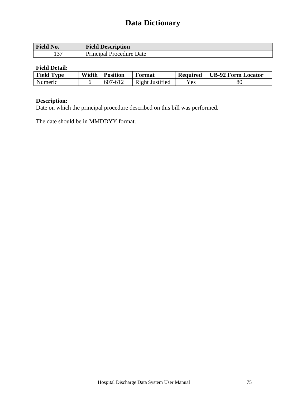| Field No.     | $\mathbf{m}$ .<br><b>Field Description</b> |
|---------------|--------------------------------------------|
| $1 \cap \Box$ | <b>Principal Procedure</b>                 |
| ⊥⊃            | Date                                       |

## **Field Detail:**

| <b>Field Type</b> | Width | <b>Position</b> | Format          | <b>Required</b> | <b>UB-92 Form Locator</b> |
|-------------------|-------|-----------------|-----------------|-----------------|---------------------------|
| Numeric           |       | 607<br>$-6$     | Right Justified | $\mathrm{Yes}$  | $80\,$                    |

## **Description:**

Date on which the principal procedure described on this bill was performed.

The date should be in MMDDYY format.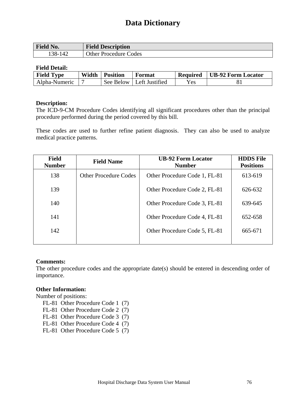| Field No.  | <b>Field Description</b>        |
|------------|---------------------------------|
| .38-<br>ıд | <b>Other Procedure</b><br>Codes |

## **Field Detail:**

| <b>Field Type</b> | Width | <b>Position</b> | Format                     | <b>Required</b> | UB-92 Form Locator |
|-------------------|-------|-----------------|----------------------------|-----------------|--------------------|
| Alpha-Numeric     |       |                 | See Below   Left Justified | Yes             |                    |

#### **Description:**

The ICD-9-CM Procedure Codes identifying all significant procedures other than the principal procedure performed during the period covered by this bill.

These codes are used to further refine patient diagnosis. They can also be used to analyze medical practice patterns.

| <b>Field</b><br><b>Number</b> | <b>Field Name</b>            | <b>UB-92 Form Locator</b><br><b>Number</b> | <b>HDDS</b> File<br><b>Positions</b> |
|-------------------------------|------------------------------|--------------------------------------------|--------------------------------------|
| 138                           | <b>Other Procedure Codes</b> | Other Procedure Code 1, FL-81              | 613-619                              |
| 139                           |                              | Other Procedure Code 2, FL-81              | 626-632                              |
| 140                           |                              | Other Procedure Code 3, FL-81              | 639-645                              |
| 141                           |                              | Other Procedure Code 4, FL-81              | 652-658                              |
| 142                           |                              | Other Procedure Code 5, FL-81              | 665-671                              |
|                               |                              |                                            |                                      |

## **Comments:**

The other procedure codes and the appropriate date(s) should be entered in descending order of importance.

## **Other Information:**

Number of positions:

- FL-81 Other Procedure Code 1 (7)
- FL-81 Other Procedure Code 2 (7)
- FL-81 Other Procedure Code 3 (7)
- FL-81 Other Procedure Code 4 (7)
- FL-81 Other Procedure Code 5 (7)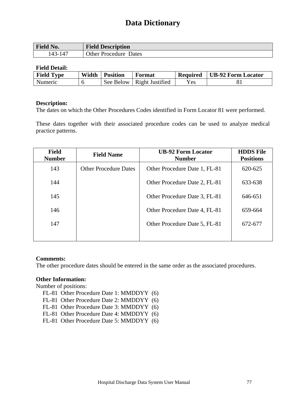| Field No.    | <b>Field Description</b> |
|--------------|--------------------------|
| 43- ً        | <b>Other Procedure</b>   |
| $\mathbf{L}$ | Dates                    |

## **Field Detail:**

| <b>Field Type</b> | Width | <b>Position</b> | Format                      | <b>Required</b> | UB-92 Form Locator |
|-------------------|-------|-----------------|-----------------------------|-----------------|--------------------|
| Numeric           |       |                 | See Below   Right Justified | Yes             |                    |

## **Description:**

The dates on which the Other Procedures Codes identified in Form Locator 81 were performed.

These dates together with their associated procedure codes can be used to analyze medical practice patterns.

| <b>Field</b><br><b>Number</b> | <b>Field Name</b>            | <b>UB-92 Form Locator</b><br><b>Number</b> | <b>HDDS</b> File<br><b>Positions</b> |
|-------------------------------|------------------------------|--------------------------------------------|--------------------------------------|
| 143                           | <b>Other Procedure Dates</b> | Other Procedure Date 1, FL-81              | 620-625                              |
| 144                           |                              | Other Procedure Date 2, FL-81              | 633-638                              |
| 145                           |                              | Other Procedure Date 3, FL-81              | 646-651                              |
| 146                           |                              | Other Procedure Date 4, FL-81              | 659-664                              |
| 147                           |                              | Other Procedure Date 5, FL-81              | 672-677                              |
|                               |                              |                                            |                                      |

## **Comments:**

The other procedure dates should be entered in the same order as the associated procedures.

## **Other Information:**

Number of positions:

- FL-81 Other Procedure Date 1: MMDDYY (6)
- FL-81 Other Procedure Date 2: MMDDYY (6)
- FL-81 Other Procedure Date 3: MMDDYY (6)
- FL-81 Other Procedure Date 4: MMDDYY (6)
- FL-81 Other Procedure Date 5: MMDDYY (6)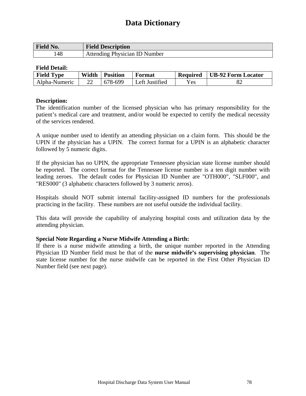| <b>Field No.</b> | <b>Field Description</b>      |
|------------------|-------------------------------|
| 148              | Attending Physician ID Number |

#### **Field Detail:**

| <b>Field Type</b> | Width | <b>Position</b> | Format         | <b>Required</b> | UB-92 Form Locator |
|-------------------|-------|-----------------|----------------|-----------------|--------------------|
| Alpha-Numeric     |       | 678-699         | Left Justified | <b>Yes</b>      |                    |

#### **Description:**

The identification number of the licensed physician who has primary responsibility for the patient's medical care and treatment, and/or would be expected to certify the medical necessity of the services rendered.

A unique number used to identify an attending physician on a claim form. This should be the UPIN if the physician has a UPIN. The correct format for a UPIN is an alphabetic character followed by 5 numeric digits.

If the physician has no UPIN, the appropriate Tennessee physician state license number should be reported. The correct format for the Tennessee license number is a ten digit number with leading zeroes. The default codes for Physician ID Number are "OTH000", "SLF000", and "RES000" (3 alphabetic characters followed by 3 numeric zeros).

Hospitals should NOT submit internal facility-assigned ID numbers for the professionals practicing in the facility. These numbers are not useful outside the individual facility.

This data will provide the capability of analyzing hospital costs and utilization data by the attending physician.

## **Special Note Regarding a Nurse Midwife Attending a Birth:**

If there is a nurse midwife attending a birth, the unique number reported in the Attending Physician ID Number field must be that of the **nurse midwife's supervising physician**. The state license number for the nurse midwife can be reported in the First Other Physician ID Number field (see next page).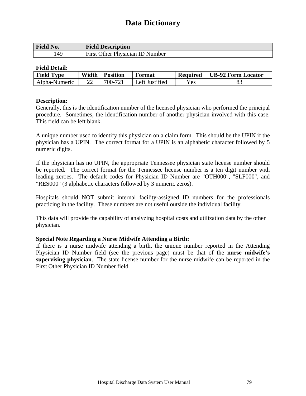| <b>Field No.</b> | <b>Field Description</b>        |
|------------------|---------------------------------|
| .49              | First Other Physician ID Number |

## **Field Detail:**

| <b>Field Type</b> | Width | <b>Position</b> | Format         | <b>Required</b> | UB-92 Form Locator |
|-------------------|-------|-----------------|----------------|-----------------|--------------------|
| Alpha-Numeric     |       | 700-721         | Left Justified | Yes.            | 0.                 |

#### **Description:**

Generally, this is the identification number of the licensed physician who performed the principal procedure. Sometimes, the identification number of another physician involved with this case. This field can be left blank.

A unique number used to identify this physician on a claim form. This should be the UPIN if the physician has a UPIN. The correct format for a UPIN is an alphabetic character followed by 5 numeric digits.

If the physician has no UPIN, the appropriate Tennessee physician state license number should be reported. The correct format for the Tennessee license number is a ten digit number with leading zeroes. The default codes for Physician ID Number are "OTH000", "SLF000", and "RES000" (3 alphabetic characters followed by 3 numeric zeros).

Hospitals should NOT submit internal facility-assigned ID numbers for the professionals practicing in the facility. These numbers are not useful outside the individual facility.

This data will provide the capability of analyzing hospital costs and utilization data by the other physician.

## **Special Note Regarding a Nurse Midwife Attending a Birth:**

If there is a nurse midwife attending a birth, the unique number reported in the Attending Physician ID Number field (see the previous page) must be that of the **nurse midwife's supervising physician**. The state license number for the nurse midwife can be reported in the First Other Physician ID Number field.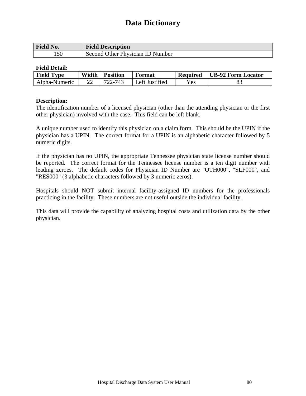| <b>Field No.</b> | <b>Field Description</b>         |
|------------------|----------------------------------|
| 150              | Second Other Physician ID Number |

## **Field Detail:**

| <b>Field Type</b> | Width | <b>Position</b> | Format         | <b>Required</b> | UB-92 Form Locator |
|-------------------|-------|-----------------|----------------|-----------------|--------------------|
| Alpha-Numeric     |       | 722-743         | Left Justified | <b>Yes</b>      | 0.                 |

## **Description:**

The identification number of a licensed physician (other than the attending physician or the first other physician) involved with the case. This field can be left blank.

A unique number used to identify this physician on a claim form. This should be the UPIN if the physician has a UPIN. The correct format for a UPIN is an alphabetic character followed by 5 numeric digits.

If the physician has no UPIN, the appropriate Tennessee physician state license number should be reported. The correct format for the Tennessee license number is a ten digit number with leading zeroes. The default codes for Physician ID Number are "OTH000", "SLF000", and "RES000" (3 alphabetic characters followed by 3 numeric zeros).

Hospitals should NOT submit internal facility-assigned ID numbers for the professionals practicing in the facility. These numbers are not useful outside the individual facility.

This data will provide the capability of analyzing hospital costs and utilization data by the other physician.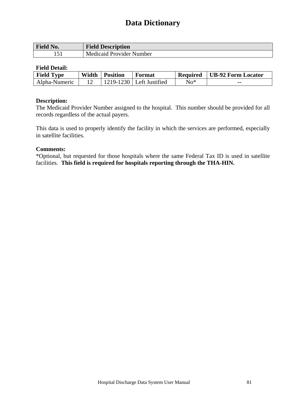| Field No. | <b>Field Description</b> |
|-----------|--------------------------|
|           | Medicaid Provider Number |

## **Field Detail:**

| <b>Field Type</b> | Width | <b>Position</b> | Format                     | <b>Required</b> | <b>UB-92 Form Locator</b> |
|-------------------|-------|-----------------|----------------------------|-----------------|---------------------------|
| Alpha-Numeric     |       |                 | $1219-1230$ Left Justified | $No*$           | --                        |

#### **Description:**

The Medicaid Provider Number assigned to the hospital. This number should be provided for all records regardless of the actual payers.

This data is used to properly identify the facility in which the services are performed, especially in satellite facilities.

#### **Comments:**

\*Optional, but requested for those hospitals where the same Federal Tax ID is used in satellite facilities. **This field is required for hospitals reporting through the THA-HIN.**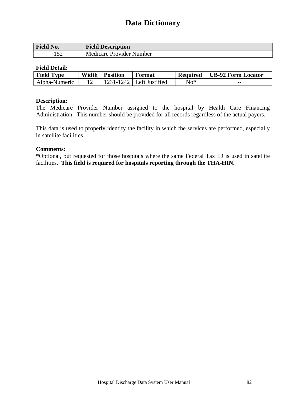| <b>Field No.</b> | <b>Field Description</b>        |
|------------------|---------------------------------|
| $\sim$<br>۔ ب ر  | <b>Medicare Provider Number</b> |

#### **Field Detail:**

| <b>Field Type</b> | Width | <b>Position</b> | Format                       | <b>Required</b> | UB-92 Form Locator |
|-------------------|-------|-----------------|------------------------------|-----------------|--------------------|
| Alpha-Numeric     |       |                 | $1231 - 1242$ Left Justified | $No*$           | $- -$              |

#### **Description:**

The Medicare Provider Number assigned to the hospital by Health Care Financing Administration. This number should be provided for all records regardless of the actual payers.

This data is used to properly identify the facility in which the services are performed, especially in satellite facilities.

#### **Comments:**

\*Optional, but requested for those hospitals where the same Federal Tax ID is used in satellite facilities. **This field is required for hospitals reporting through the THA-HIN.**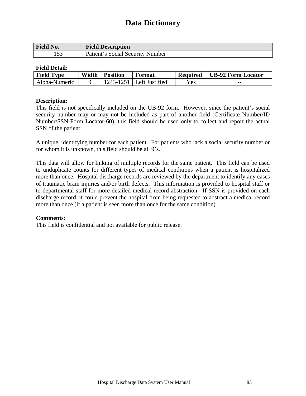| Field No. | <b>Field Description</b>         |
|-----------|----------------------------------|
|           | Patient's Social Security Number |

## **Field Detail:**

| <b>Field Type</b> | Width | <b>Position</b> | Format                       | <b>Required</b> | UB-92 Form Locator |
|-------------------|-------|-----------------|------------------------------|-----------------|--------------------|
| Alpha-Numeric     |       |                 | $1243 - 1251$ Left Justified | Yes             | $- -$              |

## **Description:**

This field is not specifically included on the UB-92 form. However, since the patient's social security number may or may not be included as part of another field (Certificate Number/ID Number/SSN-Form Locator-60), this field should be used only to collect and report the actual SSN of the patient.

A unique, identifying number for each patient. For patients who lack a social security number or for whom it is unknown, this field should be all 9's.

This data will allow for linking of multiple records for the same patient. This field can be used to unduplicate counts for different types of medical conditions when a patient is hospitalized more than once. Hospital discharge records are reviewed by the department to identify any cases of traumatic brain injuries and/or birth defects. This information is provided to hospital staff or to departmental staff for more detailed medical record abstraction. If SSN is provided on each discharge record, it could prevent the hospital from being requested to abstract a medical record more than once (if a patient is seen more than once for the same condition).

## **Comments:**

This field is confidential and not available for public release.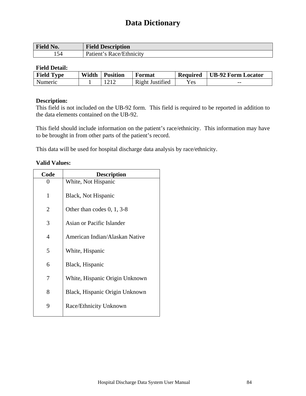| <b>Field No.</b> | <b>Field Description</b> |
|------------------|--------------------------|
| 154.             | Patient's Race/Ethnicity |

## **Field Detail:**

| <b>Field Type</b> | Width | <b>Position</b> | Format          | <b>Required</b> | <b>UB-92 Form Locator</b> |
|-------------------|-------|-----------------|-----------------|-----------------|---------------------------|
| Numeric           |       |                 | Right Justified | Yes             | $- -$                     |

## **Description:**

This field is not included on the UB-92 form. This field is required to be reported in addition to the data elements contained on the UB-92.

This field should include information on the patient's race/ethnicity. This information may have to be brought in from other parts of the patient's record.

This data will be used for hospital discharge data analysis by race/ethnicity.

## **Valid Values:**

| <b>Description</b>             |  |  |  |
|--------------------------------|--|--|--|
| White, Not Hispanic            |  |  |  |
| Black, Not Hispanic            |  |  |  |
| Other than codes $0, 1, 3-8$   |  |  |  |
| Asian or Pacific Islander      |  |  |  |
| American Indian/Alaskan Native |  |  |  |
| White, Hispanic                |  |  |  |
| Black, Hispanic                |  |  |  |
| White, Hispanic Origin Unknown |  |  |  |
| Black, Hispanic Origin Unknown |  |  |  |
| Race/Ethnicity Unknown         |  |  |  |
|                                |  |  |  |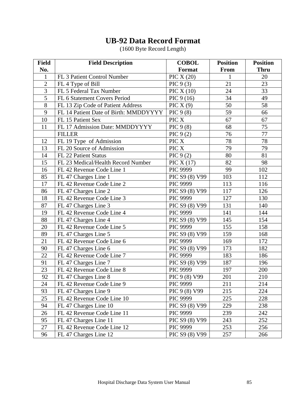| <b>Field</b>    | <b>Field Description</b>              | <b>COBOL</b>    | <b>Position</b> | <b>Position</b> |
|-----------------|---------------------------------------|-----------------|-----------------|-----------------|
| No.             |                                       | Format          | From            | <b>Thru</b>     |
| $\mathbf{1}$    | FL 3 Patient Control Number           | PIC $X(20)$     | 1               | 20              |
| $\overline{2}$  | FL 4 Type of Bill                     | PIC $9(3)$      | 21              | 23              |
| $\overline{3}$  | FL 5 Federal Tax Number               | PIC $X(10)$     | 24              | 33              |
| 5               | FL 6 Statement Covers Period          | PIC $9(16)$     | 34              | 49              |
| 8               | FL 13 Zip Code of Patient Address     | PIC $X(9)$      | 50              | 58              |
| 9               | FL 14 Patient Date of Birth: MMDDYYYY | PIC $9(8)$      | 59              | 66              |
| 10              | FL 15 Patient Sex                     | PIC X           | 67              | 67              |
| 11              | FL 17 Admission Date: MMDDYYYY        | PIC $9(8)$      | 68              | 75              |
|                 | <b>FILLER</b>                         | PIC $9(2)$      | 76              | 77              |
| 12              | FL 19 Type of Admission               | PIC X           | 78              | 78              |
| 13              | FL 20 Source of Admission             | PIC X           | 79              | 79              |
| 14              | FL 22 Patient Status                  | PIC $9(2)$      | 80              | 81              |
| 15              | FL 23 Medical/Health Record Number    | PIC $X(17)$     | 82              | 98              |
| 16              | FL 42 Revenue Code Line 1             | PIC 9999        | 99              | 102             |
| 85              | FL 47 Charges Line 1                  | PIC S9 (8) V99  | 103             | 112             |
| 17              | FL 42 Revenue Code Line 2             | PIC 9999        | 113             | 116             |
| 86              | FL 47 Charges Line 2                  | PIC S9 (8) V99  | 117             | 126             |
| 18              | FL 42 Revenue Code Line 3             | <b>PIC 9999</b> | 127             | 130             |
| 87              | FL 47 Charges Line 3                  | PIC S9 (8) V99  | 131             | 140             |
| 19              | FL 42 Revenue Code Line 4             | PIC 9999        | 141             | 144             |
| 88              | FL 47 Charges Line 4                  | PIC S9 (8) V99  | 145             | 154             |
| 20              | FL 42 Revenue Code Line 5             | PIC 9999        | 155             | 158             |
| 89              | FL 47 Charges Line 5                  | PIC S9 (8) V99  | 159             | 168             |
| 21              | FL 42 Revenue Code Line 6             | PIC 9999        | 169             | 172             |
| 90              | FL 47 Charges Line 6                  | PIC S9 (8) V99  | 173             | 182             |
| 22              | FL 42 Revenue Code Line 7             | PIC 9999        | 183             | 186             |
| 91              | FL 47 Charges Line 7                  | PIC S9 (8) V99  | 187             | 196             |
| 23              | FL 42 Revenue Code Line 8             | PIC 9999        | 197             | 200             |
| 92              | FL 47 Charges Line 8                  | PIC 9 (8) V99   | 201             | 210             |
| $\overline{24}$ | FL 42 Revenue Code Line 9             | PIC 9999        | 211             | 214             |
| 93              | FL 47 Charges Line 9                  | PIC 9 (8) V99   | 215             | 224             |
| 25              | FL 42 Revenue Code Line 10            | PIC 9999        | 225             | 228             |
| 94              | FL 47 Charges Line 10                 | PIC S9 (8) V99  | 229             | 238             |
| 26              | FL 42 Revenue Code Line 11            | PIC 9999        | 239             | 242             |
| 95              | FL 47 Charges Line 11                 | PIC S9 (8) V99  | 243             | 252             |
| 27              | FL 42 Revenue Code Line 12            | <b>PIC 9999</b> | 253             | 256             |
| 96              | FL 47 Charges Line 12                 | PIC S9 (8) V99  | 257             | 266             |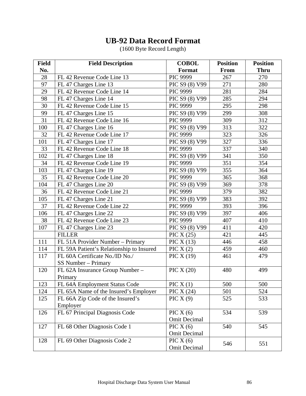| <b>Field</b> | <b>Field Description</b>                 | <b>COBOL</b>        | <b>Position</b> | <b>Position</b> |
|--------------|------------------------------------------|---------------------|-----------------|-----------------|
| No.          |                                          | Format              | From            | <b>Thru</b>     |
| 28           | FL 42 Revenue Code Line 13               | <b>PIC 9999</b>     | 267             | 270             |
| 97           | FL 47 Charges Line 13                    | PIC S9 (8) V99      | 271             | 280             |
| 29           | FL 42 Revenue Code Line 14               | <b>PIC 9999</b>     | 281             | 284             |
| 98           | FL 47 Charges Line 14                    | PIC S9 (8) V99      | 285             | 294             |
| 30           | FL 42 Revenue Code Line 15               | PIC 9999            | 295             | 298             |
| 99           | FL 47 Charges Line 15                    | PIC S9 (8) V99      | 299             | 308             |
| 31           | FL 42 Revenue Code Line 16               | PIC 9999            | 309             | 312             |
| 100          | FL 47 Charges Line 16                    | PIC S9 (8) V99      | 313             | 322             |
| 32           | FL 42 Revenue Code Line 17               | <b>PIC 9999</b>     | 323             | 326             |
| 101          | FL 47 Charges Line 17                    | PIC S9 (8) V99      | 327             | 336             |
| 33           | FL 42 Revenue Code Line 18               | <b>PIC 9999</b>     | 337             | 340             |
| 102          | FL 47 Charges Line 18                    | PIC S9 (8) V99      | 341             | 350             |
| 34           | FL 42 Revenue Code Line 19               | <b>PIC 9999</b>     | 351             | 354             |
| 103          | FL 47 Charges Line 19                    | PIC S9 (8) V99      | 355             | 364             |
| 35           | FL 42 Revenue Code Line 20               | <b>PIC 9999</b>     | 365             | 368             |
| 104          | FL 47 Charges Line 20                    | PIC S9 (8) V99      | 369             | 378             |
| 36           | FL 42 Revenue Code Line 21               | PIC 9999            | 379             | 382             |
| 105          | FL 47 Charges Line 21                    | PIC S9 (8) V99      | 383             | 392             |
| 37           | FL 42 Revenue Code Line 22               | <b>PIC 9999</b>     | 393             | 396             |
| 106          | FL 47 Charges Line 22                    | PIC S9 (8) V99      | 397             | 406             |
| 38           | FL 42 Revenue Code Line 23               | PIC 9999            | 407             | 410             |
| 107          | FL 47 Charges Line 23                    | PIC S9 (8) V99      | 411             | 420             |
|              | <b>FILLER</b>                            | PIC $X(25)$         | 421             | 445             |
| 111          | FL 51A Provider Number - Primary         | PIC $X(13)$         | 446             | 458             |
| 114          | FL 59A Patient's Relationship to Insured | PIC $X(2)$          | 459             | 460             |
| 117          | FL 60A Certificate No./ID No./           | PIC $X(19)$         | 461             | 479             |
|              | SS Number - Primary                      |                     |                 |                 |
| 120          | FL 62A Insurance Group Number -          | PIC $X(20)$         | 480             | 499             |
|              | Primary                                  |                     |                 |                 |
| 123          | FL 64A Employment Status Code            | PIC $X(1)$          | 500             | 500             |
| 124          | FL 65A Name of the Insured's Employer    | PIC $X(24)$         | 501             | 524             |
| 125          | FL 66A Zip Code of the Insured's         | PIC $X(9)$          | 525             | 533             |
|              | Employer                                 |                     |                 |                 |
| 126          | FL 67 Principal Diagnosis Code           | PIC $X(6)$          | 534             | 539             |
|              |                                          | <b>Omit Decimal</b> |                 |                 |
| 127          | FL 68 Other Diagnosis Code 1             | PIC $X(6)$          | 540             | 545             |
|              |                                          | <b>Omit Decimal</b> |                 |                 |
| 128          | FL 69 Other Diagnosis Code 2             | PIC $X(6)$          | 546             | 551             |
|              |                                          | <b>Omit Decimal</b> |                 |                 |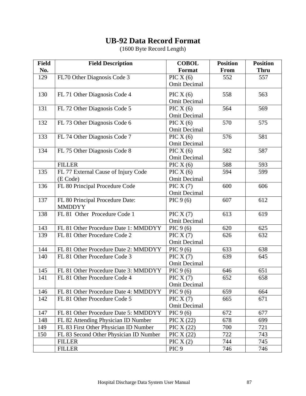| <b>Field</b> | <b>Field Description</b>               | <b>COBOL</b>        | <b>Position</b> | <b>Position</b> |
|--------------|----------------------------------------|---------------------|-----------------|-----------------|
| No.          |                                        | Format              | From            | <b>Thru</b>     |
| 129          | FL70 Other Diagnosis Code 3            | PIC $X(6)$          | 552             | 557             |
|              |                                        | <b>Omit Decimal</b> |                 |                 |
| 130          | FL 71 Other Diagnosis Code 4           | PIC $X(6)$          | 558             | 563             |
|              |                                        | <b>Omit Decimal</b> |                 |                 |
| 131          | FL 72 Other Diagnosis Code 5           | PIC $X(6)$          | 564             | 569             |
|              |                                        | <b>Omit Decimal</b> |                 |                 |
| 132          | FL 73 Other Diagnosis Code 6           | PIC $X(6)$          | 570             | 575             |
|              |                                        | <b>Omit Decimal</b> |                 |                 |
| 133          | FL 74 Other Diagnosis Code 7           | PIC $X(6)$          | 576             | 581             |
|              |                                        | <b>Omit Decimal</b> |                 |                 |
| 134          | FL 75 Other Diagnosis Code 8           | PIC $X(6)$          | 582             | 587             |
|              |                                        | <b>Omit Decimal</b> |                 |                 |
|              | <b>FILLER</b>                          | PIC $X(6)$          | 588             | 593             |
| 135          | FL 77 External Cause of Injury Code    | PIC $X(6)$          | 594             | 599             |
|              | (E Code)                               | <b>Omit Decimal</b> |                 |                 |
| 136          | FL 80 Principal Procedure Code         | PIC $X(7)$          | 600             | 606             |
|              |                                        | <b>Omit Decimal</b> |                 |                 |
| 137          | FL 80 Principal Procedure Date:        | PIC $9(6)$          | 607             | 612             |
|              | <b>MMDDYY</b>                          |                     |                 |                 |
| 138          | FL 81 Other Procedure Code 1           | PIC $X(7)$          | 613             | 619             |
|              |                                        | <b>Omit Decimal</b> |                 |                 |
| 143          | FL 81 Other Procedure Date 1: MMDDYY   | PIC $9(6)$          | 620             | 625             |
| 139          | FL 81 Other Procedure Code 2           | PIC $X(7)$          | 626             | 632             |
|              |                                        | <b>Omit Decimal</b> |                 |                 |
| 144          | FL 81 Other Procedure Date 2: MMDDYY   | PIC $9(6)$          | 633             | 638             |
| 140          | FL 81 Other Procedure Code 3           | PIC $X(7)$          | 639             | 645             |
|              |                                        | <b>Omit Decimal</b> |                 |                 |
| 145          | FL 81 Other Procedure Date 3: MMDDYY   | PIC $9(6)$          | 646             | 651             |
| 141          | FL 81 Other Procedure Code 4           | PIC $X(7)$          | 652             | 658             |
|              |                                        | <b>Omit Decimal</b> |                 |                 |
| 146          | FL 81 Other Procedure Date 4: MMDDYY   | PIC $9(6)$          | 659             | 664             |
| 142          | FL 81 Other Procedure Code 5           | PIC $X(7)$          | 665             | 671             |
|              |                                        | <b>Omit Decimal</b> |                 |                 |
| 147          | FL 81 Other Procedure Date 5: MMDDYY   | PIC $9(6)$          | 672             | 677             |
| 148          | FL 82 Attending Physician ID Number    | PIC $X(22)$         | 678             | 699             |
| 149          | FL 83 First Other Physician ID Number  | PIC $X(22)$         | 700             | 721             |
| 150          | FL 83 Second Other Physician ID Number | PIC $X(22)$         | 722             | 743             |
|              | <b>FILLER</b>                          | PIC $X(2)$          | 744             | 745             |
|              | <b>FILLER</b>                          | PIC <sub>9</sub>    | 746             | 746             |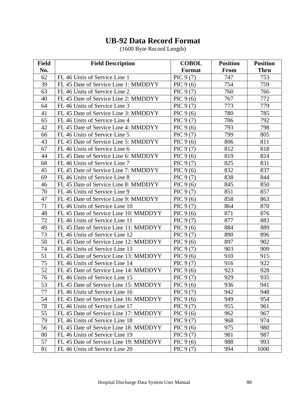| <b>Field</b>    | <b>Field Description</b>              | <b>COBOL</b> | <b>Position</b> | <b>Position</b> |
|-----------------|---------------------------------------|--------------|-----------------|-----------------|
| No.             |                                       | Format       | From            | <b>Thru</b>     |
| 62              | FL 46 Units of Service Line 1         | PIC $9(7)$   | 747             | 753             |
| 39              | FL 45 Date of Service Line 1: MMDDYY  | PIC $9(6)$   | 754             | 759             |
| 63              | FL 46 Units of Service Line 2         | PIC $9(7)$   | 760             | 766             |
| 40              | FL 45 Date of Service Line 2: MMDDYY  | PIC $9(6)$   | 767             | 772             |
| 64              | FL 46 Units of Service Line 3         | PIC $9(7)$   | 773             | 779             |
| 41              | FL 45 Date of Service Line 3: MMDDYY  | PIC $9(6)$   | 780             | 785             |
| 65              | FL 46 Units of Service Line 4         | PIC $9(7)$   | 786             | 792             |
| 42              | FL 45 Date of Service Line 4: MMDDYY  | PIC $9(6)$   | 793             | 798             |
| 66              | FL 46 Units of Service Line 5         | PIC $9(7)$   | 799             | 805             |
| 43              | FL 45 Date of Service Line 5: MMDDYY  | PIC $9(6)$   | 806             | 811             |
| 67              | FL 46 Units of Service Line 6         | PIC $9(7)$   | 812             | 818             |
| 44              | FL 45 Date of Service Line 6: MMDDYY  | PIC $9(6)$   | 819             | 824             |
| 68              | FL 46 Units of Service Line 7         | PIC $9(7)$   | 825             | 831             |
| 45              | FL 45 Date of Service Line 7: MMDDYY  | PIC $9(6)$   | 832             | 837             |
| 69              | FL 46 Units of Service Line 8         | PIC $9(7)$   | 838             | 844             |
| 46              | FL 45 Date of Service Line 8: MMDDYY  | PIC $9(6)$   | 845             | 850             |
| 70              | FL 46 Units of Service Line 9         | PIC $9(7)$   | 851             | 857             |
| 47              | FL 45 Date of Service Line 9: MMDDYY  | PIC $9(6)$   | 858             | 863             |
| 71              | FL 46 Units of Service Line 10        | PIC $9(7)$   | 864             | 870             |
| 48              | FL 45 Date of Service Line 10: MMDDYY | PIC $9(6)$   | 871             | 876             |
| 72              | FL 46 Units of Service Line 11        | PIC $9(7)$   | 877             | 883             |
| 49              | FL 45 Date of Service Line 11: MMDDYY | PIC $9(6)$   | 884             | 889             |
| 73              | FL 46 Units of Service Line 12        | PIC $9(7)$   | 890             | 896             |
| 50              | FL 45 Date of Service Line 12: MMDDYY | PIC $9(6)$   | 897             | 902             |
| 74              | FL 46 Units of Service Line 13        | PIC $9(7)$   | 903             | 909             |
| 51              | FL 45 Date of Service Line 13: MMDDYY | PIC $9(6)$   | 910             | 915             |
| 75              | FL 46 Units of Service Line 14        | PIC $9(7)$   | 916             | 922             |
| 52              | FL 45 Date of Service Line 14: MMDDYY | PIC $9(6)$   | 923             | 928             |
| 76              | FL 46 Units of Service Line 15        | PIC 9 (7)    | 929             | 935             |
| $\overline{53}$ | FL 45 Date of Service Line 15: MMDDYY | PIC $9(6)$   | 936             | 941             |
| 77              | FL 46 Units of Service Line 16        | PIC $9(7)$   | 942             | 948             |
| 54              | FL 45 Date of Service Line 16: MMDDYY | PIC $9(6)$   | 949             | 954             |
| 78              | FL 46 Units of Service Line 17        | PIC $9(7)$   | 955             | 961             |
| 55              | FL 45 Date of Service Line 17: MMDDYY | PIC $9(6)$   | 962             | 967             |
| 79              | FL 46 Units of Service Line 18        | PIC $9(7)$   | 968             | 974             |
| 56              | FL 45 Date of Service Line 18: MMDDYY | PIC $9(6)$   | 975             | 980             |
| 80              | FL 46 Units of Service Line 19        | PIC $9(7)$   | 981             | 987             |
| 57              | FL 45 Date of Service Line 19: MMDDYY | PIC $9(6)$   | 988             | 993             |
| 81              | FL 46 Units of Service Line 20        | PIC $9(7)$   | 994             | 1000            |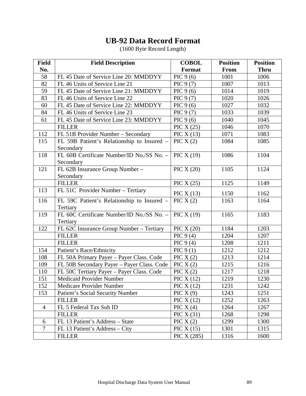| <b>Field</b>   | <b>Field Description</b>                                | <b>COBOL</b> | <b>Position</b> | <b>Position</b> |
|----------------|---------------------------------------------------------|--------------|-----------------|-----------------|
| No.            |                                                         | Format       | From            | <b>Thru</b>     |
| 58             | FL 45 Date of Service Line 20: MMDDYY                   | PIC $9(6)$   | 1001            | 1006            |
| 82             | FL 46 Units of Service Line 21                          | PIC $9(7)$   | 1007            | 1013            |
| 59             | FL 45 Date of Service Line 21: MMDDYY                   | PIC $9(6)$   | 1014            | 1019            |
| 83             | FL 46 Units of Service Line 22                          | PIC $9(7)$   | 1020            | 1026            |
| 60             | FL 45 Date of Service Line 22: MMDDYY                   | PIC $9(6)$   | 1027            | 1032            |
| 84             | FL 46 Units of Service Line 23                          | PIC $9(7)$   | 1033            | 1039            |
| 61             | FL 45 Date of Service Line 23: MMDDYY                   | PIC $9(6)$   | 1040            | 1045            |
|                | <b>FILLER</b>                                           | PIC $X(25)$  | 1046            | 1070            |
| 112            | FL 51B Provider Number - Secondary                      | PIC $X(13)$  | 1071            | 1083            |
| 115            | FL 59B Patient's Relationship to Insured -<br>Secondary | PIC $X(2)$   | 1084            | 1085            |
| 118            | FL 60B Certificate Number/ID No./SS No. -<br>Secondary  | PIC $X(19)$  | 1086            | 1104            |
| 121            | FL 62B Insurance Group Number-<br>Secondary             | PIC $X(20)$  | 1105            | 1124            |
|                | <b>FILLER</b>                                           | PIC $X(25)$  | 1125            | 1149            |
| 113            | FL 51C Provider Number - Tertiary                       | PIC $X(13)$  | 1150            | 1162            |
| 116            | FL 59C Patient's Relationship to Insured -<br>Tertiary  | PIC $X(2)$   | 1163            | 1164            |
| 119            | FL 60C Certificate Number/ID No./SS No. -<br>Tertiary   | PIC $X(19)$  | 1165            | 1183            |
| 122            | FL 62C Insurance Group Number - Tertiary                | PIC $X(20)$  | 1184            | 1203            |
|                | <b>FILLER</b>                                           | PIC $9(4)$   | 1204            | 1207            |
|                | <b>FILLER</b>                                           | PIC $9(4)$   | 1208            | 1211            |
| 154            | Patient's Race/Ethnicity                                | PIC $9(1)$   | 1212            | 1212            |
| 108            | FL 50A Primary Payer - Payer Class. Code                | PIC $X(2)$   | 1213            | 1214            |
| 109            | FL 50B Secondary Payer - Payer Class. Code              | PIC $X(2)$   | 1215            | 1216            |
| 110            | FL 50C Tertiary Payer - Payer Class. Code               | PIC $X(2)$   | 1217            | 1218            |
| 151            | Medicaid Provider Number                                | PIC $X(12)$  | 1219            | 1230            |
| 152            | Medicare Provider Number                                | PIC $X(12)$  | 1231            | 1242            |
| 153            | Patient's Social Security Number                        | PIC $X(9)$   | 1243            | 1251            |
|                | <b>FILLER</b>                                           | PIC $X(12)$  | 1252            | 1263            |
| $\overline{4}$ | FL 5 Federal Tax Sub ID                                 | PIC $X(4)$   | 1264            | 1267            |
|                | <b>FILLER</b>                                           | PIC X (31)   | 1268            | 1298            |
| 6              | FL 13 Patient's Address - State                         | PIC $X(2)$   | 1299            | 1300            |
| $\overline{7}$ | FL 13 Patient's Address – City                          | PIC $X(15)$  | 1301            | 1315            |
|                | <b>FILLER</b>                                           | PIC X (285)  | 1316            | 1600            |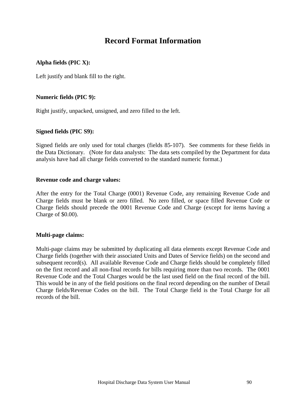## **Record Format Information**

## **Alpha fields (PIC X):**

Left justify and blank fill to the right.

#### **Numeric fields (PIC 9):**

Right justify, unpacked, unsigned, and zero filled to the left.

#### **Signed fields (PIC S9):**

Signed fields are only used for total charges (fields 85-107). See comments for these fields in the Data Dictionary. (Note for data analysts: The data sets compiled by the Department for data analysis have had all charge fields converted to the standard numeric format.)

#### **Revenue code and charge values:**

After the entry for the Total Charge (0001) Revenue Code, any remaining Revenue Code and Charge fields must be blank or zero filled. No zero filled, or space filled Revenue Code or Charge fields should precede the 0001 Revenue Code and Charge (except for items having a Charge of \$0.00).

#### **Multi-page claims:**

Multi-page claims may be submitted by duplicating all data elements except Revenue Code and Charge fields (together with their associated Units and Dates of Service fields) on the second and subsequent record(s). All available Revenue Code and Charge fields should be completely filled on the first record and all non-final records for bills requiring more than two records. The 0001 Revenue Code and the Total Charges would be the last used field on the final record of the bill. This would be in any of the field positions on the final record depending on the number of Detail Charge fields/Revenue Codes on the bill. The Total Charge field is the Total Charge for all records of the bill.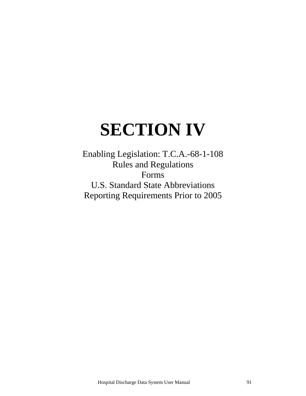# **SECTION IV**

Enabling Legislation: T.C.A.-68-1-108 Rules and Regulations Forms U.S. Standard State Abbreviations Reporting Requirements Prior to 2005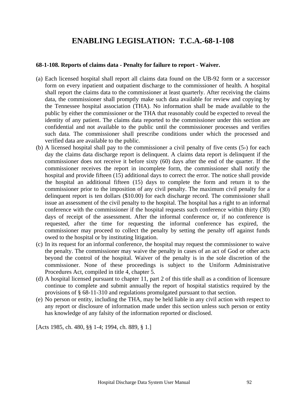## **ENABLING LEGISLATION: T.C.A.-68-1-108**

#### **68-1-108. Reports of claims data - Penalty for failure to report - Waiver.**

- (a) Each licensed hospital shall report all claims data found on the UB-92 form or a successor form on every inpatient and outpatient discharge to the commissioner of health. A hospital shall report the claims data to the commissioner at least quarterly. After receiving the claims data, the commissioner shall promptly make such data available for review and copying by the Tennessee hospital association (THA). No information shall be made available to the public by either the commissioner or the THA that reasonably could be expected to reveal the identity of any patient. The claims data reported to the commissioner under this section are confidential and not available to the public until the commissioner processes and verifies such data. The commissioner shall prescribe conditions under which the processed and verified data are available to the public.
- (b) A licensed hospital shall pay to the commissioner a civil penalty of five cents  $(5)$  for each day the claims data discharge report is delinquent. A claims data report is delinquent if the commissioner does not receive it before sixty (60) days after the end of the quarter. If the commissioner receives the report in incomplete form, the commissioner shall notify the hospital and provide fifteen (15) additional days to correct the error. The notice shall provide the hospital an additional fifteen (15) days to complete the form and return it to the commissioner prior to the imposition of any civil penalty. The maximum civil penalty for a delinquent report is ten dollars (\$10.00) for each discharge record. The commissioner shall issue an assessment of the civil penalty to the hospital. The hospital has a right to an informal conference with the commissioner if the hospital requests such conference within thirty (30) days of receipt of the assessment. After the informal conference or, if no conference is requested, after the time for requesting the informal conference has expired, the commissioner may proceed to collect the penalty by setting the penalty off against funds owed to the hospital or by instituting litigation.
- (c) In its request for an informal conference, the hospital may request the commissioner to waive the penalty. The commissioner may waive the penalty in cases of an act of God or other acts beyond the control of the hospital. Waiver of the penalty is in the sole discretion of the commissioner. None of these proceedings is subject to the Uniform Administrative Procedures Act, compiled in title 4, chapter 5.
- (d) A hospital licensed pursuant to chapter 11, part 2 of this title shall as a condition of licensure continue to complete and submit annually the report of hospital statistics required by the provisions of § 68-11-310 and regulations promulgated pursuant to that section.
- (e) No person or entity, including the THA, may be held liable in any civil action with respect to any report or disclosure of information made under this section unless such person or entity has knowledge of any falsity of the information reported or disclosed.

[Acts 1985, ch. 480, §§ 1-4; 1994, ch. 889, § 1.]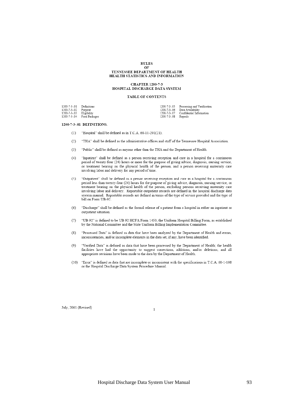#### **RULES** OF

#### TENNESSEE DEPARTMENT OF HEALTH HEALTH STATISTICS AND INFORMATION

#### **CHAPTER 1200-7-3** HOSPITAL DISCHARGE DATA SYSTEM

#### TABLE OF CONTENTS

| 1200-7-3-.01 Definitions |                            |                      | 1200-7-3-.05 Processing and Verification |
|--------------------------|----------------------------|----------------------|------------------------------------------|
| 1200-7-3-.02 Purpose     |                            |                      | 1200-7-3-.06 Data Availability           |
| 1200-7-3-.03 Eligibility |                            |                      | 1200-7-3-07 Confidential Information     |
|                          | 1200-7-3-.04 Food Packages | 1200-7-3-.08 Repeals |                                          |

1200-7-3-.01 DEFINITIONS.

- "Hospital" shall be defined as in T.C.A. 68-11-201(21).  $(1)$
- "THA" shall be defined as the administrative offices and staff of the Tennessee Hospital Association.  $(2)$
- $(3)$ "Public" shall be defined as anyone other than the THA and the Department of Health.
- $(4)$ "Inpatient" shall be defined as a person receiving reception and care in a hospital for a continuous period of twenty-four (24) hours or more for the purpose of giving advice, diagnosis, nursing service, or treatment bearing on the physical health of the person, and a person receiving maternity care involving labor and delivery for any period of time.
- "Outpatient" shall be defined as a person receiving reception and care in a hospital for a continuous  $(5)$ period less than twenty-four (24) hours for the purpose of giving advice, diagnosis, nursing service, or treatment bearing on the physical health of the person, excluding persons receiving maternity care involving labor and delivery. Reportable outpatient records are defined in the hospital discharge data system manual. Reportable records are defined in terms of the type of service provided and the type of bill on Form UB-92.
- $(6)$ "Discharge" shall be defined as the formal release of a patient from a hospital in either an inpatient or outpatient situation.
- "UB-92" is defined to be UB-92 HCFA Form 1450, the Uniform Hospital Billing Form, as established  $(7)$ by the National Committee and the State Uniform Billing Implementation Committee.
- $(8)$ "Processed Data" is defined as data that have been analyzed by the Department of Health and errors, inconsistencies, and/or incomplete elements in the data set, if any, have been identified.
- "Verified Data" is defined as data that have been processed by the Department of Health; the health  $(9)$ facilities have had the opportunity to suggest corrections, additions, and/or deletions; and all appropriate revisions have been made to the data by the Department of Health.
- (10) "Error" is defined as data that are incomplete or inconsistent with the specifications in T.C.A. 68-1-108 or the Hospital Discharge Data System Procedure Manual.

 $\,1\,$ 

July, 2001 (Revised)

Hospital Discharge Data System User Manual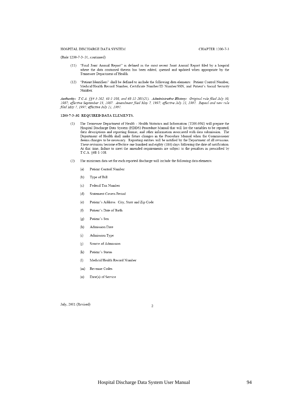#### HOSPITAL DISCHARGE DATA SYSTEM

(Rule 1200-7-3-.01, continued)

- (11) "Final Joint Annual Report" is defined as the most recent Joint Annual Report filed by a hospital where the data contained therein has been edited, queried and updated when appropriate by the Tennessee Department of Health.
- (12) "Patient Identifiers" shall be defined to include the following data elements: Patient Control Number, Medical/Health Record Number, Certificate Number/ID Number/SSN, and Patient's Social Security Number.

Authority: T.C.A. §§4-5-202, 68-1-108, and 68-11-201(21). Administrative History: Original rule filed July 30, 1987; effective September 13, 1987. Amendment filed May 7, 1997; effective July 21, 1997. Repeal and new rule filed May 7, 1997, effective July 21, 1997.

#### 1200-7-3-.02 REQUIRED DATA ELEMENTS.

- The Tennessee Department of Health Health Statistics and Information (TDH-HSI) will prepare the  $(1)$ Hospital Discharge Data System (HDDS) Procedure Manual that will list the variables to be reported, their descriptions and reporting format, and other information associated with data submission. The Department of Health shall make future changes in the Procedure Manual when the Commissioner deems changes to be necessary. Reporting entities will be notified by the Department of all revisions. These revisions become effective one hundred and eighty (180) days following the date of notification. At that time, failure to meet the amended requirements are subject to the penalties as prescribed by T.C.A. §68-1-108.
- (2) The minimum data set for each reported discharge will include the following data elements:
	- Patient Control Number  $(a)$
	- Type of Bill  $(b)$
	- Federal Tax Number  $(c)$
	- $(d)$ Statement Covers Period
	- $(e)$ Patient's Address: City, State and Zip Code
	- Patient's Date of Birth  $(f)$
	- $(g)$ Patient's Sex
	- Admission Date  $(h)$
	- $(i)$ Admission Type
	- $(j)$ Source of Admission
	- $(k)$ Patient's Status
	- $(1)$ Medical/Health Record Number
	- Revenue Codes  $(m)$
	- $(n)$ Date(s) of Service

July, 2001 (Revised)

 $\overline{2}$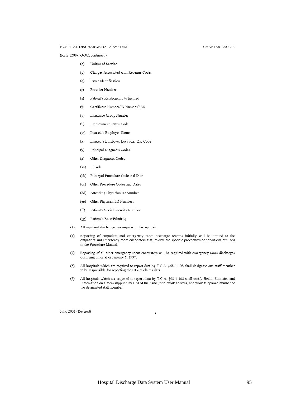#### CHAPTER 1200-7-3

#### HOSPITAL DISCHARGE DATA SYSTEM

(Rule 1200-7-3-.02, continued)

- Unit(s) of Service  $(o)$
- $(p)$ Charges Associated with Revenue Codes
- Payer Identification  $(q)$
- $(r)$ Provider Number
- Patient's Relationship to Insured  $(s)$
- $(t)$ Certificate Number/ID Number/SSN
- Insurance Group Number  $(u)$
- Employment Status Code  $(v)$
- Insured's Employer Name  $(w)$
- Insured's Employer Location: Zip Code  $(x)$
- Principal Diagnosis Codes  $(y)$
- Other Diagnosis Codes  $(z)$
- E Code  $(aa)$
- Principal Procedure Code and Date  $(bb)$
- Other Procedure Codes and Dates  $(cc)$
- (dd) Attending Physician ID Number
- (ee) Other Physician ID Numbers
- Patient's Social Security Number  $(f\mathbf{f})$
- (gg) Patient's Race/Ethnicity
- (3) All inpatient discharges are required to be reported.
- $(4)$ Reporting of outpatient and emergency room discharge records initially will be limited to the outpatient and emergency room encounters that involve the specific procedures or conditions outlined in the Procedure Manual.
- (5) Reporting of all other emergency room encounters will be required with emergency room discharges occurring on or after January 1, 1997.
- (6) All hospitals which are required to report data by T.C.A. §68-1-108 shall designate one staff member to be responsible for reporting the UB-92 claims data.
- All hospitals which are required to report data by T.C.A. §68-1-108 shall notify Health Statistics and  $(7)$ Information on a form supplied by HSI of the name, title, work address, and work telephone number of the designated staff member.

July, 2001 (Revised)

 $\overline{\mathbf{3}}$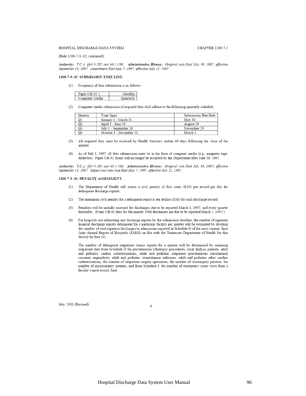#### HOSPITAL DISCHARGE DATA SYSTEM

(Rule 1200-7-3-.02, continued)

Authority: T.C.A. §§4-5-202 and 68-1-108. Administrative History: Original rule filed July 30, 1987; effective September 13, 1987. Amendment filed May 7, 1997; effective July 21, 1997.

#### 1200-7-3-.03 SUBMISSION TIME LINE.

(1) Frequency of data submission is as follows:

| Paper UB-92's  | Monthly   |
|----------------|-----------|
| Computer Media | Ouarterly |

(2) Computer media submission of required data shall adhere to the following quarterly schedule:

| Ouarter | Time Span               | Submission Due Date |
|---------|-------------------------|---------------------|
|         | January 1 - March 31    | May 30              |
|         | April 1 - June 30       | August 29           |
| O3      | July 1 - September 30   | November 29         |
| Q4      | October 1 - December 31 | March 1             |

- All required data must be received by Health Statistics within 60 days following the close of the  $(3)$ quarter
- As of July 1, 1997, all data submissions must be in the form of computer media (e.g., magnetic tape,  $(4)$ diskettes). Paper UB-92 forms will no longer be accepted by the Department after June 30, 1997.

Authority: T.C.A. §§4-5-202 and 68-1-108. Administrative History: Original rule filed July 30, 1987; effective September 13, 1987. Repeal and new rule filed May 7, 1997; effective July 21, 1997.

#### 1200-7-3-.04 PENALTY ASSESSMENT.

- The Department of Health will assess a civil penalty of five cents (\$.05) per record per day for  $(1)$ delinquent discharge reports.
- The maximum civil penalty for a delinquent report is ten dollars (\$10) for each discharge record.  $(2)$
- (3) Penalties will be initially assessed for discharges due to be reported March 1, 1997, and every quarter thereafter. (Form UB-92 data for 4th quarter 1996 discharges are due to be reported March 1, 1997.)
- For hospitals not submitting any discharge reports by the submission deadline, the number of inpatient  $(4)$ hospital discharge reports delinquent for a particular facility per quarter will be estimated by dividing the number of total inpatient discharges/or admissions reported in Schedule G of the most current, final Joint Annual Report of Hospitals (JARH) on file with the Tennessee Department of Health for that facility by four (4).

The number of delinquent outpatient claims reports for a quarter will be determined by summing outpatient data from Schedule D for percutaneous lithotripsy procedures, renal dialysis patients, adult and pediatric cardiac catheterizations, adult and pediatric outpatient percutaneous transluminal coronary angioplasty, adult and pediatric streptokinase infusions, adult and pediatric other cardiac catheterizations, the number of outpatient surgery operations, the number of cryosurgery patients, the number of microsurgery patients, and from Schedule I, the number of emergency room visits from a facility's most recent, final

July, 2001 (Revised)

 $\overline{4}$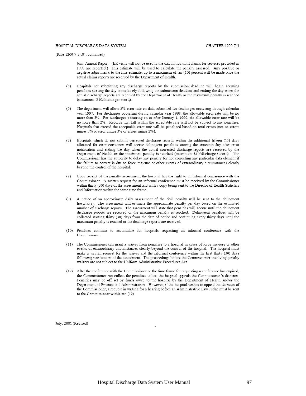(Rule 1200-7-3-.04, continued)

Joint Annual Report. (ER visits will not be used in the calculation until claims for services provided in 1997 are reported.) This estimate will be used to calculate the penalty assessed. Any positive or negative adjustments to the fine estimate, up to a maximum of ten (10) percent will be made once the actual claims reports are received by the Department of Health.

- (5) Hospitals not submitting any discharge reports by the submission deadline will begin accruing penalties starting the day immediately following the submission deadline and ending the day when the actual discharge reports are received by the Department of Health or the maximum penalty is reached (maximum=\$10/discharge record).
- (6) The department will allow 5% error rate on data submitted for discharges occurring through calendar year 1997. For discharges occurring during calendar year 1998, the allowable error rate will be no more than 3%. For discharges occurring on or after January 1, 1999, the allowable error rate will be no more than 2%. Records that fall within the acceptable rate will not be subject to any penalties. Hospitals that exceed the acceptable error rate will be penalized based on total errors (not on errors minus 5% or error minus 3% or errors minus 2%).
- (7) Hospitals which do not submit corrected discharge records within the additional fifteen (15) days allocated for error correction will accrue delinquent penalties starting the sixteenth day after error notification and ending the day when the actual corrected discharge reports are received by the Department of Health or the maximum penalty is reached (maximum=\$10/discharge record). The Commissioner has the authority to delay any penalty for not correcting any particular data element if the failure to correct is due to force majeure or other events of extraordinary circumstances clearly beyond the control of the hospital.
- (8) Upon receipt of the penalty assessment, the hospital has the right to an informal conference with the Commissioner. A written request for an informal conference must be received by the Commissioner within thirty (30) days of the assessment and with a copy being sent to the Director of Health Statistics and Information within the same time frame.
- $(9)$ A notice of an approximate daily assessment of the civil penalty will be sent to the delinquent hospital(s). The assessment will estimate the approximate penalty per day based on the estimated number of discharge reports. The assessment will state that penalties will accrue until the delinquent discharge reports are received or the maximum penalty is reached. Delinquent penalties will be collected starting thirty (30) days from the date of notice and continuing every thirty days until the maximum penalty is reached or the discharge reports are received.
- (10) Penalties continue to accumulate for hospitals requesting an informal conference with the Commissioner.
- (11) The Commissioner can grant a waiver from penalties to a hospital in cases of force majeure or other events of extraordinary circumstances clearly beyond the control of the hospital. The hospital must make a written request for the waiver and the informal conference within the first thirty (30) days following notification of the assessment. The proceedings before the Commissioner involving penalty waivers are not subject to the Uniform Administrative Procedures Act.
- (12) After the conference with the Commissioner or the time frame for requesting a conference has expired, the Commissioner can collect the penalties unless the hospital appeals the Commissioner's decision. Penalties may be off set by funds owed to the hospital by the Department of Health and/or the Department of Finance and Administration. However, if the hospital wishes to appeal the decision of the Commissioner, a request in writing for a hearing before an Administrative Law Judge must be sent to the Commissioner within ten (10)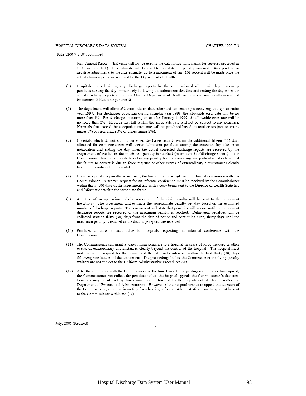(Rule 1200-7-3-.04, continued)

Joint Annual Report. (ER visits will not be used in the calculation until claims for services provided in 1997 are reported.) This estimate will be used to calculate the penalty assessed. Any positive or negative adjustments to the fine estimate, up to a maximum of ten (10) percent will be made once the actual claims reports are received by the Department of Health.

- (5) Hospitals not submitting any discharge reports by the submission deadline will begin accruing penalties starting the day immediately following the submission deadline and ending the day when the actual discharge reports are received by the Department of Health or the maximum penalty is reached (maximum=\$10/discharge record).
- (6) The department will allow 5% error rate on data submitted for discharges occurring through calendar year 1997. For discharges occurring during calendar year 1998, the allowable error rate will be no more than 3%. For discharges occurring on or after January 1, 1999, the allowable error rate will be no more than 2%. Records that fall within the acceptable rate will not be subject to any penalties. Hospitals that exceed the acceptable error rate will be penalized based on total errors (not on errors minus 5% or error minus 3% or errors minus 2%).
- (7) Hospitals which do not submit corrected discharge records within the additional fifteen (15) days allocated for error correction will accrue delinquent penalties starting the sixteenth day after error notification and ending the day when the actual corrected discharge reports are received by the Department of Health or the maximum penalty is reached (maximum=\$10/discharge record). The Commissioner has the authority to delay any penalty for not correcting any particular data element if the failure to correct is due to force majeure or other events of extraordinary circumstances clearly beyond the control of the hospital.
- (8) Upon receipt of the penalty assessment, the hospital has the right to an informal conference with the Commissioner. A written request for an informal conference must be received by the Commissioner within thirty (30) days of the assessment and with a copy being sent to the Director of Health Statistics and Information within the same time frame.
- $(9)$ A notice of an approximate daily assessment of the civil penalty will be sent to the delinquent hospital(s). The assessment will estimate the approximate penalty per day based on the estimated number of discharge reports. The assessment will state that penalties will accrue until the delinquent discharge reports are received or the maximum penalty is reached. Delinquent penalties will be collected starting thirty (30) days from the date of notice and continuing every thirty days until the maximum penalty is reached or the discharge reports are received.
- (10) Penalties continue to accumulate for hospitals requesting an informal conference with the Commissioner.
- (11) The Commissioner can grant a waiver from penalties to a hospital in cases of force majeure or other events of extraordinary circumstances clearly beyond the control of the hospital. The hospital must make a written request for the waiver and the informal conference within the first thirty (30) days following notification of the assessment. The proceedings before the Commissioner involving penalty waivers are not subject to the Uniform Administrative Procedures Act.
- (12) After the conference with the Commissioner or the time frame for requesting a conference has expired, the Commissioner can collect the penalties unless the hospital appeals the Commissioner's decision. Penalties may be off set by funds owed to the hospital by the Department of Health and/or the Department of Finance and Administration. However, if the hospital wishes to appeal the decision of the Commissioner, a request in writing for a hearing before an Administrative Law Judge must be sent to the Commissioner within ten (10)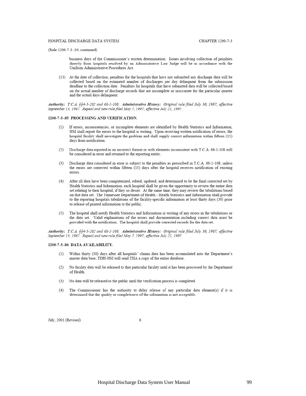(Rule 1200-7-3-.04, continued)

business days of the Commissioner's written determination. Issues involving collection of penalties directly from hospitals resolved by an Administrative Law Judge will be in accordance with the Uniform Administrative Procedures Act.

(13) At the date of collection, penalties for the hospitals that have not submitted any discharge data will be collected based on the estimated number of discharges per day delinquent from the submission deadline to the collection date. Penalties for hospitals that have submitted data will be collected based on the actual number of discharge records that are incomplete or inaccurate for the particular quarter and the actual days delinquent.

Authority: T.C.A. §§4-5-202 and 68-1-108. Administrative History: Original rule filed July 30, 1987; effective September 13, 1987. Repeal and new rule filed May 7, 1997; effective July 21, 1997.

#### 1200-7-3-.05 PROCESSING AND VERIFICATION.

- If errors, inconsistencies, or incomplete elements are identified by Health Statistics and Information,  $(1)$ HSI shall report the errors to the hospital in writing. Upon receiving written notification of errors, the hospital facility shall investigate the problem and shall supply correct information within fifteen (15) days from notification.
- Discharge data reported in an incorrect format or with elements inconsistent with T.C.A. 68-1-108 will  $(2)$ be considered in error and returned to the reporting entity.
- Discharge data considered in error is subject to the penalties as prescribed in T.C.A. 68-1-108, unless  $(3)$ the errors are corrected within fifteen (15) days after the hospital receives notification of existing errors.
- (4) After all data have been computerized, edited, updated, and determined to be the final corrected set by Health Statistics and Information, each hospital shall be given the opportunity to review the entire data set relating to their hospital, if they so desire. At the same time, they may review the tabulations based on that data set. The Tennessee Department of Health - Health Statistics and Information shall provide to the reporting hospitals tabulations of the facility-specific information at least thirty days (30) prior to release of printed information to the public.
- (5) The hospital shall notify Health Statistics and Information in writing of any errors in the tabulations or the data set. Valid explanations of the errors and documentation including correct data must be provided with the notification. The hospital shall provide corrected records for the data set.

Authority: T.C.A. §§4-5-202 and 68-1-108. Administrative History: Original rule filed July 30, 1987; effective September 13, 1987. Repeal and new rule filed May 7, 1997; effective July 21, 1997.

#### 1200-7-3-.06 DATA AVAILABILITY.

- Within thirty (30) days after all hospitals' claims data has been accumulated into the Department's  $(1)$ master data base, TDH-HSI will send THA a copy of the entire database.
- $(2)$ No facility data will be released to that particular facility until it has been processed by the Department of Health.
- No data will be released to the public until the verification process is completed.  $(3)$
- The Commissioner has the authority to delay release of any particular data element(s) if it is  $(4)$ determined that the quality or completeness of the information is not acceptable.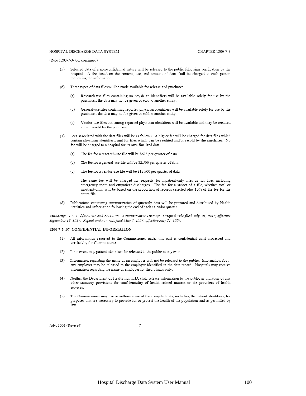(Rule 1200-7-3-.06, continued)

- Selected data of a non-confidential nature will be released to the public following verification by the  $(5)$ hospital. A fee based on the content, use, and amount of data shall be charged to each person requesting the information.
- (6) Three types of data files will be made available for release and purchase:
	- Research-use files containing no physician identifiers will be available solely for use by the  $(a)$ purchaser; the data may not be given or sold to another entity.
	- $(b)$ General-use files containing reported physician identifiers will be available solely for use by the purchaser; the data may not be given or sold to another entity.
	- $(c)$ Vendor-use files containing reported physician identifiers will be available and may be reedited and/or resold by the purchaser.
- Fees associated with the data files will be as follows. A higher fee will be charged for data files which  $(7)$ contain physician identifiers, and for files which can be reedited and/or resold by the purchaser. No fee will be charged to a hospital for its own finalized data.
	- The fee for a research-use file will be \$625 per quarter of data.  $(a)$
	- The fee for a general-use file will be \$2,500 per quarter of data.  $(b)$
	- The fee for a vendor-use file will be \$12,500 per quarter of data.  $(c)$

The same fee will be charged for requests for inpatient-only files as for files including emergency room and outpatient discharges. The fee for a subset of a file, whether total or inpatient-only, will be based on the proportion of records selected plus 10% of the fee for the entire file.

 $(8)$ Publications containing summarization of quarterly data will be prepared and distributed by Health Statistics and Information following the end of each calendar quarter.

Authority: T.C.A. §§4-5-202 and 68-1-108. Administrative History: Original rule filed July 30, 1987; effective September 13, 1987. Repeal and new rule filed May 7, 1997; effective July 21, 1997.

#### 1200-7-3-.07 CONFIDENTIAL INFORMATION.

- All information reported to the Commissioner under this part is confidential until processed and  $(1)$ verified by the Commissioner.
- In no event may patient identifiers be released to the public at any time.  $(2)$
- $(3)$ Information regarding the name of an employer will not be released to the public. Information about any employer may be released to the employer identified in the data record. Hospitals may receive information regarding the name of employer for their claims only.
- Neither the Department of Health nor THA shall release information to the public in violation of any  $(4)$ other statutory provisions for confidentiality of health related matters or the providers of health services.
- The Commissioner may use or authorize use of the compiled data, including the patient identifiers, for  $(5)$ purposes that are necessary to provide for or protect the health of the population and as permitted by law.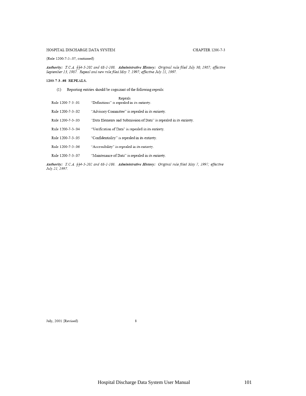#### HOSPITAL DISCHARGE DATA SYSTEM

#### (Rule 1200-7-3-.07, continued)

Authority: T.C.A. §§4-5-202 and 68-1-108. Administrative History: Original rule filed July 30, 1987; effective<br>September 13, 1987. Repeal and new rule filed May 7, 1997; effective July 21, 1997.

#### 1200-7-3-.08 REPEALS.

(1) Reporting entities should be cognizant of the following repeals:

| Rule 1200-7-3-01  | Repeals<br>"Definitions" is repealed in its entirety.               |
|-------------------|---------------------------------------------------------------------|
| Rule 1200-7-3-02  | "Advisory Committee" is repealed in its entirety.                   |
| Rule 1200-7-3-.03 | "Data Elements and Submission of Data" is repealed in its entirety. |
| Rule 1200-7-3-.04 | "Verification of Data" is repealed in its entirety.                 |
| Rule 1200-7-3-05  | "Confidentiality" is repealed in its entirety.                      |
| Rule 1200-7-3-.06 | "Accessibility" is repealed in its entirety.                        |
| Rule 1200-7-3-07  | "Maintenance of Data" is repealed in its entirety.                  |

Authority: T.C.A. §§4-5-202 and 68-1-108. Administrative History: Original rule filed May 7, 1997; effective July 21, 1997.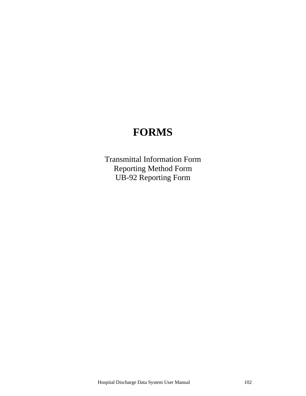# **FORMS**

Transmittal Information Form Reporting Method Form UB-92 Reporting Form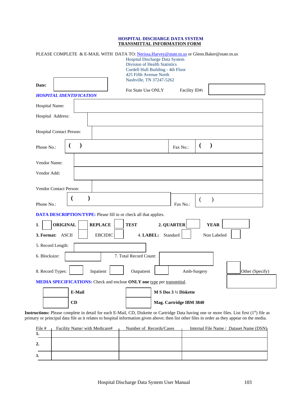#### **HOSPITAL DISCHARGE DATA SYSTEM TRANSMITTAL INFORMATION FORM**

|                                                                         | PLEASE COMPLETE & E-MAIL WITH DATA TO: Nerissa.Harvey@state.tn.us or Glenn.Baker@state.tn.us<br>Hospital Discharge Data System<br><b>Division of Health Statistics</b><br>Cordell Hull Building - 4th Floor<br>425 Fifth Avenue North |  |  |  |  |
|-------------------------------------------------------------------------|---------------------------------------------------------------------------------------------------------------------------------------------------------------------------------------------------------------------------------------|--|--|--|--|
| Date:                                                                   | Nashville, TN 37247-5262<br>For State Use ONLY<br>Facility ID#:                                                                                                                                                                       |  |  |  |  |
| <b>HOSPITAL IDENTIFICATION</b>                                          |                                                                                                                                                                                                                                       |  |  |  |  |
| Hospital Name:                                                          |                                                                                                                                                                                                                                       |  |  |  |  |
| Hospital Address:                                                       |                                                                                                                                                                                                                                       |  |  |  |  |
| Hospital Contact Person:                                                |                                                                                                                                                                                                                                       |  |  |  |  |
| $\lambda$<br>Phone No.:                                                 | $\mathcal{E}$<br>€<br>Fax No.:                                                                                                                                                                                                        |  |  |  |  |
| Vendor Name:                                                            |                                                                                                                                                                                                                                       |  |  |  |  |
| Vendor Add:                                                             |                                                                                                                                                                                                                                       |  |  |  |  |
| <b>Vendor Contact Person:</b>                                           |                                                                                                                                                                                                                                       |  |  |  |  |
| Phone No.:                                                              | $\mathcal{E}$<br>€<br>Fax No.:                                                                                                                                                                                                        |  |  |  |  |
| <b>DATA DESCRIPTION/TYPE:</b> Please fill in or check all that applies. |                                                                                                                                                                                                                                       |  |  |  |  |
| <b>ORIGINAL</b><br><b>REPLACE</b><br>1.                                 | 2. QUARTER<br><b>TEST</b><br><b>YEAR</b>                                                                                                                                                                                              |  |  |  |  |
| 3. Format: ASCII<br><b>EBCIDIC</b><br>4. LABEL: Standard<br>Non Labeled |                                                                                                                                                                                                                                       |  |  |  |  |
| 5. Record Length:                                                       |                                                                                                                                                                                                                                       |  |  |  |  |
| 6. Blocksize:                                                           | 7. Total Record Count:                                                                                                                                                                                                                |  |  |  |  |
| 8. Record Types:<br>Inpatient                                           | Outpatient<br>Amb-Surgery<br>Other (Specify)                                                                                                                                                                                          |  |  |  |  |
|                                                                         | <b>MEDIA SPECIFICATIONS:</b> Check and enclose ONLY one type per transmittal.                                                                                                                                                         |  |  |  |  |
| E-Mail                                                                  | M S Dos 3 1/2 Diskette                                                                                                                                                                                                                |  |  |  |  |
| CD                                                                      | Mag. Cartridge IBM 3840                                                                                                                                                                                                               |  |  |  |  |

Instructions: Please complete in detail for each E-Mail, CD, Diskette or Cartridge Data having one or more files. List first (1st) file as primary or principal data file as it relates to hospital information given above; then list other files in order as they appear on the media.

| File #           | Facility Name/ with Medicare# | Number of Records/Cases | Internal File Name / Dataset Name (DSN) |
|------------------|-------------------------------|-------------------------|-----------------------------------------|
| 1.               |                               |                         |                                         |
| $\overline{2}$ . |                               |                         |                                         |
| 3.               |                               |                         |                                         |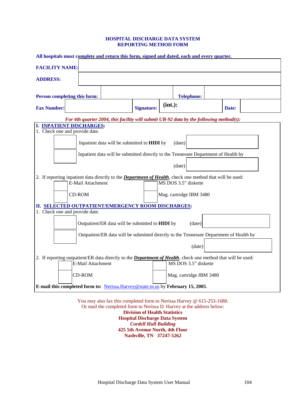#### **HOSPITAL DISCHARGE DATA SYSTEM REPORTING METHOD FORM**

| All hospitals must complete and return this form, signed and dated, each and every quarter.                                                                              |                   |                         |       |  |  |  |
|--------------------------------------------------------------------------------------------------------------------------------------------------------------------------|-------------------|-------------------------|-------|--|--|--|
| <b>FACILITY NAME:</b>                                                                                                                                                    |                   |                         |       |  |  |  |
| <b>ADDRESS:</b>                                                                                                                                                          |                   |                         |       |  |  |  |
| Person completing this form:                                                                                                                                             |                   | <b>Telephone:</b>       |       |  |  |  |
| <b>Fax Number:</b>                                                                                                                                                       | <b>Signature:</b> | $(int.)$ :              | Date: |  |  |  |
| For 4th quarter 2004, this facility will submit UB-92 data by the following method(s):<br>I. INPATIENT DISCHARGES:                                                       |                   |                         |       |  |  |  |
| 1. Check one and provide date.<br>Inpatient data will be submitted to <b>HIDI</b> by                                                                                     |                   | (date)                  |       |  |  |  |
| Inpatient data will be submitted directly to the Tennessee Department of Health by                                                                                       |                   |                         |       |  |  |  |
|                                                                                                                                                                          |                   | (date)                  |       |  |  |  |
| 2. If reporting inpatient data directly to the <i>Department of Health</i> , check one method that will be used:<br>E-Mail Attachment                                    |                   | MS DOS 3.5" diskette    |       |  |  |  |
| <b>CD-ROM</b>                                                                                                                                                            |                   | Mag. cartridge IBM 3480 |       |  |  |  |
| II. SELECTED OUTPATIENT/EMERGENCY ROOM DISCHARGES:<br>1. Check one and provide date.                                                                                     |                   |                         |       |  |  |  |
| Outpatient/ER data will be submitted to HIDI by<br>(date)                                                                                                                |                   |                         |       |  |  |  |
| Outpatient/ER data will be submitted directly to the Tennessee Department of Health by                                                                                   |                   |                         |       |  |  |  |
|                                                                                                                                                                          |                   | (date)                  |       |  |  |  |
| 2. If reporting outpatient/ER data directly to the <b>Department of Health</b> , check one method that will be used:<br>MS DOS 3.5" diskette<br><b>E-Mail Attachment</b> |                   |                         |       |  |  |  |
| <b>CD-ROM</b>                                                                                                                                                            |                   | Mag. cartridge IBM 3480 |       |  |  |  |
| E-mail this completed form to: Nerissa.Harvey@state.tn.us by February 15, 2005.                                                                                          |                   |                         |       |  |  |  |

You may also fax this completed form to Nerissa Harvey @ 615-253-1688. Or mail the completed form to Nerissa D. Harvey at the address below: **Division of Health Statistics Hospital Discharge Data System**  *Cordell Hull Building*  **425 5th Avenue North, 4th Floor** 

**Nashville, TN 37247-5262**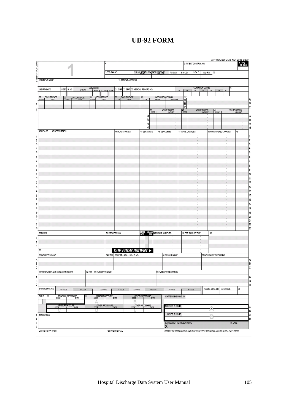## **UB-92 FORM**

| 12 PATIENT NAME                                                                     | 5 FED. TAX NO.                                                           |                                                       |                                                              |                                                   |
|-------------------------------------------------------------------------------------|--------------------------------------------------------------------------|-------------------------------------------------------|--------------------------------------------------------------|---------------------------------------------------|
|                                                                                     |                                                                          | 6 STATEMENT COVERS PERIOD<br>7 COV D.                 | 9 C-I D.<br>8 N-C D.<br>10 L-R D.                            | 11                                                |
|                                                                                     | 13 PATIENT ADORESS                                                       |                                                       |                                                              |                                                   |
| <b>ADMISSION</b><br>14 BIRTHDATE<br>15 SEX 16 MS                                    | 21 D HR 22 STAT 23 MEDICAL RECORD NO.                                    |                                                       | CONDITION CODES                                              | 31                                                |
| 17 DATE<br>  18 HR   19 TYPE   20 SRC                                               |                                                                          | 24                                                    | 26 27 28 29<br>25<br>3                                       | 130                                               |
| OCCURRENCE<br>OCCURRENCE<br>$rac{32}{0005}$<br>OCCURRENCE<br>33<br>$\frac{34}{000}$ | OCCURRENCE<br>$\frac{35}{0005}$                                          | OCCURRENCE SPAN<br>$36$ cope                          | A<br>B                                                       |                                                   |
|                                                                                     |                                                                          | WALUE CODES<br>$rac{39}{0005}$                        | C<br><b>WILLIE CODES</b><br>$rac{40}{0006}$<br><b>AMOUNT</b> | VALUE CODES<br>$\frac{41}{0006}$<br><b>AMOUNT</b> |
|                                                                                     |                                                                          |                                                       |                                                              |                                                   |
|                                                                                     |                                                                          |                                                       |                                                              |                                                   |
| 42 REV. CD.<br>43 DESCRIPTION                                                       | 44 HCPCS / RATES                                                         | 45 SERV. DATE<br>46 SERV. UNITS                       | 47 TOTAL CHARGES                                             | 48 NON-COVERED CHARGES<br>49                      |
|                                                                                     |                                                                          |                                                       |                                                              |                                                   |
|                                                                                     |                                                                          |                                                       |                                                              |                                                   |
|                                                                                     |                                                                          |                                                       |                                                              |                                                   |
|                                                                                     |                                                                          |                                                       |                                                              |                                                   |
|                                                                                     |                                                                          |                                                       |                                                              |                                                   |
|                                                                                     |                                                                          |                                                       |                                                              |                                                   |
|                                                                                     |                                                                          |                                                       |                                                              |                                                   |
|                                                                                     |                                                                          |                                                       |                                                              |                                                   |
|                                                                                     |                                                                          |                                                       |                                                              |                                                   |
|                                                                                     |                                                                          |                                                       |                                                              |                                                   |
|                                                                                     |                                                                          |                                                       |                                                              |                                                   |
|                                                                                     |                                                                          |                                                       |                                                              |                                                   |
| 50 PAYER                                                                            | 51 PROVIDER NO.                                                          |                                                       | 55 EST. AMOUNT DUE                                           | 56                                                |
|                                                                                     |                                                                          |                                                       |                                                              |                                                   |
| 57                                                                                  |                                                                          |                                                       |                                                              |                                                   |
| 58 INSURED'S NAME                                                                   | <b>DUE FROM PATIENT &gt;</b><br>59 P. REL 60 CERT. - SSN - HIC. - ID NO. | 61 GR OUP NAME                                        |                                                              | 62 INSURANCE GROUP NO.                            |
|                                                                                     |                                                                          |                                                       |                                                              |                                                   |
| 63 TREATMENT AUTHORIZATION CODES<br>64 ESC 65 EMPLOYER NAME                         |                                                                          | 56 EMPLO YER LOCATION                                 |                                                              |                                                   |
|                                                                                     |                                                                          |                                                       |                                                              |                                                   |
|                                                                                     |                                                                          |                                                       |                                                              |                                                   |
| 67 PRIN, DIAG. CD.<br>69 CODE<br>68 CODE                                            | 71 CODE<br>70 CODE<br>72000E                                             | 73 CODE<br>74 00DE                                    | 75 CODE                                                      | 77 E-CODE<br>76 ADM. DIAG. CD.<br>78              |
| 79 P.C. 80<br>PRINCIPAL PROCEDURE<br>81<br>Α                                        | OTHER PROCEDURE<br>CODE<br>B                                             | OTHER PROCEDURE<br>CODE<br>82 ATTENDING PHYS. ID      |                                                              |                                                   |
| CODE DATE                                                                           | OTHER PROCEDURE<br>CODE<br>CODE                                          | <b>CTHER PROCEDURE</b><br>E DATE<br>83 OTHER PHYS. ID |                                                              | A                                                 |
| a 84 REMARKS                                                                        |                                                                          | OTHER PHYS. ID                                        |                                                              |                                                   |
|                                                                                     |                                                                          | 85 PROVIDER REPRESENTATIVE                            |                                                              | 86 DATE                                           |
|                                                                                     |                                                                          | Χ                                                     |                                                              |                                                   |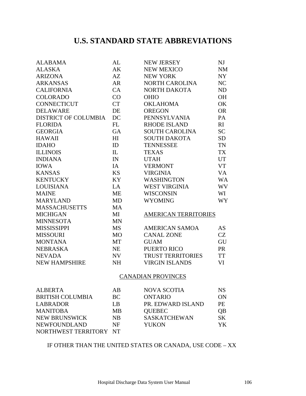## **U.S. STANDARD STATE ABBREVIATIONS**

| <b>ALABAMA</b>              | AL        | <b>NEW JERSEY</b>           | NJ              |
|-----------------------------|-----------|-----------------------------|-----------------|
| <b>ALASKA</b>               | AK        | NEW MEXICO                  | <b>NM</b>       |
| <b>ARIZONA</b>              | AZ        | <b>NEW YORK</b>             | <b>NY</b>       |
| <b>ARKANSAS</b>             | <b>AR</b> | <b>NORTH CAROLINA</b>       | NC              |
| <b>CALIFORNIA</b>           | CA        | NORTH DAKOTA                | ND              |
| <b>COLORADO</b>             | CO        | <b>OHIO</b>                 | <b>OH</b>       |
| <b>CONNECTICUT</b>          | <b>CT</b> | <b>OKLAHOMA</b>             | OK              |
| <b>DELAWARE</b>             | DE        | <b>OREGON</b>               | <b>OR</b>       |
| <b>DISTRICT OF COLUMBIA</b> | DC        | <b>PENNSYLVANIA</b>         | PA              |
| <b>FLORIDA</b>              | FL        | <b>RHODE ISLAND</b>         | RI              |
| <b>GEORGIA</b>              | <b>GA</b> | <b>SOUTH CAROLINA</b>       | <b>SC</b>       |
| <b>HAWAII</b>               | HI        | <b>SOUTH DAKOTA</b>         | <b>SD</b>       |
| <b>IDAHO</b>                | ID        | <b>TENNESSEE</b>            | TN              |
| <b>ILLINOIS</b>             | IL        | <b>TEXAS</b>                | <b>TX</b>       |
| <b>INDIANA</b>              | IN        | <b>UTAH</b>                 | <b>UT</b>       |
| <b>IOWA</b>                 | IA        | <b>VERMONT</b>              | <b>VT</b>       |
| <b>KANSAS</b>               | <b>KS</b> | <b>VIRGINIA</b>             | VA              |
| <b>KENTUCKY</b>             | <b>KY</b> | <b>WASHINGTON</b>           | <b>WA</b>       |
| <b>LOUISIANA</b>            | LA        | <b>WEST VIRGINIA</b>        | WV              |
| <b>MAINE</b>                | <b>ME</b> | <b>WISCONSIN</b>            | WI              |
| <b>MARYLAND</b>             | <b>MD</b> | <b>WYOMING</b>              | WY <sup>-</sup> |
| <b>MASSACHUSETTS</b>        | <b>MA</b> |                             |                 |
| <b>MICHIGAN</b>             | MI        | <b>AMERICAN TERRITORIES</b> |                 |
| <b>MINNESOTA</b>            | <b>MN</b> |                             |                 |
| <b>MISSISSIPPI</b>          | <b>MS</b> | <b>AMERICAN SAMOA</b>       | <b>AS</b>       |
| <b>MISSOURI</b>             | <b>MO</b> | <b>CANAL ZONE</b>           | <b>CZ</b>       |
| <b>MONTANA</b>              | MT        | <b>GUAM</b>                 | GU              |
| <b>NEBRASKA</b>             | <b>NE</b> | PUERTO RICO                 | PR              |
| <b>NEVADA</b>               | NV        | <b>TRUST TERRITORIES</b>    | <b>TT</b>       |
| <b>NEW HAMPSHIRE</b>        | <b>NH</b> | <b>VIRGIN ISLANDS</b>       | VI              |
|                             |           | <b>CANADIAN PROVINCES</b>   |                 |
|                             |           |                             |                 |

| <b>ALBERTA</b>          | AB        | <b>NOVA SCOTIA</b>  | NS.       |
|-------------------------|-----------|---------------------|-----------|
| <b>BRITISH COLUMBIA</b> | BC.       | <b>ONTARIO</b>      | ON        |
| <b>LABRADOR</b>         | LB        | PR. EDWARD ISLAND   | <b>PE</b> |
| <b>MANITOBA</b>         | <b>MB</b> | <b>QUEBEC</b>       | QB        |
| <b>NEW BRUNSWICK</b>    | <b>NB</b> | <b>SASKATCHEWAN</b> | <b>SK</b> |
| <b>NEWFOUNDLAND</b>     | NF        | <b>YUKON</b>        | YK.       |
| NORTHWEST TERRITORY NT  |           |                     |           |

## IF OTHER THAN THE UNITED STATES OR CANADA, USE CODE – XX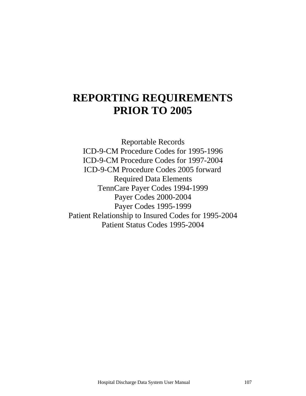# **REPORTING REQUIREMENTS PRIOR TO 2005**

Reportable Records ICD-9-CM Procedure Codes for 1995-1996 ICD-9-CM Procedure Codes for 1997-2004 ICD-9-CM Procedure Codes 2005 forward Required Data Elements TennCare Payer Codes 1994-1999 Payer Codes 2000-2004 Payer Codes 1995-1999 Patient Relationship to Insured Codes for 1995-2004 Patient Status Codes 1995-2004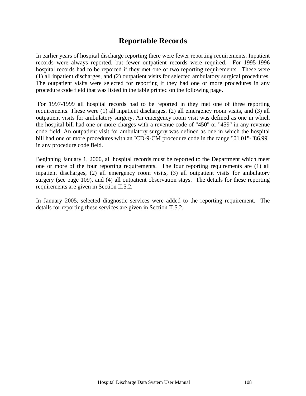## **Reportable Records**

In earlier years of hospital discharge reporting there were fewer reporting requirements. Inpatient records were always reported, but fewer outpatient records were required. For 1995-1996 hospital records had to be reported if they met one of two reporting requirements. These were (1) all inpatient discharges, and (2) outpatient visits for selected ambulatory surgical procedures. The outpatient visits were selected for reporting if they had one or more procedures in any procedure code field that was listed in the table printed on the following page.

 For 1997-1999 all hospital records had to be reported in they met one of three reporting requirements. These were (1) all inpatient discharges, (2) all emergency room visits, and (3) all outpatient visits for ambulatory surgery. An emergency room visit was defined as one in which the hospital bill had one or more charges with a revenue code of "450" or "459" in any revenue code field. An outpatient visit for ambulatory surgery was defined as one in which the hospital bill had one or more procedures with an ICD-9-CM procedure code in the range "01.01"-"86.99" in any procedure code field.

Beginning January 1, 2000, all hospital records must be reported to the Department which meet one or more of the four reporting requirements. The four reporting requirements are (1) all inpatient discharges, (2) all emergency room visits, (3) all outpatient visits for ambulatory surgery (see page 109), and (4) all outpatient observation stays. The details for these reporting requirements are given in Section II.5.2.

In January 2005, selected diagnostic services were added to the reporting requirement. The details for reporting these services are given in Section II.5.2.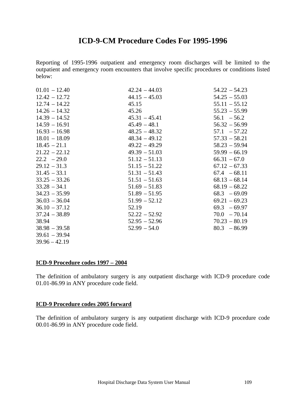## **ICD-9-CM Procedure Codes For 1995-1996**

Reporting of 1995-1996 outpatient and emergency room discharges will be limited to the outpatient and emergency room encounters that involve specific procedures or conditions listed below:

| $01.01 - 12.40$ | $42.24 - 44.03$ | $54.22 - 54.23$ |
|-----------------|-----------------|-----------------|
| $12.42 - 12.72$ | $44.15 - 45.03$ | $54.25 - 55.03$ |
| $12.74 - 14.22$ | 45.15           | $55.11 - 55.12$ |
| $14.26 - 14.32$ | 45.26           | $55.23 - 55.99$ |
| $14.39 - 14.52$ | $45.31 - 45.41$ | $56.1 - 56.2$   |
| $14.59 - 16.91$ | $45.49 - 48.1$  | $56.32 - 56.99$ |
| $16.93 - 16.98$ | $48.25 - 48.32$ | $57.1 - 57.22$  |
| $18.01 - 18.09$ | $48.34 - 49.12$ | $57.33 - 58.21$ |
| $18.45 - 21.1$  | $49.22 - 49.29$ | $58.23 - 59.94$ |
| $21.22 - 22.12$ | $49.39 - 51.03$ | $59.99 - 66.19$ |
| $22.2 - 29.0$   | $51.12 - 51.13$ | $66.31 - 67.0$  |
| $29.12 - 31.3$  | $51.15 - 51.22$ | $67.12 - 67.33$ |
| $31.45 - 33.1$  | $51.31 - 51.43$ | $67.4 - 68.11$  |
| $33.25 - 33.26$ | $51.51 - 51.63$ | $68.13 - 68.14$ |
| $33.28 - 34.1$  | $51.69 - 51.83$ | $68.19 - 68.22$ |
| $34.23 - 35.99$ | $51.89 - 51.95$ | $68.3 - 69.09$  |
| $36.03 - 36.04$ | $51.99 - 52.12$ | $69.21 - 69.23$ |
| $36.10 - 37.12$ | 52.19           | $69.3 - 69.97$  |
| $37.24 - 38.89$ | $52.22 - 52.92$ | $70.0 - 70.14$  |
| 38.94           | $52.95 - 52.96$ | $70.23 - 80.19$ |
| $38.98 - 39.58$ | $52.99 - 54.0$  | $80.3 - 86.99$  |
| $39.61 - 39.94$ |                 |                 |
| $39.96 - 42.19$ |                 |                 |

#### **ICD-9 Procedure codes 1997 – 2004**

The definition of ambulatory surgery is any outpatient discharge with ICD-9 procedure code 01.01-86.99 in ANY procedure code field.

#### **ICD-9 Procedure codes 2005 forward**

The definition of ambulatory surgery is any outpatient discharge with ICD-9 procedure code 00.01-86.99 in ANY procedure code field.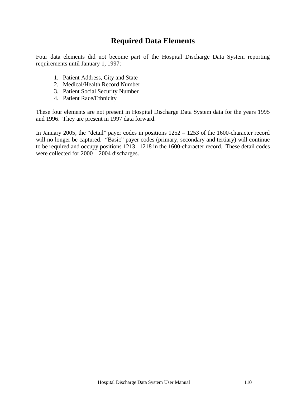## **Required Data Elements**

Four data elements did not become part of the Hospital Discharge Data System reporting requirements until January 1, 1997:

- 1. Patient Address, City and State
- 2. Medical/Health Record Number
- 3. Patient Social Security Number
- 4. Patient Race/Ethnicity

These four elements are not present in Hospital Discharge Data System data for the years 1995 and 1996. They are present in 1997 data forward.

In January 2005, the "detail" payer codes in positions 1252 – 1253 of the 1600-character record will no longer be captured. "Basic" payer codes (primary, secondary and tertiary) will continue to be required and occupy positions 1213 –1218 in the 1600-character record. These detail codes were collected for 2000 – 2004 discharges.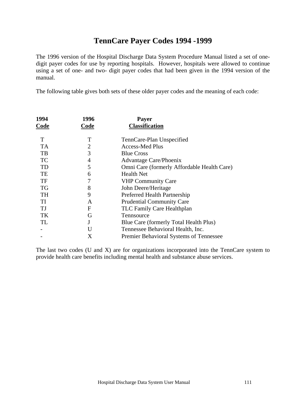## **TennCare Payer Codes 1994 -1999**

The 1996 version of the Hospital Discharge Data System Procedure Manual listed a set of onedigit payer codes for use by reporting hospitals. However, hospitals were allowed to continue using a set of one- and two- digit payer codes that had been given in the 1994 version of the manual.

The following table gives both sets of these older payer codes and the meaning of each code:

| 1994      | 1996 | <b>Payer</b>                                |
|-----------|------|---------------------------------------------|
| Code      | Code | <b>Classification</b>                       |
| T         | T    | TennCare-Plan Unspecified                   |
| <b>TA</b> | 2    | <b>Access-Med Plus</b>                      |
| TB        | 3    | <b>Blue Cross</b>                           |
| <b>TC</b> | 4    | Advantage Care/Phoenix                      |
| TD        | 5    | Omni Care (formerly Affordable Health Care) |
| TE        | 6    | <b>Health Net</b>                           |
| TF        |      | <b>VHP Community Care</b>                   |
| <b>TG</b> | 8    | John Deere/Heritage                         |
| <b>TH</b> | 9    | Preferred Health Partnership                |
| TI        | A    | <b>Prudential Community Care</b>            |
| TJ        | F    | TLC Family Care Healthplan                  |
| TK        | G    | Tennsource                                  |
| TL        |      | Blue Care (formerly Total Health Plus)      |
|           | U    | Tennessee Behavioral Health, Inc.           |
|           | Χ    | Premier Behavioral Systems of Tennessee     |
|           |      |                                             |

The last two codes (U and X) are for organizations incorporated into the TennCare system to provide health care benefits including mental health and substance abuse services.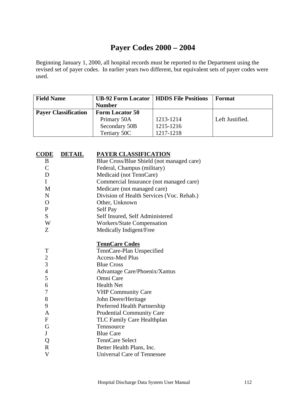## **Payer Codes 2000 – 2004**

Beginning January 1, 2000, all hospital records must be reported to the Department using the revised set of payer codes. In earlier years two different, but equivalent sets of payer codes were used.

| <b>Field Name</b>           | <b>UB-92 Form Locator   HDDS File Positions</b> |           | Format          |
|-----------------------------|-------------------------------------------------|-----------|-----------------|
|                             | <b>Number</b>                                   |           |                 |
| <b>Payer Classification</b> | <b>Form Locator 50</b>                          |           |                 |
|                             | Primary 50A                                     | 1213-1214 | Left Justified. |
|                             | Secondary 50B                                   | 1215-1216 |                 |
|                             | Tertiary 50C                                    | 1217-1218 |                 |

| <b>CODE</b>    | <b>DETAIL</b> | PAYER CLASSIFICATION                      |
|----------------|---------------|-------------------------------------------|
| B              |               | Blue Cross/Blue Shield (not managed care) |
| $\overline{C}$ |               | Federal, Champus (military)               |
| D              |               | Medicaid (not TennCare)                   |
| $\mathbf{I}$   |               | Commercial Insurance (not managed care)   |
| M              |               | Medicare (not managed care)               |
| $\mathbf N$    |               | Division of Health Services (Voc. Rehab.) |
| $\mathbf{O}$   |               | Other, Unknown                            |
| $\mathbf{P}$   |               | Self Pay                                  |
| S              |               | Self Insured, Self Administered           |
| W              |               | Workers/State Compensation                |
| Z              |               | Medically Indigent/Free                   |
|                |               | <b>TennCare Codes</b>                     |
| T              |               | TennCare-Plan Unspecified                 |
| $\overline{2}$ |               | <b>Access-Med Plus</b>                    |
| 3              |               | <b>Blue Cross</b>                         |
| $\overline{4}$ |               | Advantage Care/Phoenix/Xantus             |
| 5              |               | Omni Care                                 |
| 6              |               | <b>Health Net</b>                         |
| 7              |               | <b>VHP Community Care</b>                 |
| 8              |               | John Deere/Heritage                       |
| 9              |               | Preferred Health Partnership              |
| A              |               | <b>Prudential Community Care</b>          |
| ${\rm F}$      |               | TLC Family Care Healthplan                |
| G              |               | Tennsource                                |
| ${\bf J}$      |               | <b>Blue Care</b>                          |
| Q              |               | <b>TennCare Select</b>                    |
| $\mathbb{R}$   |               | Better Health Plans, Inc.                 |
| V              |               | <b>Universal Care of Tennessee</b>        |
|                |               |                                           |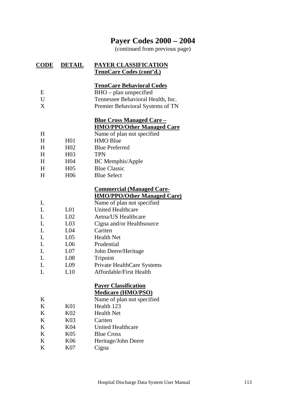## **Payer Codes 2000 – 2004**

(continued from previous page)

| <u>CODE</u>     | <b>DETAIL</b>   | PAYER CLASSIFICATION<br>TennCare Codes (cont'd.)                                                                                    |
|-----------------|-----------------|-------------------------------------------------------------------------------------------------------------------------------------|
| E<br>U<br>X     |                 | <b>TennCare Behavioral Codes</b><br>BHO – plan unspecified<br>Tennessee Behavioral Health, Inc.<br>Premier Behavioral Systems of TN |
|                 |                 | <u><b>Blue Cross Managed Care –</b></u>                                                                                             |
|                 |                 | <b>HMO/PPO/Other Managed Care</b>                                                                                                   |
| H               |                 | Name of plan not specified                                                                                                          |
| H               | H <sub>01</sub> | <b>HMO Blue</b>                                                                                                                     |
| H               | H <sub>02</sub> | <b>Blue Preferred</b>                                                                                                               |
| H               | H <sub>03</sub> | <b>TPN</b>                                                                                                                          |
| $H_{\parallel}$ | H <sub>04</sub> | <b>BC</b> Memphis/Apple                                                                                                             |
| H               | H <sub>05</sub> | <b>Blue Classic</b>                                                                                                                 |
| H               | H <sub>06</sub> | <b>Blue Select</b>                                                                                                                  |
|                 |                 | <b>Commercial (Managed Care-</b><br><b>HMO/PPO/Other Managed Care)</b>                                                              |
| L               |                 | Name of plan not specified                                                                                                          |
| L               | L <sub>01</sub> | <b>United Healthcare</b>                                                                                                            |
| L               | L <sub>02</sub> | Aetna/US Healthcare                                                                                                                 |
| L               | L <sub>03</sub> | Cigna and/or Healthsource                                                                                                           |
| L               | L <sub>04</sub> | Cariten                                                                                                                             |
| L               | L <sub>05</sub> | <b>Health Net</b>                                                                                                                   |
| L               | L <sub>06</sub> | Prudential                                                                                                                          |
| L               | L <sub>07</sub> | John Deere/Heritage                                                                                                                 |
| L               | L <sub>08</sub> | Tripoint                                                                                                                            |
| L               | L <sub>09</sub> | Private HealthCare Systems                                                                                                          |
| L               | L10             | Affordable/First Health                                                                                                             |
|                 |                 | <b>Payer Classification</b><br><b>Medicare (HMO/PSO)</b>                                                                            |
| K               |                 | Name of plan not specified                                                                                                          |
| K               | K <sub>01</sub> | Health 123                                                                                                                          |
| K               | K <sub>02</sub> | <b>Health Net</b>                                                                                                                   |
| K               | K03             | Cariten                                                                                                                             |
| K               | K04             | <b>United Healthcare</b>                                                                                                            |
| K               | K <sub>05</sub> | <b>Blue Cross</b>                                                                                                                   |
| K               | K06             | Heritage/John Deere                                                                                                                 |
| K               | K07             | Cigna                                                                                                                               |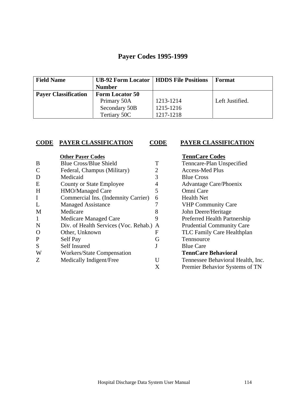## **Payer Codes 1995-1999**

| <b>Field Name</b>           | <b>UB-92 Form Locator   HDDS File Positions</b> |           | Format          |
|-----------------------------|-------------------------------------------------|-----------|-----------------|
|                             | <b>Number</b>                                   |           |                 |
| <b>Payer Classification</b> | <b>Form Locator 50</b>                          |           |                 |
|                             | Primary 50A                                     | 1213-1214 | Left Justified. |
|                             | Secondary 50B                                   | 1215-1216 |                 |
|                             | Tertiary 50C                                    | 1217-1218 |                 |

#### **CODE PAYER CLASSIFICATION CODE PAYER CLASSIFICATION**

|              | <b>Other Payer Codes</b>                |   | <b>TennCare Codes</b>             |
|--------------|-----------------------------------------|---|-----------------------------------|
| B            | <b>Blue Cross/Blue Shield</b>           |   | Tenncare-Plan Unspecified         |
| $\mathsf{C}$ | Federal, Champus (Military)             |   | <b>Access-Med Plus</b>            |
| D            | Medicaid                                | 3 | <b>Blue Cross</b>                 |
| E            | <b>County or State Employee</b>         | 4 | <b>Advantage Care/Phoenix</b>     |
| H            | HMO/Managed Care                        | 5 | Omni Care                         |
| $\mathbf I$  | Commercial Ins. (Indemnity Carrier)     | 6 | <b>Health Net</b>                 |
| L            | <b>Managed Assistance</b>               |   | <b>VHP Community Care</b>         |
| M            | Medicare                                | 8 | John Deere/Heritage               |
| $\mathbf{1}$ | Medicare Managed Care                   | 9 | Preferred Health Partnership      |
| N            | Div. of Health Services (Voc. Rehab.) A |   | <b>Prudential Community Care</b>  |
| $\mathbf O$  | Other, Unknown                          | F | TLC Family Care Healthplan        |
| $\mathbf P$  | Self Pay                                | G | Tennsource                        |
| S            | Self Insured                            |   | <b>Blue Care</b>                  |
| W            | Workers/State Compensation              |   | <b>TennCare Behavioral</b>        |
| Z            | Medically Indigent/Free                 | U | Tennessee Behavioral Health, Inc. |
|              |                                         | X | Premier Behavior Systems of TN    |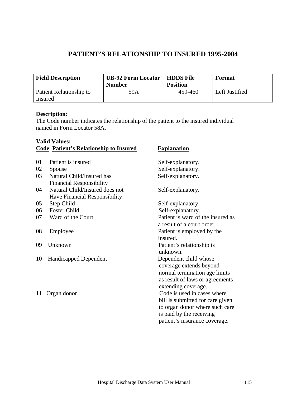## **PATIENT'S RELATIONSHIP TO INSURED 1995-2004**

| <b>Field Description</b> | <b>UB-92 Form Locator   HDDS File</b><br><b>Number</b> | <b>Position</b> | <b>Format</b>  |
|--------------------------|--------------------------------------------------------|-----------------|----------------|
| Patient Relationship to  | 59A                                                    | 459-460         | Left Justified |
| Insured                  |                                                        |                 |                |

#### **Description:**

The Code number indicates the relationship of the patient to the insured individual named in Form Locator 58A.

| <b>Valid Values:</b> |                                               |                                   |  |
|----------------------|-----------------------------------------------|-----------------------------------|--|
|                      | <b>Code Patient's Relationship to Insured</b> | <b>Explanation</b>                |  |
|                      |                                               |                                   |  |
| 01                   | Patient is insured                            | Self-explanatory.                 |  |
| 02                   | Spouse                                        | Self-explanatory.                 |  |
| 03                   | Natural Child/Insured has                     | Self-explanatory.                 |  |
|                      | <b>Financial Responsibility</b>               |                                   |  |
| 04                   | Natural Child/Insured does not                | Self-explanatory.                 |  |
|                      | Have Financial Responsibility                 |                                   |  |
| 05                   | Step Child                                    | Self-explanatory.                 |  |
| 06                   | <b>Foster Child</b>                           | Self-explanatory.                 |  |
| 07                   | Ward of the Court                             | Patient is ward of the insured as |  |
|                      |                                               | a result of a court order.        |  |
| 08                   | Employee                                      | Patient is employed by the        |  |
|                      |                                               | insured.                          |  |
| 09                   | Unknown                                       | Patient's relationship is         |  |
|                      |                                               | unknown.                          |  |
| 10                   | <b>Handicapped Dependent</b>                  | Dependent child whose             |  |
|                      |                                               | coverage extends beyond           |  |
|                      |                                               | normal termination age limits     |  |
|                      |                                               | as result of laws or agreements   |  |
|                      |                                               | extending coverage.               |  |
| 11                   | Organ donor                                   | Code is used in cases where       |  |
|                      |                                               | bill is submitted for care given  |  |
|                      |                                               | to organ donor where such care    |  |
|                      |                                               | is paid by the receiving          |  |
|                      |                                               | patient's insurance coverage.     |  |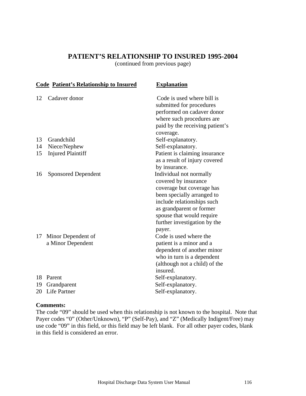### **PATIENT'S RELATIONSHIP TO INSURED 1995-2004**

(continued from previous page)

|    | <b>Code Patient's Relationship to Insured</b> | <b>Explanation</b>                                                                                                                                                                                                                          |
|----|-----------------------------------------------|---------------------------------------------------------------------------------------------------------------------------------------------------------------------------------------------------------------------------------------------|
| 12 | Cadaver donor                                 | Code is used where bill is<br>submitted for procedures<br>performed on cadaver donor<br>where such procedures are<br>paid by the receiving patient's<br>coverage.                                                                           |
| 13 | Grandchild                                    | Self-explanatory.                                                                                                                                                                                                                           |
| 14 | Niece/Nephew                                  | Self-explanatory.                                                                                                                                                                                                                           |
| 15 | <b>Injured Plaintiff</b>                      | Patient is claiming insurance<br>as a result of injury covered<br>by insurance.                                                                                                                                                             |
| 16 | <b>Sponsored Dependent</b>                    | Individual not normally<br>covered by insurance<br>coverage but coverage has<br>been specially arranged to<br>include relationships such<br>as grandparent or former<br>spouse that would require<br>further investigation by the<br>payer. |
| 17 | Minor Dependent of<br>a Minor Dependent       | Code is used where the<br>patient is a minor and a<br>dependent of another minor<br>who in turn is a dependent<br>(although not a child) of the<br>insured.                                                                                 |
| 18 | Parent                                        | Self-explanatory.                                                                                                                                                                                                                           |
| 19 | Grandparent                                   | Self-explanatory.                                                                                                                                                                                                                           |
| 20 | Life Partner                                  | Self-explanatory.                                                                                                                                                                                                                           |
|    |                                               |                                                                                                                                                                                                                                             |

#### **Comments:**

The code "09" should be used when this relationship is not known to the hospital. Note that Payer codes "0" (Other/Unknown), "P" (Self-Pay), and "Z" (Medically Indigent/Free) may use code "09" in this field, or this field may be left blank. For all other payer codes, blank in this field is considered an error.